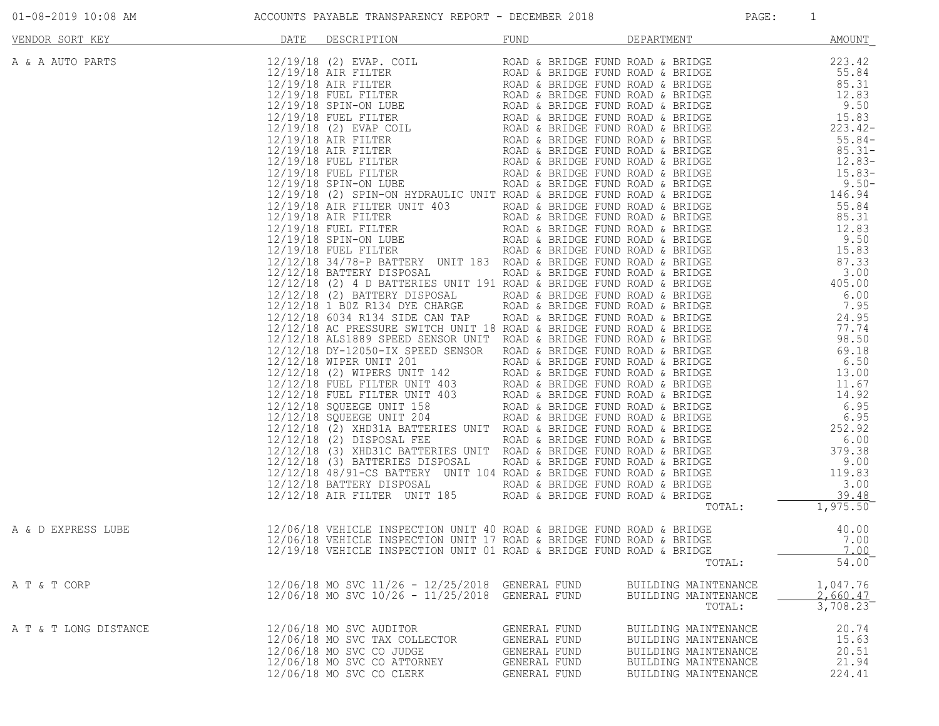|  | $01 - 08 - 2019$ 10:08 AM |  |  |
|--|---------------------------|--|--|
|  |                           |  |  |

## ACCOUNTS PAYABLE TRANSPARENCY REPORT - DECEMBER 2018 PAGE: PAGE: 1

| <u>DATE</u><br>VENDOR SORT KEY | DESCRIPTION                                                                                                                                                                                                                             | FUND                                                                         | DEPARTMENT AMOUNT                                                                                                    |                                               |
|--------------------------------|-----------------------------------------------------------------------------------------------------------------------------------------------------------------------------------------------------------------------------------------|------------------------------------------------------------------------------|----------------------------------------------------------------------------------------------------------------------|-----------------------------------------------|
| A & A AUTO PARTS               | 2017 / PROFILM (1992) 2018 / 2022 / 2022 / 2022 / 2022 / 2022 / 2022 / 2022 / 2022 / 2022 / 2022 / 2022 / 2022 / 2022 / 2022 / 2022 / 2022 / 2022 / 2022 / 2022 / 2022 / 2022 / 2022 / 2022 / 2022 / 2022 / 2022 / 2022 / 202           |                                                                              |                                                                                                                      |                                               |
| A & D EXPRESS LUBE             | 12/06/18 VEHICLE INSPECTION UNIT 40 ROAD & BRIDGE FUND ROAD & BRIDGE 40.00<br>12/06/18 VEHICLE INSPECTION UNIT 17 ROAD & BRIDGE FUND ROAD & BRIDGE 7.00<br>12/19/18 VEHICLE INSPECTION UNIT 01 ROAD & BRIDGE FUND ROAD & BRIDGE 700<br> |                                                                              |                                                                                                                      | 40.00<br>54.00                                |
| A T & T CORP                   | 12/06/18 MO SVC 11/26 - 12/25/2018 GENERAL FUND<br>12/06/18 MO SVC 10/26 - 11/25/2018 GENERAL FUND                                                                                                                                      |                                                                              | BUILDING MAINTENANCE<br>BUILDING MAINTENANCE<br>TOTAL:                                                               | 1,047.76<br>2,660.47<br>$3,708.\overline{23}$ |
| A T & T LONG DISTANCE          | 12/06/18 MO SVC AUDITOR<br>12/06/18 MO SVC TAX COLLECTOR<br>12/06/18 MO SVC CO JUDGE<br>12/06/18 MO SVC CO ATTORNEY<br>12/06/18 MO SVC CO CLERK                                                                                         | GENERAL FUND<br>GENERAL FUND<br>GENERAL FUND<br>GENERAL FUND<br>GENERAL FUND | BUILDING MAINTENANCE<br>BUILDING MAINTENANCE<br>BUILDING MAINTENANCE<br>BUILDING MAINTENANCE<br>BUILDING MAINTENANCE | 20.74<br>15.63<br>20.51<br>21.94<br>224.41    |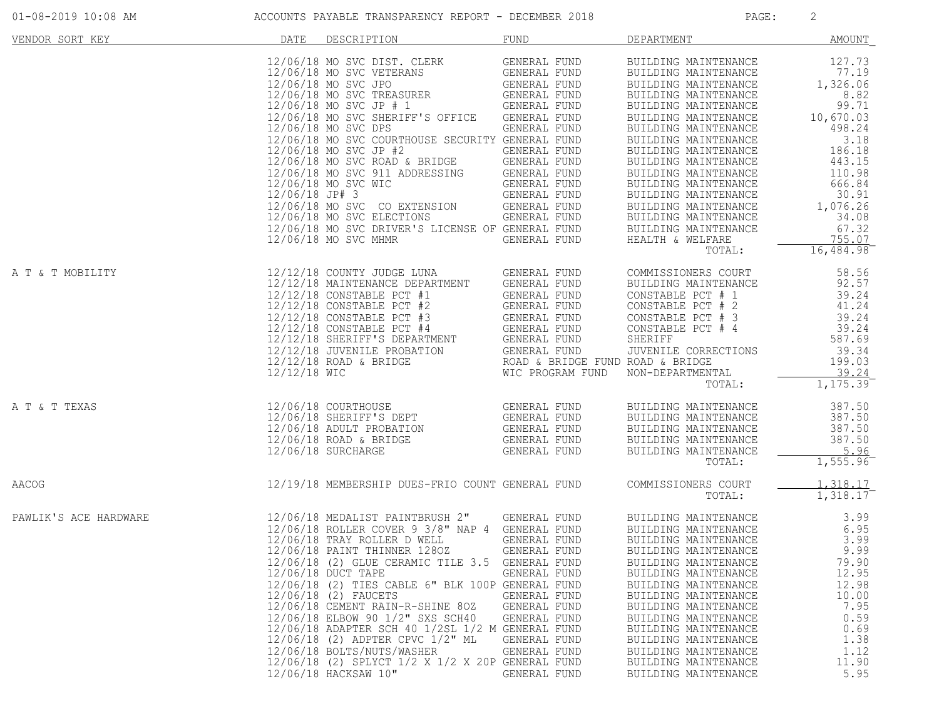| VENDOR SORT KEY       | DATE                                                                | DESCRIPTION                                                                                                                                                                                                                                                                                                                                                                                                                                                                                                                                                                                   | FUND                                                                                                                                                                                                                                         | DEPARTMENT                                                                                                                                                                                                                                                                                                                                                                                                                 | <b>AMOUNT</b>                                                                                                                                                                     |
|-----------------------|---------------------------------------------------------------------|-----------------------------------------------------------------------------------------------------------------------------------------------------------------------------------------------------------------------------------------------------------------------------------------------------------------------------------------------------------------------------------------------------------------------------------------------------------------------------------------------------------------------------------------------------------------------------------------------|----------------------------------------------------------------------------------------------------------------------------------------------------------------------------------------------------------------------------------------------|----------------------------------------------------------------------------------------------------------------------------------------------------------------------------------------------------------------------------------------------------------------------------------------------------------------------------------------------------------------------------------------------------------------------------|-----------------------------------------------------------------------------------------------------------------------------------------------------------------------------------|
|                       |                                                                     | 12/06/18 MO SVC DIST. CLERK<br>12/06/18 MO SVC VETERANS<br>12/06/18 MO SVC JPO<br>12/06/18 MO SVC TREASURER<br>$12/06/18$ MO SVC JP $\#$ 1 GENERAL FUND<br>12/06/18 MO SVC SHERIFF'S OFFICE<br>12/06/18 MO SVC DPS<br>12/06/18 MO SVC COURTHOUSE SECURITY GENERAL FUND<br>12/06/18 MO SVC JP #2<br>$12/06/18$ MO SVC ROAD & BRIDGE<br>$12/06/18$ MO SVC 911 ADDRESSING<br>$12/06/18$ MO SVC WIC<br>$12/06/18$ JP# 3<br>12/06/18 MO SVC CO EXTENSION<br>12/06/18 MO SVC ELECTIONS<br>12/06/18 MO SVC DRIVER'S LICENSE OF GENERAL FUND<br>12/06/18 MO SVC MHMR                                  | GENERAL FUND<br>GENERAL FUND<br>GENERAL FOND<br>GENERAL FUND<br>GENERAL FUND<br>GENERAL FUND<br>GENERAL FUND<br>GENERAL FUND<br>GENERAL FUND<br>GENERAL FUND<br>GENERAL FUND<br>GENERAL FUND<br>GENERAL FUND<br>GENERAL FUND<br>GENERAL FUND | BUILDING MAINTENANCE<br>BUILDING MAINTENANCE<br>BUILDING MAINTENANCE<br>BUILDING MAINTENANCE<br>BUILDING MAINTENANCE<br>BUILDING MAINTENANCE<br>BUILDING MAINTENANCE<br>BUILDING MAINTENANCE<br>BUILDING MAINTENANCE<br>BUILDING MAINTENANCE<br>BUILDING MAINTENANCE<br>BUILDING MAINTENANCE<br>BUILDING MAINTENANCE<br>BUILDING MAINTENANCE<br>BUILDING MAINTENANCE<br>BUILDING MAINTENANCE<br>HEALTH & WELFARE<br>TOTAL: | 127.73<br>77.19<br>1,326.06<br>8.82<br>99.71<br>10,670.03<br>498.24<br>3.18<br>186.18<br>443.15<br>110.98<br>666.84<br>30.91<br>1,076.26<br>34.08<br>67.32<br>755.07<br>16,484.98 |
| A T & T MOBILITY      |                                                                     | 12/12/18 COUNTY JUDGE LUNA<br>12/12/18 MAINTENANCE DEPARTMENT<br>12/12/18 CONSTABLE PCT #1<br>12/12/18 CONSTABLE PCT #1<br>12/12/18 CONSTABLE PCT #2<br>12/12/18 CONSTABLE PCT #3<br>12/12/18 CONSTABLE PCT #4<br>12/12/18 CONSTABLE PCT #4<br>12/12/18 SHERIFF'S DEPARTMENT<br>12/12/18 SHERIFF'S DEPARTMENT                                                                                                                                                                                                                                                                                 | GENERAL FUND<br>GENERAL FUND                                                                                                                                                                                                                 | COMMISSIONERS COURT<br>BUILDING MAINTENANCE<br>CONSTABLE PCT # 1<br>CONSTABLE PCT # 2<br>CONSTABLE PCT # 3<br>CONSTABLE PCT # 4<br>JUVENILE CORRECTIONS<br>NON-DEPARTMENTAL<br>TOTAL:                                                                                                                                                                                                                                      | 58.56<br>92.57<br>39.24<br>41.24<br>39.24<br>39.24<br>587.69<br>39.34<br>199.03<br>39.24<br>1,175.39                                                                              |
| A T & T TEXAS         | 12/06/18 COURTHOUSE<br>12/06/18 SHERIFF'S D<br>12/06/19 ADULT DROPA | 12/06/18 COURTHOUSE<br>12/06/18 SHERIFF'S DEPT GENERAL FUND<br>12/06/18 SHERIFF'S DEPT GENERAL FUND<br>12/06/18 ROAD & BRIDGE<br>12/06/18 SURCHARGE                                                                                                                                                                                                                                                                                                                                                                                                                                           | <b>GENERAL FUND</b><br>GENERAL FUND                                                                                                                                                                                                          | BUILDING MAINTENANCE<br>BUILDING MAINTENANCE<br>BUILDING MAINTENANCE<br>BUILDING MAINTENANCE<br>BUILDING MAINTENANCE<br>TOTAL:                                                                                                                                                                                                                                                                                             | 387.50<br>387.50<br>387.50<br>387.50<br>5.96<br>1,555.96                                                                                                                          |
| AACOG                 |                                                                     | 12/19/18 MEMBERSHIP DUES-FRIO COUNT GENERAL FUND                                                                                                                                                                                                                                                                                                                                                                                                                                                                                                                                              |                                                                                                                                                                                                                                              | COMMISSIONERS COURT<br>TOTAL:                                                                                                                                                                                                                                                                                                                                                                                              | 1,318.17<br>1,318.17                                                                                                                                                              |
| PAWLIK'S ACE HARDWARE |                                                                     | 12/06/18 MEDALIST PAINTBRUSH 2" GENERAL FUND<br>12/06/18 ROLLER COVER 9 3/8" NAP 4 GENERAL FUND<br>12/06/18 TRAY ROLLER D WELL<br>12/06/18 PAINT THINNER 1280Z<br>12/06/18 (2) GLUE CERAMIC TILE 3.5 GENERAL FUND<br>12/06/18 DUCT TAPE<br>12/06/18 (2) TIES CABLE 6" BLK 100P GENERAL FUND<br>12/06/18 (2) FAUCETS<br>12/06/18 CEMENT RAIN-R-SHINE 80Z<br>12/06/18 ELBOW 90 1/2" SXS SCH40<br>12/06/18 ADAPTER SCH 40 1/2SL 1/2 M GENERAL FUND<br>12/06/18 (2) ADPTER CPVC 1/2" ML<br>12/06/18 BOLTS/NUTS/WASHER<br>12/06/18 (2) SPLYCT 1/2 X 1/2 X 20P GENERAL FUND<br>12/06/18 HACKSAW 10" | GENERAL FUND<br>GENERAL FUND<br>GENERAL FUND<br>GENERAL FUND<br>GENERAL FUND<br>GENERAL FUND<br>GENERAL FUND<br>GENERAL FUND<br>GENERAL FUND                                                                                                 | BUILDING MAINTENANCE<br>BUILDING MAINTENANCE<br>BUILDING MAINTENANCE<br>BUILDING MAINTENANCE<br>BUILDING MAINTENANCE<br>BUILDING MAINTENANCE<br>BUILDING MAINTENANCE<br>BUILDING MAINTENANCE<br>BUILDING MAINTENANCE<br>BUILDING MAINTENANCE<br>BUILDING MAINTENANCE<br>BUILDING MAINTENANCE<br>BUILDING MAINTENANCE<br>BUILDING MAINTENANCE<br>BUILDING MAINTENANCE                                                       | 3.99<br>6.95<br>3.99<br>9.99<br>79.90<br>12.95<br>12.98<br>10.00<br>7.95<br>0.59<br>0.69<br>1.38<br>1.12<br>11.90<br>5.95                                                         |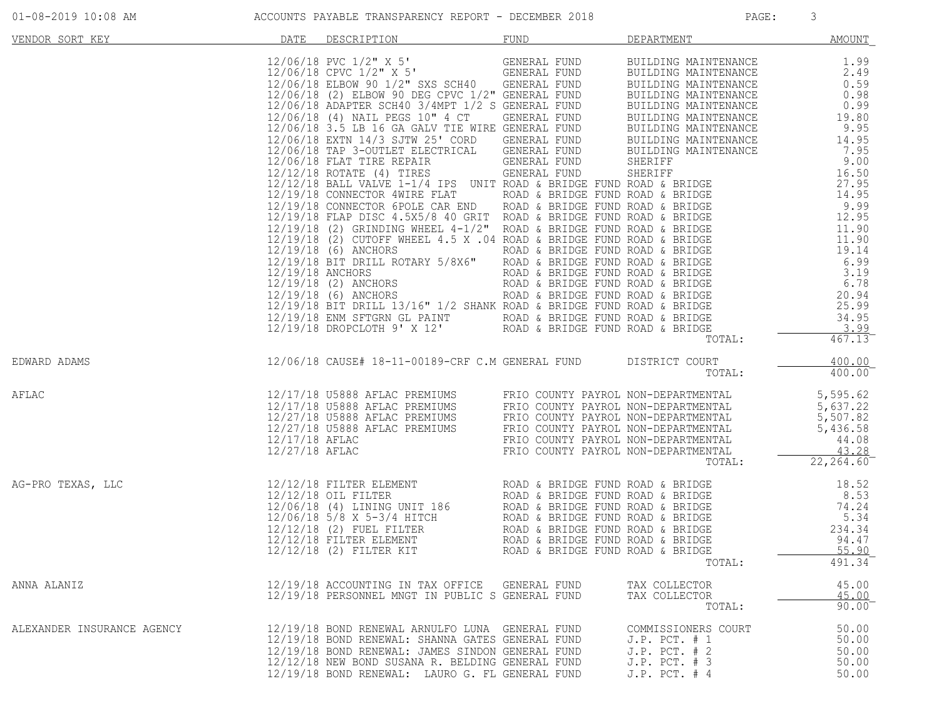| VENDOR SORT KEY            | DATE | DESCRIPTION                                                                                                                                                                                                                                                                                                                                                                                              | <b>FUND</b> | DEPARTMENT                                                                                             | <b>AMOUNT</b>                             |
|----------------------------|------|----------------------------------------------------------------------------------------------------------------------------------------------------------------------------------------------------------------------------------------------------------------------------------------------------------------------------------------------------------------------------------------------------------|-------------|--------------------------------------------------------------------------------------------------------|-------------------------------------------|
|                            |      | <b>DATE DESCRIPTION FOR A SERIE AND BELOW MATHEMAKE 12.06 (18 PVC 1/2" X, 5" (SINERAL FUND BUILDING MATHEMAKE 12.49)<br/> 12/06/18 CPVC 1/2" X, 5" (SINERAL FUND BUILDING MATHEMAKE 12.49)<br/> 12/06/18 CPVC 1/2" X, 5" (SINERAL FUND </b>                                                                                                                                                              |             |                                                                                                        |                                           |
| EDWARD ADAMS               |      | 12/06/18 CAUSE# 18-11-00189-CRF C.M GENERAL FUND DISTRICT COURT                                                                                                                                                                                                                                                                                                                                          |             | TOTAL:                                                                                                 | 400.00<br>400.00                          |
| AFLAC                      |      | $12/17/18 \text{ U}5888 \text{ AFLAC PREMIUMS} \text{ FRIO COUNTY PAYROL NON-DEPARTMENTAL} \text{ 5, 595.62} \\ 12/17/18 \text{ U}5888 \text{ AFLAC PREMIUMS} \text{ FRIO COUNTY PAYROL NON-DEPARTMENTAL} \text{ 5, 637.22} \\ 12/27/18 \text{ U}5888 \text{ AFLAC PREMIUMS} \text{ FRIO COUNTY PAYROL NON-DEPARTMENTAL} \text{ 5, 507.82} \\ 12/27/18 \text{ U}5888 \text{ AFLAC PREMIUMS} \text{ FRIO$ |             |                                                                                                        |                                           |
| AG-PRO TEXAS, LLC          |      |                                                                                                                                                                                                                                                                                                                                                                                                          |             | TOTAL:                                                                                                 | 491.34                                    |
| ANNA ALANIZ                |      | 12/19/18 ACCOUNTING IN TAX OFFICE GENERAL FUND<br>12/19/18 PERSONNEL MNGT IN PUBLIC S GENERAL FUND                                                                                                                                                                                                                                                                                                       |             | TAX COLLECTOR<br>TAX COLLECTOR<br>TOTAL:                                                               | 45.00<br>45.00<br>$90.00$ <sup>-</sup>    |
| ALEXANDER INSURANCE AGENCY |      | 12/19/18 BOND RENEWAL ARNULFO LUNA GENERAL FUND<br>12/19/18 BOND RENEWAL: SHANNA GATES GENERAL FUND<br>12/19/18 BOND RENEWAL: JAMES SINDON GENERAL FUND<br>12/12/18 NEW BOND SUSANA R. BELDING GENERAL FUND<br>12/19/18 BOND RENEWAL: LAURO G. FL GENERAL FUND                                                                                                                                           |             | COMMISSIONERS COURT<br>$J.P.$ PCT. $# 1$<br>$J.P.$ PCT. $# 2$<br>$J.P.$ PCT. $# 3$<br>$J.P.$ PCT. $#4$ | 50.00<br>50.00<br>50.00<br>50.00<br>50.00 |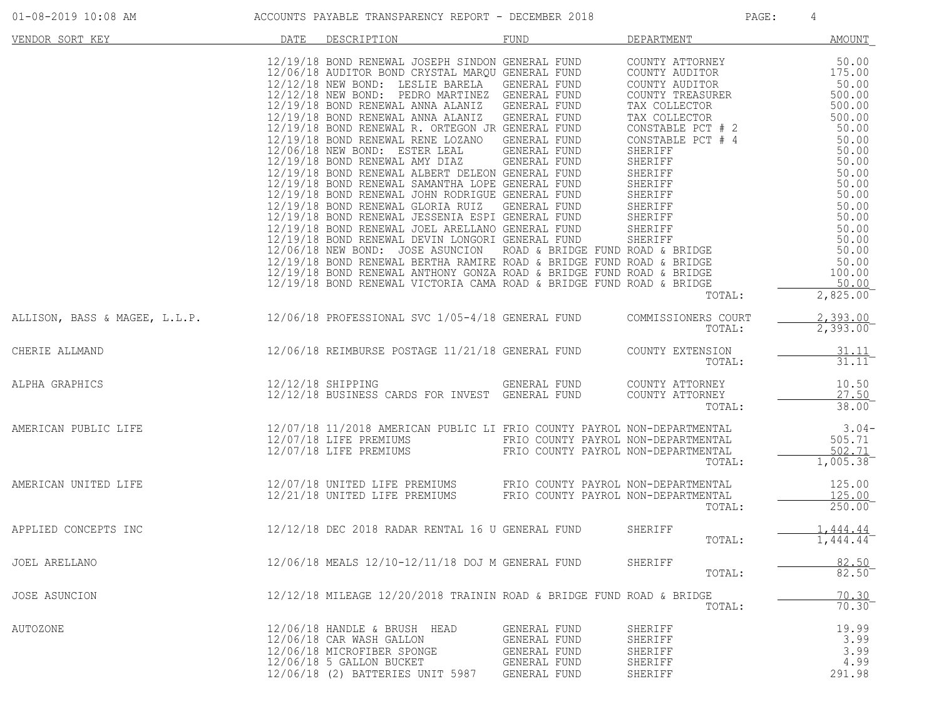| VENDOR SORT KEY                                                       | DATE | DESCRIPTION                                                                                                                                                                                                                                                                                                                                                                                                                                                                                                                                                                                                                                                                                                                                                                                                                                                                                                                                                                                          | <b>FUND</b>                                                                  | DEPARTMENT                                                                                                                                                                          | AMOUNT                                                                                                                                                                                                                                                         |
|-----------------------------------------------------------------------|------|------------------------------------------------------------------------------------------------------------------------------------------------------------------------------------------------------------------------------------------------------------------------------------------------------------------------------------------------------------------------------------------------------------------------------------------------------------------------------------------------------------------------------------------------------------------------------------------------------------------------------------------------------------------------------------------------------------------------------------------------------------------------------------------------------------------------------------------------------------------------------------------------------------------------------------------------------------------------------------------------------|------------------------------------------------------------------------------|-------------------------------------------------------------------------------------------------------------------------------------------------------------------------------------|----------------------------------------------------------------------------------------------------------------------------------------------------------------------------------------------------------------------------------------------------------------|
|                                                                       |      | 12/19/18 BOND RENEWAL JOSEPH SINDON GENERAL FUND<br>12/06/18 AUDITOR BOND CRYSTAL MARQU GENERAL FUND<br>12/12/18 NEW BOND: LESLIE BARELA GENERAL FUND<br>12/12/18 NEW BOND: PEDRO MARTINEZ GENERAL FUND<br>12/19/18 BOND RENEWAL ANNA ALANIZ GENERAL FUND<br>12/19/18 BOND RENEWAL ANNA ALANIZ GENERAL FUND<br>12/19/18 BOND RENEWAL R. ORTEGON JR GENERAL FUND<br>12/19/18 BOND RENEWAL RENE LOZANO GENERAL FUND<br>12/06/18 NEW BOND: ESTER LEAL GENERAL FUND<br>12/19/18 BOND RENEWAL AMY DIAZ GENERAL FUND<br>12/19/18 BOND RENEWAL SAMANTHA LOPE GENERAL FUND SHERIFF<br>12/19/18 BOND RENEWAL JOHN RODRIGUE GENERAL FUND SHERIFF<br>12/19/18 BOND RENEWAL GLORIA RUIZ GENERAL FUND SHERIFF<br>12/19/18 BOND RENEWAL JOEL ARELLANO GENERAL FUND SHER<br>12/06/18 NEW BOND: JOSE ASUNCION (ROAD & BRIDGE FUND ROAD & BRIDGE<br>12/19/18 BOND RENEWAL BERTHA RAMIRE ROAD & BRIDGE FUND ROAD & BRIDGE<br>12/19/18 BOND RENEWAL ANTHONY GONZA ROAD & BRIDGE FUND ROAD & BRIDGE<br>12/19/18 BOND REN |                                                                              | COUNTY ATTORNEY<br>COUNTY AUDITOR<br>COUNTY AUDITOR<br>COUNTY TREASURER<br>TAX COLLECTOR<br>TAX COLLECTOR<br>CONSTABLE PCT # 2<br>CONSTABLE PCT # 4<br>SHERIFF<br>SHERIFF<br>TOTAL: | 50.00<br>$1, 0.00$<br>50.00<br>500.00<br>500.00<br>500.00<br>50.00<br>50.00<br>50.00<br>$50.00$<br>$50.00$<br>$50.00$<br>$50.00$<br>$50.00$<br>$50.00$<br>$50.00$<br>$50.00$<br>$50.00$<br>$50.00$<br>50.00<br>$50.00$<br>50.00<br>100.00<br>50.00<br>2,825.00 |
| ALLISON, BASS & MAGEE, L.L.P.                                         |      | 12/06/18 PROFESSIONAL SVC 1/05-4/18 GENERAL FUND                                                                                                                                                                                                                                                                                                                                                                                                                                                                                                                                                                                                                                                                                                                                                                                                                                                                                                                                                     |                                                                              | COMMISSIONERS COURT<br>TOTAL:                                                                                                                                                       | 2,393.00<br>2,393.00                                                                                                                                                                                                                                           |
| CHERIE ALLMAND                                                        |      | 12/06/18 REIMBURSE POSTAGE 11/21/18 GENERAL FUND                                                                                                                                                                                                                                                                                                                                                                                                                                                                                                                                                                                                                                                                                                                                                                                                                                                                                                                                                     |                                                                              | COUNTY EXTENSION<br>TOTAL:                                                                                                                                                          | 31.11<br>$31.11$ <sup>-</sup>                                                                                                                                                                                                                                  |
| ALPHA GRAPHICS                                                        |      | 12/12/18 SHIPPING<br>12/12/18 BUSINESS CARDS FOR INVEST GENERAL FUND                                                                                                                                                                                                                                                                                                                                                                                                                                                                                                                                                                                                                                                                                                                                                                                                                                                                                                                                 | GENERAL FUND                                                                 | COUNTY ATTORNEY<br>COUNTY ATTORNEY<br>TOTAL:                                                                                                                                        | 10.50<br>27.50<br>38.00                                                                                                                                                                                                                                        |
| AMERICAN PUBLIC LIFE                                                  |      | 12/07/18 11/2018 AMERICAN PUBLIC LI FRIO COUNTY PAYROL NON-DEPARTMENTAL<br>12/07/18 LIFE PREMIUMS TRIO COUNTY PAYROL NON-DEPARTMENTAL 12/07/18 LIFE PREMIUMS                                                                                                                                                                                                                                                                                                                                                                                                                                                                                                                                                                                                                                                                                                                                                                                                                                         |                                                                              | TOTAL:                                                                                                                                                                              | $3.04-$<br>505.71<br>502.71<br>$1,005.38^{-}$                                                                                                                                                                                                                  |
| AMERICAN UNITED LIFE                                                  |      | 12/07/18 UNITED LIFE PREMIUMS FRIO COUNTY PAYROL NON-DEPARTMENTAL<br>12/21/18 UNITED LIFE PREMIUMS                                                                                                                                                                                                                                                                                                                                                                                                                                                                                                                                                                                                                                                                                                                                                                                                                                                                                                   | FRIO COUNTY PAYROL NON-DEPARTMENTAL                                          | TOTAL:                                                                                                                                                                              | 125.00<br>125.00<br>$250.00$ <sup>-</sup>                                                                                                                                                                                                                      |
| APPLIED CONCEPTS INC 12/12/18 DEC 2018 RADAR RENTAL 16 U GENERAL FUND |      |                                                                                                                                                                                                                                                                                                                                                                                                                                                                                                                                                                                                                                                                                                                                                                                                                                                                                                                                                                                                      |                                                                              | SHERIFF<br>TOTAL:                                                                                                                                                                   | 1.444.44<br>1,444.44                                                                                                                                                                                                                                           |
| JOEL ARELLANO                                                         |      | 12/06/18 MEALS 12/10-12/11/18 DOJ M GENERAL FUND                                                                                                                                                                                                                                                                                                                                                                                                                                                                                                                                                                                                                                                                                                                                                                                                                                                                                                                                                     |                                                                              | SHERIFF<br>TOTAL:                                                                                                                                                                   | 82.50<br>82.50                                                                                                                                                                                                                                                 |
| JOSE ASUNCION                                                         |      | $12/12/18$ MILEAGE $12/20/2018$ TRAININ ROAD & BRIDGE FUND ROAD & BRIDGE                                                                                                                                                                                                                                                                                                                                                                                                                                                                                                                                                                                                                                                                                                                                                                                                                                                                                                                             |                                                                              | TOTAL:                                                                                                                                                                              | $\frac{70.30}{70.30}$                                                                                                                                                                                                                                          |
| AUTOZONE                                                              |      | 12/06/18 HANDLE & BRUSH HEAD<br>12/06/18 CAR WASH GALLON<br>12/06/18 MICROFIBER SPONGE<br>12/06/18 5 GALLON BUCKET<br>12/06/18 (2) BATTERIES UNIT 5987                                                                                                                                                                                                                                                                                                                                                                                                                                                                                                                                                                                                                                                                                                                                                                                                                                               | GENERAL FUND<br>GENERAL FUND<br>GENERAL FUND<br>GENERAL FUND<br>GENERAL FUND | SHERIFF<br>SHERIFF<br>SHERIFF<br>SHERIFF<br>SHERIFF                                                                                                                                 | 19.99<br>3.99<br>3.99<br>4.99<br>291.98                                                                                                                                                                                                                        |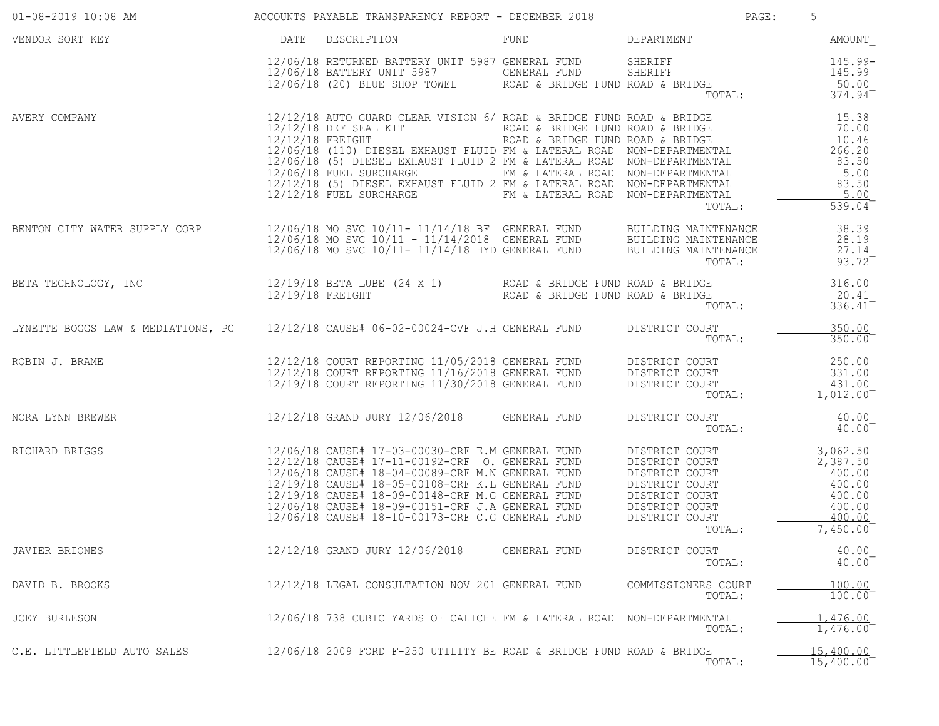| 01-08-2019 10:08 AM                                                                                | ACCOUNTS PAYABLE TRANSPARENCY REPORT - DECEMBER 2018                                                                                                                                                                                |              | PAGE:                         | 5                                        |
|----------------------------------------------------------------------------------------------------|-------------------------------------------------------------------------------------------------------------------------------------------------------------------------------------------------------------------------------------|--------------|-------------------------------|------------------------------------------|
| VENDOR SORT KEY NEWSLET BESCRIPTION                                                                |                                                                                                                                                                                                                                     |              | FUND DEPARTMENT AMOUNT        |                                          |
|                                                                                                    | 12/06/18 RETURNED BATTERY UNIT 5987 GENERAL FUND SHERIFF<br>12/06/18 BATTERY UNIT 5987 GENERAL FUND SHERIFF<br>12/06/18 (20) BLUE SHOP TOWEL ROAD & BRIDGE FUND ROAD & BRIDGE                                                       |              |                               | 145.99-<br>145.99                        |
| AVERY COMPANY                                                                                      | 12/06/18 FUEL SURCHARGE<br>12/12/18 (5) DIESEL EXHAUST FLUID 2 FM & LATERAL ROAD NON-DEPARTMENTAL<br>12/12/18 FUEL SURCHARGE FLUID 2 FM & LATERAL ROAD NON-DEPARTMENTAL                                                             |              | TOTAL:                        | 5.00<br>$539.04$ <sup>-</sup>            |
| BENTON CITY WATER SUPPLY CORP                                                                      | 12/06/18 MO SVC 10/11- 11/14/18 BF GENERAL FUND BUILDING MAINTENANCE<br>12/06/18 MO SVC 10/11 - 11/14/2018 GENERAL FUND BUILDING MAINTENANCE<br>12/06/18 MO SVC 10/11- 11/14/18 HYD GENERAL FUND BUILDING MAINTENANCE __________    |              | TOTAL:                        | 38.39<br>28.19<br>27.14<br>93.72         |
| BETA TECHNOLOGY, INC                                                                               | 12/19/18 BETA LUBE (24 X 1)  ROAD & BRIDGE FUND ROAD & BRIDGE<br>12/19/18 FREIGHT  ROAD & BRIDGE FUND ROAD & BRIDGE                                                                                                                 |              | TOTAL:                        | 316.00<br>20.41<br>$336.41$ <sup>-</sup> |
| LYNETTE BOGGS LAW & MEDIATIONS, PC 12/12/18 CAUSE# 06-02-00024-CVF J.H GENERAL FUND DISTRICT COURT |                                                                                                                                                                                                                                     |              | TOTAL:                        | 350.00<br>350.00                         |
| ROBIN J. BRAME                                                                                     | 12/12/18 COURT REPORTING 11/05/2018 GENERAL FUND DISTRICT COURT (250.00)<br>12/12/18 COURT REPORTING 11/16/2018 GENERAL FUND DISTRICT COURT (2018) 331.00<br>12/19/18 COURT REPORTING 11/30/2018 GENERAL FUND DISTRICT COURT (2018) |              | TOTAL:                        | 1,012.00                                 |
| NORA LYNN BREWER 12/12/18 GRAND JURY 12/06/2018 GENERAL FUND                                       |                                                                                                                                                                                                                                     |              | DISTRICT COURT<br>TOTAL:      | 40.00<br>40.00                           |
| RICHARD BRIGGS                                                                                     |                                                                                                                                                                                                                                     |              | TOTAL:                        | 7,450.00                                 |
| JAVIER BRIONES                                                                                     | 12/12/18 GRAND JURY 12/06/2018                                                                                                                                                                                                      | GENERAL FUND | DISTRICT COURT<br>TOTAL:      | 40.00<br>40.00                           |
| DAVID B. BROOKS                                                                                    | 12/12/18 LEGAL CONSULTATION NOV 201 GENERAL FUND                                                                                                                                                                                    |              | COMMISSIONERS COURT<br>TOTAL: | 100.00<br>100.00                         |
| JOEY BURLESON                                                                                      | 12/06/18 738 CUBIC YARDS OF CALICHE FM & LATERAL ROAD NON-DEPARTMENTAL                                                                                                                                                              |              | TOTAL:                        | 1,476.00<br>1,476.00                     |
| C.E. LITTLEFIELD AUTO SALES                                                                        | 12/06/18 2009 FORD F-250 UTILITY BE ROAD & BRIDGE FUND ROAD & BRIDGE                                                                                                                                                                |              | TOTAL:                        | 15,400.00<br>15,400.00                   |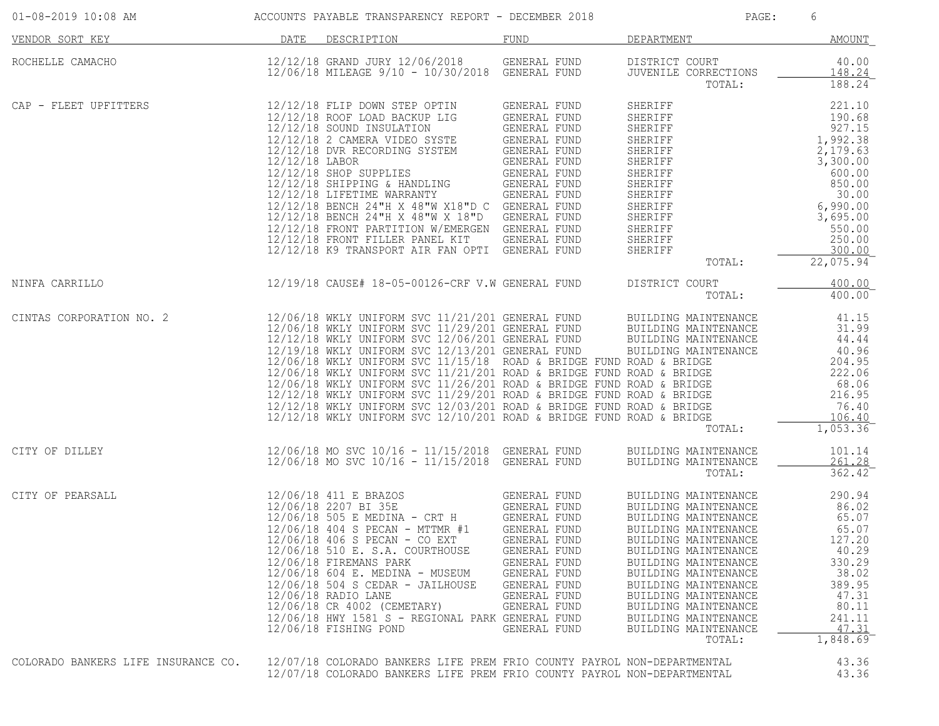| $01-08-2019$ 10:08 AM $\sim$ ACCOUNTS PAYABLE TRANSPARENCY REPORT - DECEMBER 2018 |      |                                                                                                                                                                                                                                                                                                                                                                                                                                                                                                                                                                                                                                                                                                               |                                                                                                                              | PAGE:                                                                                                                                                                                                                                                                                                                          | 6                                                                                                                                  |
|-----------------------------------------------------------------------------------|------|---------------------------------------------------------------------------------------------------------------------------------------------------------------------------------------------------------------------------------------------------------------------------------------------------------------------------------------------------------------------------------------------------------------------------------------------------------------------------------------------------------------------------------------------------------------------------------------------------------------------------------------------------------------------------------------------------------------|------------------------------------------------------------------------------------------------------------------------------|--------------------------------------------------------------------------------------------------------------------------------------------------------------------------------------------------------------------------------------------------------------------------------------------------------------------------------|------------------------------------------------------------------------------------------------------------------------------------|
| VENDOR SORT KEY                                                                   | DATE | DESCRIPTION                                                                                                                                                                                                                                                                                                                                                                                                                                                                                                                                                                                                                                                                                                   | FUND                                                                                                                         | DEPARTMENT                                                                                                                                                                                                                                                                                                                     | AMOUNT                                                                                                                             |
| ROCHELLE CAMACHO                                                                  |      | 12/12/18 GRAND JURY 12/06/2018<br>12/06/18 MILEAGE 9/10 - 10/30/2019 CENERAL FUND                                                                                                                                                                                                                                                                                                                                                                                                                                                                                                                                                                                                                             |                                                                                                                              | DISTRICT COURT<br>JUVENILE CORRECTIONS<br>TOTAL:                                                                                                                                                                                                                                                                               | 40.00<br>148.24<br>188.24                                                                                                          |
| CAP - FLEET UPFITTERS                                                             |      | 12/12/18 FLIP DOWN STEP OPTIN GENERAL FUND<br>12/12/18 ROOF LOAD BACKUP LIG GENERAL FUND<br>12/12/18 SOUND INSULATION GENERAL FUND<br>12/12/18 DVR RECORDING SYSTEM GENERAL FUND<br>12/12/18 LABOR GENERAL FUND<br>12/12/18 SHIPPING & HANDL<br>12/12/18 BENCH 24"H X 48"W X18"D C GENERAL FUND<br>12/12/18 BENCH 24"H X 48"W X 18"D GENERAL FUND<br>12/12/18 FRONT PARTITION W/EMERGEN GENERAL FUND<br>12/12/18 FRONT FILLER PANEL KIT GENERAL FUND<br>12/12/18 K9 TRANSPORT AIR FAN OPTI GENERAL FUND                                                                                                                                                                                                       |                                                                                                                              | SHERIFF<br>SHERIFF<br>SHERIFF 190.68<br>SHERIFF 190.68<br>SHERIFF 1,992.38<br>SHERIFF 1,992.38<br>SHERIFF 2,179.63<br>SHERIFF 600.00<br>SHERIFF 600.00<br>SHERIFF 600.00<br>SHERIFF 600.00<br>SHERIFF 600.00<br>SHERIFF 600.00<br>SHERIFF 6,990.00<br>SHERIFF 6,990.00<br>SHER<br>SHERIFF<br>SHERIFF<br>TOTAL:                 | 221.10<br>190.68<br>250.00<br>300.00<br>$22,075.94$ <sup>-</sup>                                                                   |
| NINFA CARRILLO                                                                    |      | 12/19/18 CAUSE# 18-05-00126-CRF V.W GENERAL FUND                                                                                                                                                                                                                                                                                                                                                                                                                                                                                                                                                                                                                                                              |                                                                                                                              | DISTRICT COURT<br>TOTAL:                                                                                                                                                                                                                                                                                                       | 400.00<br>400.00                                                                                                                   |
| CINTAS CORPORATION NO. 2                                                          |      | 12/06/18 WKLY UNIFORM SVC 11/21/201 GENERAL FUND BUILDING MAINTENANCE<br>12/06/18 WKLY UNIFORM SVC 11/29/201 GENERAL FUND BUILDING MAINTENANCE<br>12/12/18 WKLY UNIFORM SVC 12/06/201 GENERAL FUND BUILDING MAINTENANCE<br>12/06/18 WK<br>12/06/18 WKLY UNIFORM SVC 11/15/18 ROAD & BRIDGE FUND ROAD & BRIDGE<br>$12/06/18$ WKLY UNIFORM SVC $11/21/201$ ROAD & BRIDGE FUND ROAD & BRIDGE<br>12/06/18 WKLY UNIFORM SVC 11/26/201 ROAD & BRIDGE FUND ROAD & BRIDGE 68.06<br>12/12/18 WKLY UNIFORM SVC 11/29/201 ROAD & BRIDGE FUND ROAD & BRIDGE 216.95<br>12/12/18 WKLY UNIFORM SVC 12/03/201 ROAD & BRIDGE FUND ROAD & BRIDGE 76<br>$12/12/18$ WKLY UNIFORM SVC $12/10/201$ ROAD & BRIDGE FUND ROAD & BRIDGE |                                                                                                                              | TOTAL:                                                                                                                                                                                                                                                                                                                         | 41.15<br>31.99<br>44.44<br>40.96<br>204.95<br>222.06<br>106.40<br>$\overline{1,053.36}$                                            |
| CITY OF DILLEY                                                                    |      | 12/06/18 MO SVC 10/16 - 11/15/2018 GENERAL FUND<br>$12/06/18$ MO SVC $10/16 - 11/15/2018$ GENERAL FUND                                                                                                                                                                                                                                                                                                                                                                                                                                                                                                                                                                                                        |                                                                                                                              | BUILDING MAINTENANCE<br>BUILDING MAINTENANCE<br>TOTAL:                                                                                                                                                                                                                                                                         | 101.14<br>261.28<br>362.42                                                                                                         |
| CITY OF PEARSALL                                                                  |      | 12/06/18 411 E BRAZOS<br>12/06/18 406 S PECAN - CO EXT<br>12/06/18 510 E. S.A. COURTHOUSE<br>12/06/18 FIREMANS PARK<br>12/06/18 604 E. MEDINA - MUSEUM<br>12/06/18 504 S CEDAR - JAILHOUSE<br>12/06/18 RADIO LANE<br>12/06/18 CR 4002 (CEMETARY)<br>12/06/18 HWY 1581 S - REGIONAL PARK GENERAL FUND<br>12/06/18 FISHING POND                                                                                                                                                                                                                                                                                                                                                                                 | GENERAL FUND<br>GENERAL FUND<br>GENERAL FUND<br>GENERAL FUND<br>GENERAL FUND<br>GENERAL FUND<br>GENERAL FUND<br>GENERAL FUND | BUILDING MAINTENANCE<br>BUILDING MAINTENANCE<br>BUILDING MAINTENANCE<br>BUILDING MAINTENANCE<br>BUILDING MAINTENANCE<br>BUILDING MAINTENANCE<br>BUILDING MAINTENANCE<br>BUILDING MAINTENANCE<br>BUILDING MAINTENANCE<br>BUILDING MAINTENANCE<br>BUILDING MAINTENANCE<br>BUILDING MAINTENANCE<br>BUILDING MAINTENANCE<br>TOTAL: | 290.94<br>86.02<br>65.07<br>65.07<br>127.20<br>40.29<br>330.29<br>38.02<br>389.95<br>47.31<br>80.11<br>241.11<br>47.31<br>1,848.69 |
| COLORADO BANKERS LIFE INSURANCE CO.                                               |      | 12/07/18 COLORADO BANKERS LIFE PREM FRIO COUNTY PAYROL NON-DEPARTMENTAL<br>12/07/18 COLORADO BANKERS LIFE PREM FRIO COUNTY PAYROL NON-DEPARTMENTAL                                                                                                                                                                                                                                                                                                                                                                                                                                                                                                                                                            |                                                                                                                              |                                                                                                                                                                                                                                                                                                                                | 43.36<br>43.36                                                                                                                     |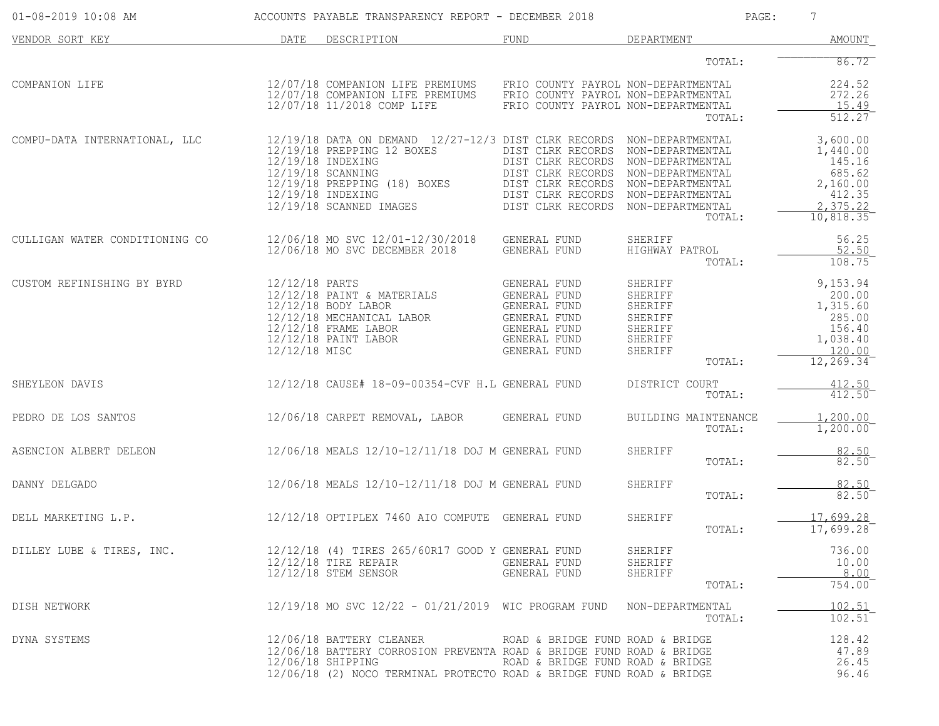| 01-08-2019 10:08 AM            |                                 | ACCOUNTS PAYABLE TRANSPARENCY REPORT - DECEMBER 2018                                                                                                                                                             |                                                                                                                                                                                                                 |                                                                                            | 7<br>PAGE:                                                                               |
|--------------------------------|---------------------------------|------------------------------------------------------------------------------------------------------------------------------------------------------------------------------------------------------------------|-----------------------------------------------------------------------------------------------------------------------------------------------------------------------------------------------------------------|--------------------------------------------------------------------------------------------|------------------------------------------------------------------------------------------|
| VENDOR SORT KEY                | DATE                            | DESCRIPTION                                                                                                                                                                                                      | FUND                                                                                                                                                                                                            | DEPARTMENT                                                                                 | AMOUNT                                                                                   |
|                                |                                 |                                                                                                                                                                                                                  |                                                                                                                                                                                                                 | TOTAL:                                                                                     | 86.72                                                                                    |
| COMPANION LIFE                 |                                 | 12/07/18 COMPANION LIFE PREMIUMS<br>12/07/18 COMPANION LIFE PREMIUMS<br>12/07/18 11/2018 COMP LIFE                                                                                                               | FRIO COUNTY PAYROL NON-DEPARTMENTAL<br>FRIO COUNTY PAYROL NON-DEPARTMENTAL<br>FRIO COUNTY PAYROL NON-DEPARTMENTAL                                                                                               | TOTAL:                                                                                     | 224.52<br>272.26<br>15.49<br>512.27                                                      |
| COMPU-DATA INTERNATIONAL, LLC  |                                 | $12/19/18$ DATA ON DEMAND $12/27-12/3$ DIST CLRK RECORDS<br>12/19/18 PREPPING 12 BOXES<br>12/19/18 INDEXING<br>12/19/18 SCANNING<br>12/19/18 PREPPING (18) BOXES<br>12/19/18 INDEXING<br>12/19/18 SCANNED IMAGES | DIST CLRK RECORDS NON-DEPARTMENTAL<br>DIST CLRK RECORDS NON-DEPARTMENTAL<br>DIST CLRK RECORDS NON-DEPARTMENTAL<br>DIST CLRK RECORDS NON-DEPARTMENTAL<br>DIST CLRK RECORDS NON-DEPARTMENTAL<br>DIST CLRK RECORDS | NON-DEPARTMENTAL<br>NON-DEPARTMENTAL<br>TOTAL:                                             | 3,600.00<br>1,440.00<br>145.16<br>685.62<br>2,160.00<br>412.35<br>2, 375.22<br>10,818.35 |
| CULLIGAN WATER CONDITIONING CO |                                 | 12/06/18 MO SVC 12/01-12/30/2018<br>12/06/18 MO SVC DECEMBER 2018                                                                                                                                                | GENERAL FUND<br><b>GENERAL FUND</b>                                                                                                                                                                             | SHERIFF<br>HIGHWAY PATROL<br>TOTAL:                                                        | 56.25<br>52.50<br>108.75                                                                 |
| CUSTOM REFINISHING BY BYRD     | 12/12/18 PARTS<br>12/12/18 MISC | 12/12/18 PAINT & MATERIALS<br>12/12/18 BODY LABOR<br>12/12/18 MECHANICAL LABOR<br>12/12/18 FRAME LABOR<br>$12/12/18$ PAINT LABOR                                                                                 | GENERAL FUND<br>GENERAL FUND<br>GENERAL FUND<br>GENERAL FUND<br>GENERAL FUND<br>GENERAL FUND<br>GENERAL FUND                                                                                                    | <b>SHERIFF</b><br>SHERIFF<br>SHERIFF<br>SHERIFF<br>SHERIFF<br>SHERIFF<br>SHERIFF<br>TOTAL: | 9,153.94<br>200.00<br>1,315.60<br>285.00<br>156.40<br>1,038.40<br>120.00<br>12, 269.34   |
| SHEYLEON DAVIS                 |                                 | 12/12/18 CAUSE# 18-09-00354-CVF H.L GENERAL FUND                                                                                                                                                                 |                                                                                                                                                                                                                 | DISTRICT COURT<br>TOTAL:                                                                   | 412.50<br>412.50                                                                         |
| PEDRO DE LOS SANTOS            |                                 | 12/06/18 CARPET REMOVAL, LABOR                                                                                                                                                                                   | GENERAL FUND                                                                                                                                                                                                    | BUILDING MAINTENANCE<br>TOTAL:                                                             | 1,200.00<br>1,200.00                                                                     |
| ASENCION ALBERT DELEON         |                                 | 12/06/18 MEALS 12/10-12/11/18 DOJ M GENERAL FUND                                                                                                                                                                 |                                                                                                                                                                                                                 | SHERIFF<br>TOTAL:                                                                          | 82.50<br>82.50                                                                           |
| DANNY DELGADO                  |                                 | 12/06/18 MEALS 12/10-12/11/18 DOJ M GENERAL FUND                                                                                                                                                                 |                                                                                                                                                                                                                 | SHERIFF<br>TOTAL:                                                                          | 82.50<br>82.50                                                                           |
| DELL MARKETING L.P.            |                                 | 12/12/18 OPTIPLEX 7460 AIO COMPUTE GENERAL FUND                                                                                                                                                                  |                                                                                                                                                                                                                 | SHERIFF<br>TOTAL:                                                                          | 17,699.28<br>17,699.28                                                                   |
| DILLEY LUBE & TIRES, INC.      |                                 | 12/12/18 (4) TIRES 265/60R17 GOOD Y GENERAL FUND<br>$12/12/18$ TIRE REPAIR<br>12/12/18 STEM SENSOR                                                                                                               | GENERAL FUND<br>GENERAL FUND                                                                                                                                                                                    | SHERIFF<br>SHERIFF<br>SHERIFF<br>TOTAL:                                                    | 736.00<br>10.00<br>8.00<br>754.00                                                        |
| DISH NETWORK                   |                                 | $12/19/18$ MO SVC $12/22 - 01/21/2019$ WIC PROGRAM FUND                                                                                                                                                          |                                                                                                                                                                                                                 | NON-DEPARTMENTAL<br>TOTAL:                                                                 | 102.51<br>$102.51$ <sup>-</sup>                                                          |
| DYNA SYSTEMS                   |                                 | 12/06/18 BATTERY CLEANER<br>12/06/18 BATTERY CORROSION PREVENTA ROAD & BRIDGE FUND ROAD & BRIDGE<br>12/06/18 SHIPPING<br>12/06/18 (2) NOCO TERMINAL PROTECTO ROAD & BRIDGE FUND ROAD & BRIDGE                    | ROAD & BRIDGE FUND ROAD & BRIDGE<br>ROAD & BRIDGE FUND ROAD & BRIDGE                                                                                                                                            |                                                                                            | 128.42<br>47.89<br>26.45<br>96.46                                                        |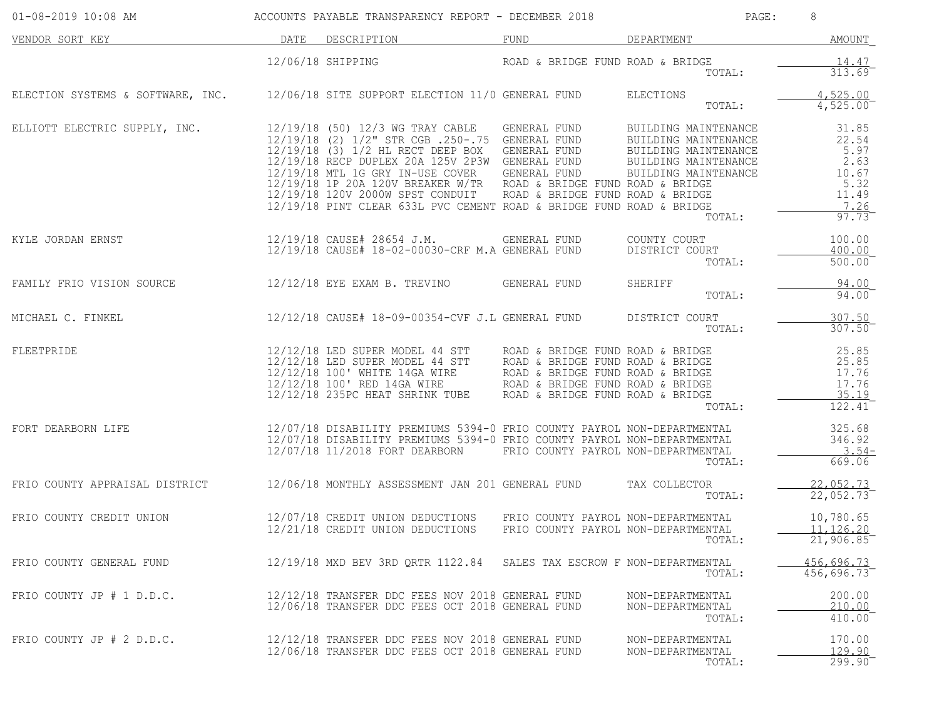| $01 - 08 - 2019$ 10:08 AM                                                          | ACCOUNTS PAYABLE TRANSPARENCY REPORT - DECEMBER 2018                                                                                                                                                                                                                                                                                                                                                                                                                                                          |                                     | PAGE:                                                                                                                          | 8                                                                         |
|------------------------------------------------------------------------------------|---------------------------------------------------------------------------------------------------------------------------------------------------------------------------------------------------------------------------------------------------------------------------------------------------------------------------------------------------------------------------------------------------------------------------------------------------------------------------------------------------------------|-------------------------------------|--------------------------------------------------------------------------------------------------------------------------------|---------------------------------------------------------------------------|
| VENDOR SORT KEY                                                                    | DATE DESCRIPTION                                                                                                                                                                                                                                                                                                                                                                                                                                                                                              | FUND                                | DEPARTMENT                                                                                                                     | AMOUNT                                                                    |
|                                                                                    | 12/06/18 SHIPPING                                                                                                                                                                                                                                                                                                                                                                                                                                                                                             | ROAD & BRIDGE FUND ROAD & BRIDGE    | TOTAL:                                                                                                                         | 14.47<br>313.69                                                           |
| ELECTION SYSTEMS & SOFTWARE, INC. 12/06/18 SITE SUPPORT ELECTION 11/0 GENERAL FUND |                                                                                                                                                                                                                                                                                                                                                                                                                                                                                                               |                                     | ELECTIONS<br>TOTAL:                                                                                                            | 4,525.00<br>$4,525.00^-$                                                  |
| ELLIOTT ELECTRIC SUPPLY, INC.                                                      | 12/19/18 (50) 12/3 WG TRAY CABLE<br>12/19/18 (2) 1/2" STR CGB .250-.75 GENERAL FUND<br>12/19/16 (3) 1/2 HL RECT DEEP BOX GENERAL FUND<br>12/19/18 RECP DUPLEX 20A 125V 2P3W GENERAL FUND<br>12/19/18 MTL 1G GRY IN-USE COVER GENERAL FUND<br>12/19/18 1P 20A 120V RREAKED W/TD BOAR PLEUND<br>12/19/18 1P 20A 120V BREAKER W/TR ROAD & BRIDGE FUND ROAD & BRIDGE<br>12/19/18 120V 2000W SPST CONDUIT ROAD & BRIDGE FUND ROAD & BRIDGE<br>12/19/18 PINT CLEAR 633L PVC CEMENT ROAD & BRIDGE FUND ROAD & BRIDGE | GENERAL FUND                        | BUILDING MAINTENANCE<br>BUILDING MAINTENANCE<br>BUILDING MAINTENANCE<br>BUILDING MAINTENANCE<br>BUILDING MAINTENANCE<br>TOTAL: | 31.85<br>22.54<br>5.97<br>2.63<br>10.67<br>5.32<br>11.49<br>7.26<br>97.73 |
| KYLE JORDAN ERNST                                                                  | 12/19/18 CAUSE# 28654 J.M.<br>12/19/18 CAUSE# 18-02-00030-CRF M.A GENERAL FUND                                                                                                                                                                                                                                                                                                                                                                                                                                | GENERAL FUND                        | COUNTY COURT<br>DISTRICT COURT<br>TOTAL:                                                                                       | 100.00<br>400.00<br>$500.00^{-}$                                          |
| FAMILY FRIO VISION SOURCE                                                          | 12/12/18 EYE EXAM B. TREVINO             GENERAL FUND                                                                                                                                                                                                                                                                                                                                                                                                                                                         |                                     | SHERIFF<br>TOTAL:                                                                                                              | 94.00<br>94.00                                                            |
| MICHAEL C. FINKEL                                                                  | 12/12/18 CAUSE# 18-09-00354-CVF J.L GENERAL FUND                                                                                                                                                                                                                                                                                                                                                                                                                                                              |                                     | DISTRICT COURT<br>TOTAL:                                                                                                       | 307.50<br>307.50                                                          |
| FLEETPRIDE                                                                         | 12/12/18 LED SUPER MODEL 44 STT      ROAD & BRIDGE FUND ROAD & BRIDGE<br>12/12/18 LED SUPER MODEL 44 STT     ROAD & BRIDGE FUND ROAD & BRIDGE<br>12/12/18 100' WHITE 14GA WIRE      ROAD & BRIDGE FUND ROAD & BRIDGE<br>$12/12/18$ 100' RED 14GA WIRE ROAD & BRIDGE FUND ROAD & BRIDGE 12/12/18 235PC HEAT SHRINK TUBE ROAD & BRIDGE FUND ROAD & BRIDGE                                                                                                                                                       |                                     | TOTAL:                                                                                                                         | 25.85<br>25.85<br>17.76<br>17.76<br>35.19<br>$122.41^{-}$                 |
| FORT DEARBORN LIFE                                                                 | 12/07/18 DISABILITY PREMIUMS 5394-0 FRIO COUNTY PAYROL NON-DEPARTMENTAL<br>12/07/18 DISABILITY PREMIUMS 5394-0 FRIO COUNTY PAYROL NON-DEPARTMENTAL<br>12/07/18 11/2018 FORT DEARBORN FRIO COUNTY PAYROL NON-DEPARTMENTAL                                                                                                                                                                                                                                                                                      |                                     | TOTAL:                                                                                                                         | 325.68<br>346.92<br>$3.54-$<br>669.06                                     |
| FRIO COUNTY APPRAISAL DISTRICT                                                     | 12/06/18 MONTHLY ASSESSMENT JAN 201 GENERAL FUND                                                                                                                                                                                                                                                                                                                                                                                                                                                              |                                     | TAX COLLECTOR<br>TOTAL:                                                                                                        | 22,052.73<br>22,052.73                                                    |
| FRIO COUNTY CREDIT UNION                                                           | 12/07/18 CREDIT UNION DEDUCTIONS FRIO COUNTY PAYROL NON-DEPARTMENTAL<br>12/21/18 CREDIT UNION DEDUCTIONS                                                                                                                                                                                                                                                                                                                                                                                                      | FRIO COUNTY PAYROL NON-DEPARTMENTAL | TOTAL:                                                                                                                         | 10,780.65<br>11,126.20<br>21,906.85                                       |
| FRIO COUNTY GENERAL FUND                                                           | 12/19/18 MXD BEV 3RD ORTR 1122.84 SALES TAX ESCROW F NON-DEPARTMENTAL                                                                                                                                                                                                                                                                                                                                                                                                                                         |                                     | TOTAL:                                                                                                                         | 456,696.73<br>456,696.73                                                  |
| FRIO COUNTY JP # 1 D.D.C.                                                          | 12/12/18 TRANSFER DDC FEES NOV 2018 GENERAL FUND<br>12/06/18 TRANSFER DDC FEES OCT 2018 GENERAL FUND                                                                                                                                                                                                                                                                                                                                                                                                          |                                     | NON-DEPARTMENTAL<br>NON-DEPARTMENTAL<br>TOTAL:                                                                                 | 200.00<br>210.00<br>410.00                                                |
| FRIO COUNTY JP $# 2 D.D.C.$                                                        | 12/12/18 TRANSFER DDC FEES NOV 2018 GENERAL FUND<br>12/06/18 TRANSFER DDC FEES OCT 2018 GENERAL FUND                                                                                                                                                                                                                                                                                                                                                                                                          |                                     | NON-DEPARTMENTAL<br>NON-DEPARTMENTAL<br>TOTAL:                                                                                 | 170.00<br>129.90<br>299.90                                                |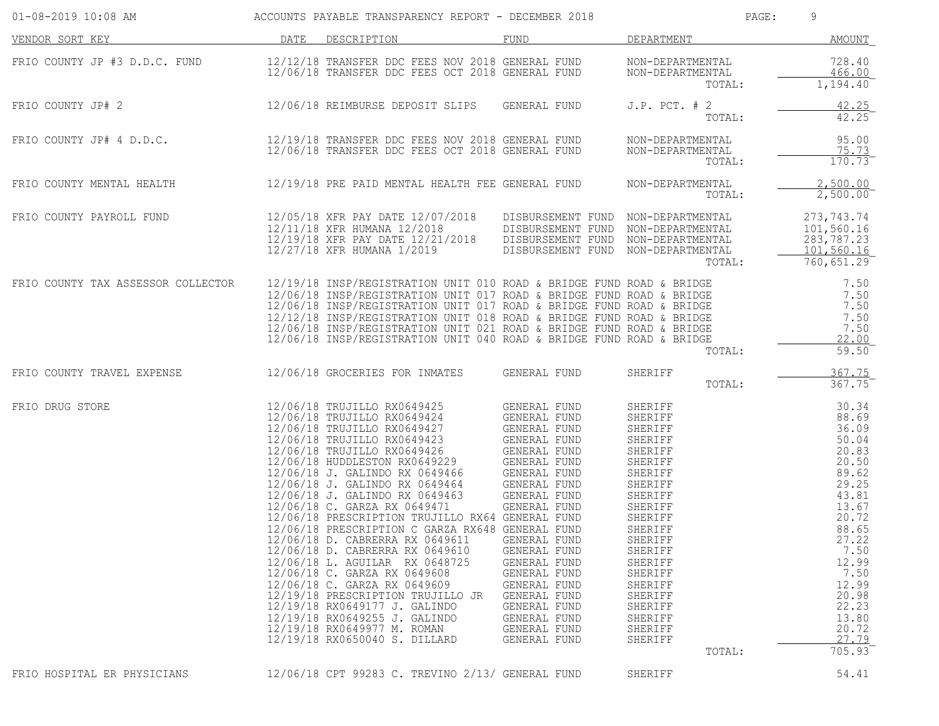| 01-08-2019 10:08 AM                |      | ACCOUNTS PAYABLE TRANSPARENCY REPORT - DECEMBER 2018                                                                                                                                                                                                                                                                                                                                                                                                                                                                                                                                                                                                                                                                                                                                                                                     |                                                                                                                                                                                                                                                                              |                                                                                                                                                                                                                                                          | 9<br>PAGE:                                                                                                                                                                                                                |
|------------------------------------|------|------------------------------------------------------------------------------------------------------------------------------------------------------------------------------------------------------------------------------------------------------------------------------------------------------------------------------------------------------------------------------------------------------------------------------------------------------------------------------------------------------------------------------------------------------------------------------------------------------------------------------------------------------------------------------------------------------------------------------------------------------------------------------------------------------------------------------------------|------------------------------------------------------------------------------------------------------------------------------------------------------------------------------------------------------------------------------------------------------------------------------|----------------------------------------------------------------------------------------------------------------------------------------------------------------------------------------------------------------------------------------------------------|---------------------------------------------------------------------------------------------------------------------------------------------------------------------------------------------------------------------------|
| VENDOR SORT KEY                    | DATE | DESCRIPTION                                                                                                                                                                                                                                                                                                                                                                                                                                                                                                                                                                                                                                                                                                                                                                                                                              | FUND                                                                                                                                                                                                                                                                         | DEPARTMENT                                                                                                                                                                                                                                               | <b>AMOUNT</b>                                                                                                                                                                                                             |
| FRIO COUNTY JP #3 D.D.C. FUND      |      | 12/12/18 TRANSFER DDC FEES NOV 2018 GENERAL FUND<br>12/06/18 TRANSFER DDC FEES OCT 2018 GENERAL FUND                                                                                                                                                                                                                                                                                                                                                                                                                                                                                                                                                                                                                                                                                                                                     |                                                                                                                                                                                                                                                                              | NON-DEPARTMENTAL<br>NON-DEPARTMENTAL<br>TOTAL:                                                                                                                                                                                                           | 728.40<br>466.00<br>$1,194.40^-$                                                                                                                                                                                          |
| FRIO COUNTY JP# 2                  |      | 12/06/18 REIMBURSE DEPOSIT SLIPS                                                                                                                                                                                                                                                                                                                                                                                                                                                                                                                                                                                                                                                                                                                                                                                                         | GENERAL FUND                                                                                                                                                                                                                                                                 | $J.P.$ PCT. $# 2$<br>TOTAL:                                                                                                                                                                                                                              | 42.25<br>42.25                                                                                                                                                                                                            |
| FRIO COUNTY JP# 4 D.D.C.           |      | 12/19/18 TRANSFER DDC FEES NOV 2018 GENERAL FUND<br>12/06/18 TRANSFER DDC FEES OCT 2018 GENERAL FUND                                                                                                                                                                                                                                                                                                                                                                                                                                                                                                                                                                                                                                                                                                                                     |                                                                                                                                                                                                                                                                              | NON-DEPARTMENTAL<br>NON-DEPARTMENTAL<br>TOTAL:                                                                                                                                                                                                           | 95.00<br>75.73<br>170.73                                                                                                                                                                                                  |
| FRIO COUNTY MENTAL HEALTH          |      | 12/19/18 PRE PAID MENTAL HEALTH FEE GENERAL FUND                                                                                                                                                                                                                                                                                                                                                                                                                                                                                                                                                                                                                                                                                                                                                                                         |                                                                                                                                                                                                                                                                              | NON-DEPARTMENTAL<br>TOTAL:                                                                                                                                                                                                                               | 2,500.00<br>2,500.00                                                                                                                                                                                                      |
| FRIO COUNTY PAYROLL FUND           |      | 12/05/18 XFR PAY DATE 12/07/2018<br>12/11/18 XFR HUMANA 12/2018<br>12/19/18 XFR PAY DATE 12/21/2018<br>12/27/18 XFR HUMANA 1/2019                                                                                                                                                                                                                                                                                                                                                                                                                                                                                                                                                                                                                                                                                                        | DISBURSEMENT FUND NON-DEPARTMENTAL<br>DISBURSEMENT FUND NON-DEPARTMENTAL<br>DISBURSEMENT FUND NON-DEPARTMENTAL<br>DISBURSEMENT FUND NON-DEPARTMENTAL                                                                                                                         | TOTAL:                                                                                                                                                                                                                                                   | 273,743.74<br>101,560.16<br>283,787.23<br>101,560.16<br>760,651.29                                                                                                                                                        |
| FRIO COUNTY TAX ASSESSOR COLLECTOR |      | 12/19/18 INSP/REGISTRATION UNIT 010 ROAD & BRIDGE FUND ROAD & BRIDGE<br>12/06/18 INSP/REGISTRATION UNIT 017 ROAD & BRIDGE FUND ROAD & BRIDGE<br>12/06/18 INSP/REGISTRATION UNIT 017 ROAD & BRIDGE FUND ROAD & BRIDGE<br>12/12/18 INSP/REGISTRATION UNIT 018 ROAD & BRIDGE FUND ROAD & BRIDGE<br>12/06/18 INSP/REGISTRATION UNIT 021 ROAD & BRIDGE FUND ROAD & BRIDGE<br>12/06/18 INSP/REGISTRATION UNIT 040 ROAD & BRIDGE FUND ROAD & BRIDGE                                                                                                                                                                                                                                                                                                                                                                                             |                                                                                                                                                                                                                                                                              | TOTAL:                                                                                                                                                                                                                                                   | 7.50<br>7.50<br>7.50<br>7.50<br>7.50<br>22.00<br>59.50                                                                                                                                                                    |
| FRIO COUNTY TRAVEL EXPENSE         |      | 12/06/18 GROCERIES FOR INMATES                                                                                                                                                                                                                                                                                                                                                                                                                                                                                                                                                                                                                                                                                                                                                                                                           | GENERAL FUND                                                                                                                                                                                                                                                                 | SHERIFF<br>TOTAL:                                                                                                                                                                                                                                        | 367.75<br>367.75                                                                                                                                                                                                          |
| FRIO DRUG STORE                    |      | 12/06/18 TRUJILLO RX0649425<br>12/06/18 TRUJILLO RX0649424<br>12/06/18 TRUJILLO RX0649427<br>12/06/18 TRUJILLO RX0649423<br>12/06/18 TRUJILLO NAVARILE<br>12/06/18 TRUJILLO RX0649426 GENERAL FUND<br>TIMES TRUJILLO RX0649229 GENERAL FUND<br>12/06/18 J. GALINDO RX 0649466<br>12/06/18 J. GALINDO RX 0649464<br>12/06/18 J. GALINDO RX 0649463<br>12/06/18 C. GARZA RX 0649471<br>12/06/18 PRESCRIPTION TRUJILLO RX64 GENERAL FUND<br>12/06/18 PRESCRIPTION C GARZA RX648 GENERAL FUND<br>12/06/18 D. CABRERRA RX 0649611<br>12/06/18 D. CABRERRA RX 0649610<br>12/06/18 L. AGUILAR RX 0648725<br>12/06/18 C. GARZA RX 0649608<br>12/06/18 C. GARZA RX 0649609<br>12/19/18 PRESCRIPTION TRUJILLO JR<br>12/19/18 RX0649177 J. GALINDO<br>12/19/18 RX0649255 J. GALINDO<br>12/19/18 RX0649977 M. ROMAN<br>12/19/18 RX0650040 S. DILLARD | GENERAL FUND<br>GENERAL FUND<br>GENERAL FUND<br>GENERAL FUND<br>GENERAL FUND<br>GENERAL FUND<br>GENERAL FUND<br>GENERAL FUND<br>GENERAL FUND<br>GENERAL FUND<br>GENERAL FUND<br>GENERAL FUND<br>GENERAL FUND<br>GENERAL FUND<br>GENERAL FUND<br>GENERAL FUND<br>GENERAL FUND | SHERIFF<br>SHERIFF<br>SHERIFF<br>SHERIFF<br>SHERIFF<br>SHERIFF<br>SHERIFF<br>SHERIFF<br>SHERIFF<br>SHERIFF<br>SHERIFF<br>SHERIFF<br>SHERIFF<br>SHERIFF<br>SHERIFF<br>SHERIFF<br>SHERIFF<br>SHERIFF<br>SHERIFF<br>SHERIFF<br>SHERIFF<br>SHERIFF<br>TOTAL: | 30.34<br>88.69<br>36.09<br>50.04<br>20.83<br>20.50<br>89.62<br>29.25<br>43.81<br>13.67<br>20.72<br>88.65<br>27.22<br>7.50<br>12.99<br>7.50<br>12.99<br>20.98<br>22.23<br>13.80<br>20.72<br>27.79<br>$705.93$ <sup>-</sup> |
| FRIO HOSPITAL ER PHYSICIANS        |      | 12/06/18 CPT 99283 C. TREVINO 2/13/ GENERAL FUND                                                                                                                                                                                                                                                                                                                                                                                                                                                                                                                                                                                                                                                                                                                                                                                         |                                                                                                                                                                                                                                                                              | SHERIFF                                                                                                                                                                                                                                                  | 54.41                                                                                                                                                                                                                     |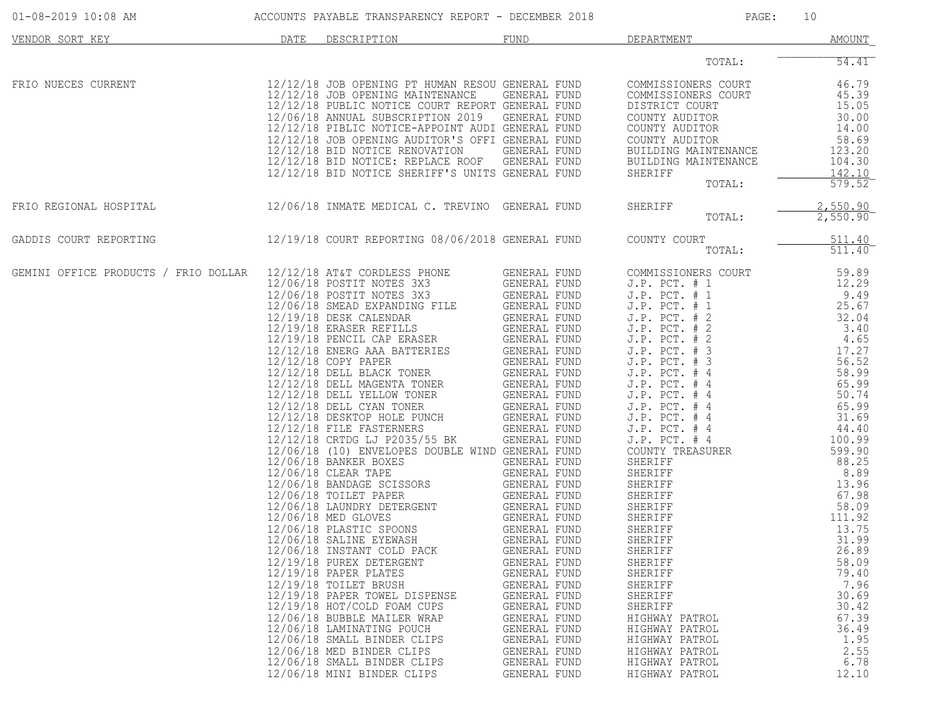| $01 - 08 - 2019$ 10:08 AM            | ACCOUNTS PAYABLE TRANSPARENCY REPORT - DECEMBER 2018 |                                                                                                                                                                                                                                                                                                                                                                                                                                                                                                                                                                                                                                                                                                                                                                                                                                                                                                                                                                                                                                                                                                                                                                      |                                                                                                                                                                                                                                                                                                                                                                                                                                                                                                                                            | PAGE:<br>10                                                                                                                                                                                                                                                                                                                                                                                                                                                                                                                                                                                                                    |                                                                                                                                                                                                                                                                                                                                      |  |
|--------------------------------------|------------------------------------------------------|----------------------------------------------------------------------------------------------------------------------------------------------------------------------------------------------------------------------------------------------------------------------------------------------------------------------------------------------------------------------------------------------------------------------------------------------------------------------------------------------------------------------------------------------------------------------------------------------------------------------------------------------------------------------------------------------------------------------------------------------------------------------------------------------------------------------------------------------------------------------------------------------------------------------------------------------------------------------------------------------------------------------------------------------------------------------------------------------------------------------------------------------------------------------|--------------------------------------------------------------------------------------------------------------------------------------------------------------------------------------------------------------------------------------------------------------------------------------------------------------------------------------------------------------------------------------------------------------------------------------------------------------------------------------------------------------------------------------------|--------------------------------------------------------------------------------------------------------------------------------------------------------------------------------------------------------------------------------------------------------------------------------------------------------------------------------------------------------------------------------------------------------------------------------------------------------------------------------------------------------------------------------------------------------------------------------------------------------------------------------|--------------------------------------------------------------------------------------------------------------------------------------------------------------------------------------------------------------------------------------------------------------------------------------------------------------------------------------|--|
| VENDOR SORT KEY                      | DATE                                                 | DESCRIPTION                                                                                                                                                                                                                                                                                                                                                                                                                                                                                                                                                                                                                                                                                                                                                                                                                                                                                                                                                                                                                                                                                                                                                          | FUND                                                                                                                                                                                                                                                                                                                                                                                                                                                                                                                                       | DEPARTMENT                                                                                                                                                                                                                                                                                                                                                                                                                                                                                                                                                                                                                     | AMOUNT                                                                                                                                                                                                                                                                                                                               |  |
|                                      |                                                      |                                                                                                                                                                                                                                                                                                                                                                                                                                                                                                                                                                                                                                                                                                                                                                                                                                                                                                                                                                                                                                                                                                                                                                      |                                                                                                                                                                                                                                                                                                                                                                                                                                                                                                                                            | TOTAL:                                                                                                                                                                                                                                                                                                                                                                                                                                                                                                                                                                                                                         | 54.41                                                                                                                                                                                                                                                                                                                                |  |
| FRIO NUECES CURRENT                  |                                                      | 12/12/18 JOB OPENING PT HUMAN RESOU GENERAL FUND<br>12/12/18 JOB OPENING MAINTENANCE<br>12/12/18 PUBLIC NOTICE COURT REPORT GENERAL FUND<br>12/06/18 ANNUAL SUBSCRIPTION 2019 GENERAL FUND<br>12/12/18 PIBLIC NOTICE-APPOINT AUDI GENERAL FUND<br>12/12/18 JOB OPENING AUDITOR'S OFFI GENERAL FUND<br>12/12/18 BID NOTICE RENOVATION<br>12/12/18 BID NOTICE: REPLACE ROOF<br>12/12/18 BID NOTICE SHERIFF'S UNITS GENERAL FUND                                                                                                                                                                                                                                                                                                                                                                                                                                                                                                                                                                                                                                                                                                                                        | GENERAL FUND<br>GENERAL FUND<br>GENERAL FUND                                                                                                                                                                                                                                                                                                                                                                                                                                                                                               | COMMISSIONERS COURT<br>COMMISSIONERS COURT<br>DISTRICT COURT<br>COUNTY AUDITOR<br>COUNTY AUDITOR<br>COUNTY AUDITOR<br>BUILDING MAINTENANCE<br>BUILDING MAINTENANCE<br>SHERIFF<br>TOTAL:                                                                                                                                                                                                                                                                                                                                                                                                                                        | 46.79<br>45.39<br>15.05<br>30.00<br>14.00<br>58.69<br>123.20<br>104.30<br>142.10<br>579.52                                                                                                                                                                                                                                           |  |
| FRIO REGIONAL HOSPITAL               |                                                      | 12/06/18 INMATE MEDICAL C. TREVINO GENERAL FUND                                                                                                                                                                                                                                                                                                                                                                                                                                                                                                                                                                                                                                                                                                                                                                                                                                                                                                                                                                                                                                                                                                                      |                                                                                                                                                                                                                                                                                                                                                                                                                                                                                                                                            | SHERIFF<br>TOTAL:                                                                                                                                                                                                                                                                                                                                                                                                                                                                                                                                                                                                              | 2,550.90<br>2,550.90                                                                                                                                                                                                                                                                                                                 |  |
| GADDIS COURT REPORTING               |                                                      | 12/19/18 COURT REPORTING 08/06/2018 GENERAL FUND                                                                                                                                                                                                                                                                                                                                                                                                                                                                                                                                                                                                                                                                                                                                                                                                                                                                                                                                                                                                                                                                                                                     |                                                                                                                                                                                                                                                                                                                                                                                                                                                                                                                                            | COUNTY COURT<br>TOTAL:                                                                                                                                                                                                                                                                                                                                                                                                                                                                                                                                                                                                         | 511.40<br>511.40                                                                                                                                                                                                                                                                                                                     |  |
| GEMINI OFFICE PRODUCTS / FRIO DOLLAR |                                                      | 12/12/18 AT&T CORDLESS PHONE<br>12/06/18 POSTIT NOTES 3X3<br>12/06/18 POSTIT NOTES 3X3<br>12/06/18 SMEAD EXPANDING FILE<br>12/19/18 DESK CALENDAR<br>12/19/18 ERASER REFILLS GENERAL FUND<br>12/19/18 PENCIL CAP ERASER GENERAL FUND<br>12/12/12 ENERG AAA BATTERIES GENERAL FUND<br>12/12/18 COPY PAPER<br>12/12/18 DELL BLACK TONER<br>12/12/18 DELL MAGENTA TONER<br>12/12/18 DELL YELLOW TONER<br>$12/12/18$ DELL CYAN TONER<br>12/12/18 DESKTOP HOLE PUNCH<br>12/12/18 FILE FASTERNERS<br>12/12/18 CRTDG LJ P2035/55 BK<br>12/06/18 (10) ENVELOPES DOUBLE WIND GENERAL FUND<br>12/06/18 BANKER BOXES<br>12/06/18 CLEAR TAPE<br>12/06/18 BANDAGE SCISSORS<br>12/06/18 TOILET PAPER<br>12/06/18 LAUNDRY DETERGENT<br>12/06/18 MED GLOVES<br>12/06/18 PLASTIC SPOONS<br>12/06/18 SALINE EYEWASH<br>12/06/18 INSTANT COLD PACK<br>12/19/18 PUREX DETERGENT<br>$12/19/18$ PAPER PLATES<br>12/19/18 TOILET BRUSH<br>12/19/18 PAPER TOWEL DISPENSE<br>12/19/18 HOT/COLD FOAM CUPS<br>12/06/18 BUBBLE MAILER WRAP<br>12/06/18 LAMINATING POUCH<br>12/06/18 SMALL BINDER CLIPS<br>12/06/18 MED BINDER CLIPS<br>12/06/18 SMALL BINDER CLIPS<br>12/06/18 MINI BINDER CLIPS | GENERAL FUND<br>GENERAL FUND<br>GENERAL FUND<br>GENERAL FUND<br>GENERAL FUND<br>GENERAL FUND<br>GENERAL FUND<br>GENERAL FUND<br>GENERAL FUND<br>GENERAL FUND<br>GENERAL FUND<br>GENERAL FUND<br>GENERAL FUND<br>GENERAL FUND<br>GENERAL FUND<br>GENERAL FUND<br>GENERAL FUND<br>GENERAL FUND<br><b>GENERAL FUND</b><br><b>GENERAL FUND</b><br>GENERAL FUND<br>GENERAL FUND<br>GENERAL FUND<br>GENERAL FUND<br>GENERAL FUND<br>GENERAL FUND<br>GENERAL FUND<br>GENERAL FUND<br>GENERAL FUND<br>GENERAL FUND<br>GENERAL FUND<br>GENERAL FUND | COMMISSIONERS COURT<br>$J.P.$ PCT. $# 1$<br>$J.P.$ PCT. $# 1$<br>$J.P.$ PCT. $# 1$<br>$J.P.$ PCT. $# 2$<br>$J.P.$ PCT. $# 2$<br>$J.P.$ PCT. $# 2$<br>$J.P.$ PCT. $# 3$<br>$J.P.$ PCT. $# 3$<br>$J.P.$ PCT. $#4$<br>$J.P.$ PCT. $#4$<br>$J.P.$ PCT. $#4$<br>$J.P.$ PCT. $#4$<br>$J.P.$ PCT. $#4$<br>$J.P.$ PCT. $#4$<br>J.P. PCT. # 4<br>COUNTY TREASURER<br>SHERIFF<br>SHERIFF<br>SHERIFF<br>SHERIFF<br>SHERIFF<br>SHERIFF<br>SHERIFF<br>SHERIFF<br>SHERIFF<br>SHERIFF<br>SHERIFF<br>SHERIFF<br>SHERIFF<br>SHERIFF<br>HIGHWAY PATROL<br>HIGHWAY PATROL<br>HIGHWAY PATROL<br>HIGHWAY PATROL<br>HIGHWAY PATROL<br>HIGHWAY PATROL | 59.89<br>12.29<br>9.49<br>25.67<br>32.04<br>3.40<br>4.65<br>17.27<br>56.52<br>58.99<br>65.99<br>50.74<br>65.99<br>31.69<br>44.40<br>100.99<br>599.90<br>88.25<br>8.89<br>13.96<br>67.98<br>58.09<br>111.92<br>13.75<br>31.99<br>26.89<br>58.09<br>79.40<br>7.96<br>30.69<br>30.42<br>67.39<br>36.49<br>1.95<br>2.55<br>6.78<br>12.10 |  |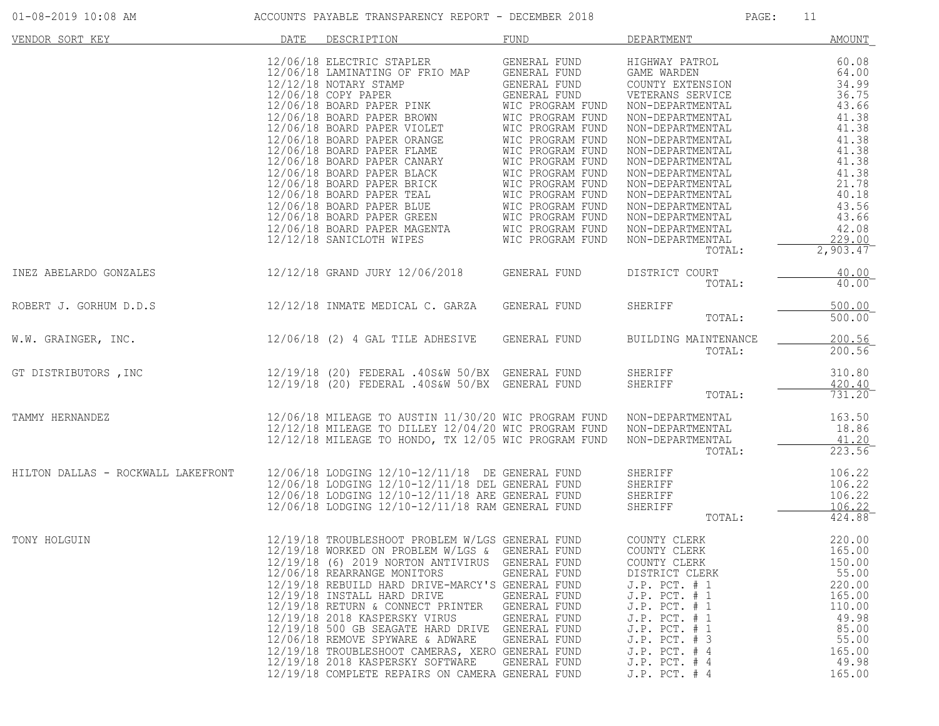| $01 - 08 - 2019$ 10:08 AM |  |  |
|---------------------------|--|--|
|---------------------------|--|--|

| VENDOR SORT KEY                    | DATE | DESCRIPTION                                                                                                                                                                                                                                                                                                                                                                                                                                                                                                                                                                                        | <b>FUND</b>                                                                                                                                                                          | DEPARTMENT                                                                                                                                                                                                                                                                                                                                          | <b>AMOUNT</b>                                                                                                                                                      |
|------------------------------------|------|----------------------------------------------------------------------------------------------------------------------------------------------------------------------------------------------------------------------------------------------------------------------------------------------------------------------------------------------------------------------------------------------------------------------------------------------------------------------------------------------------------------------------------------------------------------------------------------------------|--------------------------------------------------------------------------------------------------------------------------------------------------------------------------------------|-----------------------------------------------------------------------------------------------------------------------------------------------------------------------------------------------------------------------------------------------------------------------------------------------------------------------------------------------------|--------------------------------------------------------------------------------------------------------------------------------------------------------------------|
|                                    |      | 12/06/18 ELECTRIC STAPLER<br>12/06/18 LAMINATING OF FRIO MAP<br>12/12/18 NOTARY STAMP<br>12/06/18 COPY PAPER<br>12/06/18 BOARD PAPER PINK WIC PROGRAM FUND<br>12/06/18 BOARD PAPER BROWN<br>12/06/18 BOARD PAPER VIOLET<br>12/06/18 BOARD PAPER ORANGE<br>12/06/18 BOARD PAPER FLAME<br>12/06/18 BOARD PAPER CANARY<br>12/06/18 BOARD PAPER BLACK<br>12/06/18 BOARD PAPER BLACK MIC PROGRAM FUND<br>12/06/18 BOARD PAPER BRICK MIC PROGRAM FUND<br>12/06/18 BOARD PAPER TEAL MIC PROGRAM FUND<br>12/06/18 BOARD PAPER GREEN MIC PROGRAM FUND<br>12/06/18 BOARD PAPER MAGENTA MIC PROGRAM FUND<br>1 | GENERAL FUND<br>GENERAL FUND<br>GENERAL FUND<br>GENERAL FUND<br>WIC PROGRAM FUND<br>WIC PROGRAM FUND<br>WIC PROGRAM FUND<br>WIC PROGRAM FUND<br>WIC PROGRAM FUND<br>WIC PROGRAM FUND | HIGHWAY PATROL<br>GAME WARDEN<br>COUNTY EXTENSION<br>VETERANS SERVICE<br>NON-DEPARTMENTAL<br>NON-DEPARTMENTAL<br>NON-DEPARTMENTAL<br>NON-DEPARTMENTAL<br>NON-DEPARTMENTAL<br>NON-DEPARTMENTAL<br>NON-DEPARTMENTAL<br>NON-DEPARTMENTAL<br>NON-DEPARTMENTAL<br>NON-DEPARTMENTAL<br>NON-DEPARTMENTAL<br>NON-DEPARTMENTAL<br>NON-DEPARTMENTAL<br>TOTAL: | 60.08<br>64.00<br>34.99<br>36.75<br>43.66<br>41.38<br>41.38<br>41.38<br>41.38<br>41.38<br>41.38<br>21.78<br>40.18<br>43.56<br>43.66<br>42.08<br>229.00<br>2,903.47 |
| INEZ ABELARDO GONZALES             |      | 12/12/18 GRAND JURY 12/06/2018 GENERAL FUND                                                                                                                                                                                                                                                                                                                                                                                                                                                                                                                                                        |                                                                                                                                                                                      | DISTRICT COURT<br>TOTAL:                                                                                                                                                                                                                                                                                                                            | 40.00<br>40.00                                                                                                                                                     |
| ROBERT J. GORHUM D.D.S             |      | 12/12/18 INMATE MEDICAL C. GARZA                                                                                                                                                                                                                                                                                                                                                                                                                                                                                                                                                                   | GENERAL FUND                                                                                                                                                                         | SHERIFF<br>TOTAL:                                                                                                                                                                                                                                                                                                                                   | 500.00<br>500.00                                                                                                                                                   |
| W.W. GRAINGER, INC.                |      | 12/06/18 (2) 4 GAL TILE ADHESIVE                                                                                                                                                                                                                                                                                                                                                                                                                                                                                                                                                                   | GENERAL FUND                                                                                                                                                                         | BUILDING MAINTENANCE<br>TOTAL:                                                                                                                                                                                                                                                                                                                      | 200.56<br>200.56                                                                                                                                                   |
| GT DISTRIBUTORS , INC              |      | 12/19/18 (20) FEDERAL .40S&W 50/BX GENERAL FUND<br>12/19/18 (20) FEDERAL .40S&W 50/BX GENERAL FUND                                                                                                                                                                                                                                                                                                                                                                                                                                                                                                 |                                                                                                                                                                                      | SHERIFF<br>SHERIFF<br>TOTAL:                                                                                                                                                                                                                                                                                                                        | 310.80<br>420.40<br>731.20                                                                                                                                         |
| TAMMY HERNANDEZ                    |      | 12/06/18 MILEAGE TO AUSTIN 11/30/20 WIC PROGRAM FUND<br>12/12/18 MILEAGE TO DILLEY 12/04/20 WIC PROGRAM FUND<br>12/12/18 MILEAGE TO HONDO, TX 12/05 WIC PROGRAM FUND                                                                                                                                                                                                                                                                                                                                                                                                                               |                                                                                                                                                                                      | NON-DEPARTMENTAL<br>NON-DEPARTMENTAL<br>NON-DEPARTMENTAL<br>TOTAL:                                                                                                                                                                                                                                                                                  | 163.50<br>18.86<br>41.20<br>223.56                                                                                                                                 |
| HILTON DALLAS - ROCKWALL LAKEFRONT |      | 12/06/18 LODGING 12/10-12/11/18 DE GENERAL FUND<br>12/06/18 LODGING 12/10-12/11/18 DEL GENERAL FUND<br>12/06/18 LODGING 12/10-12/11/18 ARE GENERAL FUND<br>12/06/18 LODGING 12/10-12/11/18 RAM GENERAL FUND                                                                                                                                                                                                                                                                                                                                                                                        |                                                                                                                                                                                      | SHERIFF<br>SHERIFF<br>SHERIFF<br>SHERIFF<br>TOTAL:                                                                                                                                                                                                                                                                                                  | 106.22<br>106.22<br>106.22<br>106.22<br>424.88                                                                                                                     |
| TONY HOLGUIN                       |      | 12/19/18 TROUBLESHOOT PROBLEM W/LGS GENERAL FUND<br>12/19/18 WORKED ON PROBLEM W/LGS & GENERAL FUND<br>12/19/18 (6) 2019 NORTON ANTIVIRUS GENERAL FUND<br>12/06/18 REARRANGE MONITORS<br>12/19/18 REBUILD HARD DRIVE-MARCY'S GENERAL FUND<br>12/19/18 INSTALL HARD DRIVE<br>12/19/18 RETURN & CONNECT PRINTER<br>12/19/18 2018 KASPERSKY VIRUS<br>12/19/18 500 GB SEAGATE HARD DRIVE GENERAL FUND<br>12/06/18 REMOVE SPYWARE & ADWARE<br>12/19/18 TROUBLESHOOT CAMERAS, XERO GENERAL FUND<br>12/19/18 2018 KASPERSKY SOFTWARE<br>12/19/18 COMPLETE REPAIRS ON CAMERA GENERAL FUND                  | GENERAL FUND<br>GENERAL FUND<br>GENERAL FUND<br>GENERAL FUND<br>GENERAL FUND<br>GENERAL FUND                                                                                         | COUNTY CLERK<br>COUNTY CLERK<br>COUNTY CLERK<br>DISTRICT CLERK<br>$J.P.$ PCT. $# 1$<br>$J.P.$ PCT. $# 1$<br>$J.P.$ PCT. $# 1$<br>J.P. PCT. # 1<br>J.P. PCT. # 1<br>J.P. PCT. # 3<br>$J.P.$ PCT. $#4$<br>J.P. PCT. # 4<br>J.P. PCT. # 4                                                                                                              | 220.00<br>165.00<br>150.00<br>55.00<br>220.00<br>165.00<br>110.00<br>49.98<br>85.00<br>55.00<br>165.00<br>49.98<br>165.00                                          |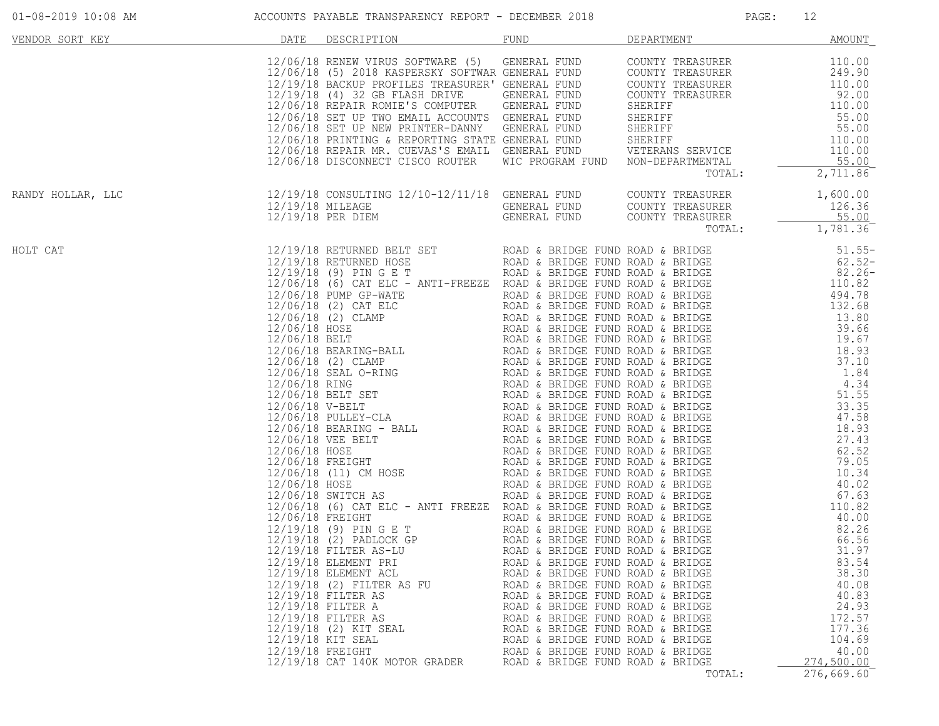| VENDOR SORT KEY   | DATE             | DESCRIPTION                                                                                                                                                                                                                                                                                                                                                                                                                                                 | FUND                                                                                                                                                                                                                                                                                                                                                                 | DEPARTMENT | AMOUNT                                                                                         |
|-------------------|------------------|-------------------------------------------------------------------------------------------------------------------------------------------------------------------------------------------------------------------------------------------------------------------------------------------------------------------------------------------------------------------------------------------------------------------------------------------------------------|----------------------------------------------------------------------------------------------------------------------------------------------------------------------------------------------------------------------------------------------------------------------------------------------------------------------------------------------------------------------|------------|------------------------------------------------------------------------------------------------|
|                   |                  |                                                                                                                                                                                                                                                                                                                                                                                                                                                             |                                                                                                                                                                                                                                                                                                                                                                      | TOTAL:     | 2,711.86                                                                                       |
| RANDY HOLLAR, LLC |                  | $12/19/18 CONSULTING 12/10-12/11/18 GENERAL FUND COUNTY TREASURER 1,600.0012/19/18 MILEAGE12/19/18 PER DIEM12/19/18 PER DIEM12/19/18 PER DIEM12/19/18 PER DIEM12/19/18 PER DIEM12/19/18 PER DIEM1,781.36$                                                                                                                                                                                                                                                   |                                                                                                                                                                                                                                                                                                                                                                      |            |                                                                                                |
| HOLT CAT          | 12/19/18 FREIGHT | 12/19/10 SETUREMENT SET TREDET FUND ROAD & SETURE FUND ROAD & RESIDENCE 12/19/10 SETURE SET TREDET FUND ROAD & RESIDENCE 12/19/10 SET TREDET TREDET TREDET TREDET TREDET TREDET TREDET TREDET TREDET TREDET TREDET TREDET TRE<br>12/19/18 ELEMENT PRI<br>12/19/18 ELEMENT ACL<br>12/19/18 (2) FILTER AS FU<br>12/19/18 FILTER AS<br>12/19/18 FILTER A<br>12/19/18 FILTER AS<br>12/19/18 (2) KIT SEAL<br>12/19/18 KIT SEAL<br>12/19/18 CAT 140K MOTOR GRADER | ROAD & BRIDGE FUND ROAD & BRIDGE<br>ROAD & BRIDGE FUND ROAD & BRIDGE<br>ROAD & BRIDGE FUND ROAD & BRIDGE<br>ROAD & BRIDGE FUND ROAD & BRIDGE<br>ROAD & BRIDGE FUND ROAD & BRIDGE<br>ROAD & BRIDGE FUND ROAD & BRIDGE<br>ROAD & BRIDGE FUND ROAD & BRIDGE<br>ROAD & BRIDGE FUND ROAD & BRIDGE<br>ROAD & BRIDGE FUND ROAD & BRIDGE<br>ROAD & BRIDGE FUND ROAD & BRIDGE |            | 83.54<br>38.30<br>40.08<br>40.83<br>24.93<br>172.57<br>177.36<br>104.69<br>40.00<br>274,500.00 |

01-08-2019 10:08 AM ACCOUNTS PAYABLE TRANSPARENCY REPORT - DECEMBER 2018 PAGE: 12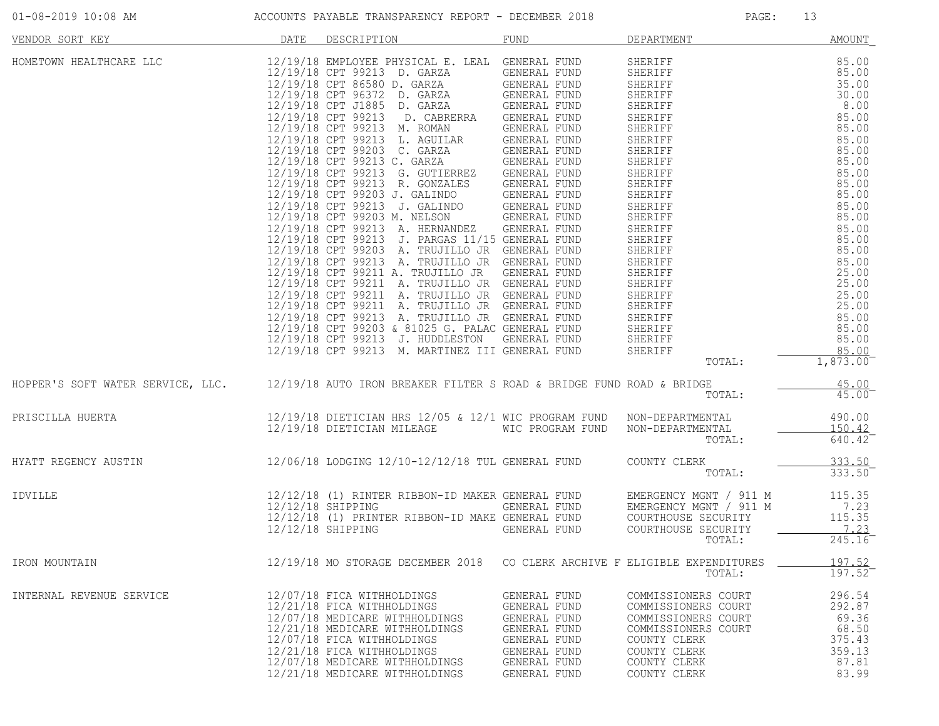|                     | -------------<br>____                                | ______ | ----------- |  |
|---------------------|------------------------------------------------------|--------|-------------|--|
| 01-08-2019 10:08 AM | ACCOUNTS PAYABLE TRANSPARENCY REPORT - DECEMBER 2018 |        | PAGE        |  |

| <u>DATE</u><br>VENDOR SORT KEY                                                                         | DESCRIPTION                                                                                                                                                                                                                                                  | <b>FUND</b>                                                                                                                                | DEPARTMENT                                                                                                                                               | <b>AMOUNT</b>                                                            |
|--------------------------------------------------------------------------------------------------------|--------------------------------------------------------------------------------------------------------------------------------------------------------------------------------------------------------------------------------------------------------------|--------------------------------------------------------------------------------------------------------------------------------------------|----------------------------------------------------------------------------------------------------------------------------------------------------------|--------------------------------------------------------------------------|
| HOMETOWN HEALTHCARE LLC 12/19/18 EMPLOYEE PHYSICAL E. LEAL GENERAL FUND                                | 12/19/18 CPT 99213 D. GARZA GENERAL FUND<br>12/19/18 CPT 86580 D. GARZA GENERAL FUND<br>12/19/18 CPT 96372 D. GARZA GENERAL FUND<br>12/19/18 CPT J1885 D. GARZA GENERAL FUND<br>12/19/18 CPT 99213 M. MARTINEZ III GENERAL FUND                              |                                                                                                                                            | SHERIFF<br>TOTAL:                                                                                                                                        | 85.00<br>1,873.00                                                        |
| HOPPER'S SOFT WATER SERVICE, LLC. 12/19/18 AUTO IRON BREAKER FILTER S ROAD & BRIDGE FUND ROAD & BRIDGE |                                                                                                                                                                                                                                                              |                                                                                                                                            | TOTAL:                                                                                                                                                   | 45.00<br>45.00                                                           |
| PRISCILLA HUERTA                                                                                       | 12/19/18 DIETICIAN HRS 12/05 & 12/1 WIC PROGRAM FUND NON-DEPARTMENTAL<br>12/19/19 DIETICIAN MILEACE – WIC PROGRAM FUND – NON PERAPTMENTAL<br>12/19/18 DIETICIAN MILEAGE WIC PROGRAM FUND NON-DEPARTMENTAL                                                    |                                                                                                                                            | TOTAL:                                                                                                                                                   | 490.00<br>150.42<br>640.42                                               |
| HYATT REGENCY AUSTIN                                                                                   | 12/06/18 LODGING 12/10-12/12/18 TUL GENERAL FUND COUNTY CLERK                                                                                                                                                                                                |                                                                                                                                            | TOTAL:                                                                                                                                                   | 333.50<br>333.50                                                         |
| IDVILLE                                                                                                | 12/12/18 (1) RINTER RIBBON-ID MAKER GENERAL FUND<br>12/12/18 SHIPPING GENERAL FUND EMERGENCY MGNT / 911 M<br>12/12/18 (1) PRINTER RIBBON-ID MAKE GENERAL FUND COURTHOUSE SECURITY<br>12/12/18 SHIPPING GENERAL FUND COURTHOUSE SECURITY                      |                                                                                                                                            | COURTHOUSE SECURITY<br>TOTAL:                                                                                                                            | 115.35<br>7.23<br>115.35<br>7.23<br>245.16                               |
| IRON MOUNTAIN                                                                                          | 12/19/18 MO STORAGE DECEMBER 2018 CO CLERK ARCHIVE F ELIGIBLE EXPENDITURES                                                                                                                                                                                   |                                                                                                                                            | TOTAL:                                                                                                                                                   | 197.52<br>$197.52^-$                                                     |
| INTERNAL REVENUE SERVICE                                                                               | 12/07/18 FICA WITHHOLDINGS<br>12/21/18 FICA WITHHOLDINGS<br>12/07/18 MEDICARE WITHHOLDINGS<br>12/21/18 MEDICARE WITHHOLDINGS<br>12/07/18 FICA WITHHOLDINGS<br>12/21/18 FICA WITHHOLDINGS<br>12/07/18 MEDICARE WITHHOLDINGS<br>12/21/18 MEDICARE WITHHOLDINGS | GENERAL FUND<br>GENERAL FUND<br>GENERAL FUND<br>GENERAL FUND<br>GENERAL FUND<br><b>GENERAL FUND</b><br>GENERAL FUND<br><b>GENERAL FUND</b> | COMMISSIONERS COURT<br>COMMISSIONERS COURT<br>COMMISSIONERS COURT<br>COMMISSIONERS COURT<br>COUNTY CLERK<br>COUNTY CLERK<br>COUNTY CLERK<br>COUNTY CLERK | 296.54<br>292.87<br>69.36<br>68.50<br>375.43<br>359.13<br>87.81<br>83.99 |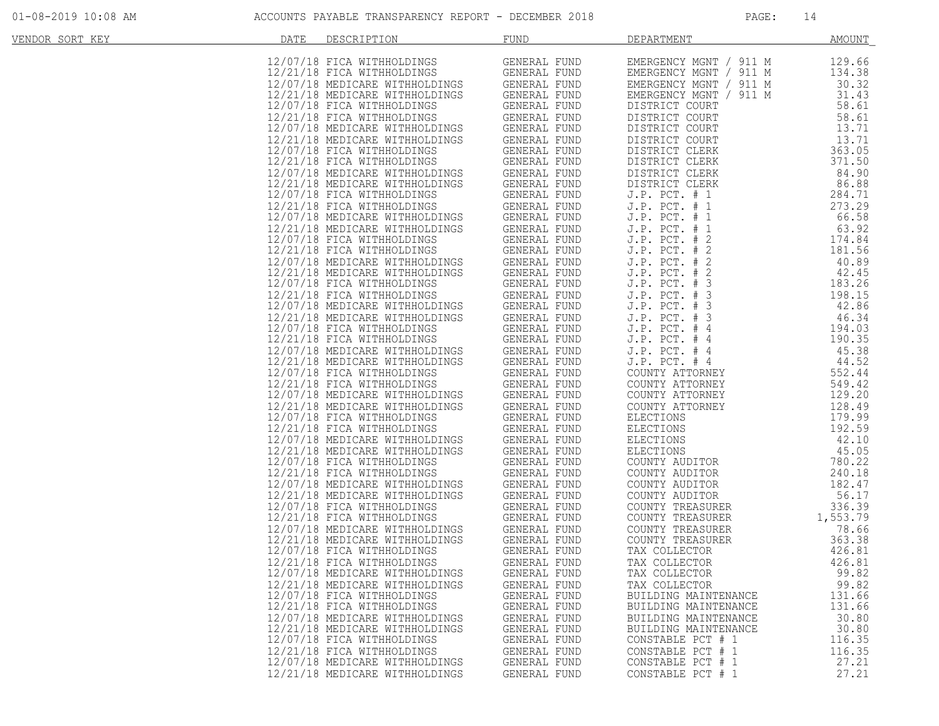| VENDOR SORT KEY | <b>DATE</b> | DESCRIPTION                                                                                                                                                                                                                                      | <b>FUND</b>                                                                                                                     | DEPARTMENT                                                                                       | AMOUNT             |
|-----------------|-------------|--------------------------------------------------------------------------------------------------------------------------------------------------------------------------------------------------------------------------------------------------|---------------------------------------------------------------------------------------------------------------------------------|--------------------------------------------------------------------------------------------------|--------------------|
|                 |             |                                                                                                                                                                                                                                                  |                                                                                                                                 |                                                                                                  |                    |
|                 |             |                                                                                                                                                                                                                                                  |                                                                                                                                 | EMERGENCY MGNT / 911 M                                                                           | 129.66             |
|                 |             |                                                                                                                                                                                                                                                  |                                                                                                                                 | EMERGENCY MGNT / 911 M                                                                           | 134.38             |
|                 |             | 12/07/18 FICA WITHHOLDINGS GENERAL FUND<br>12/21/18 FICA WITHHOLDINGS GENERAL FUND<br>12/07/18 MEDICARE WITHHOLDINGS GENERAL FUND<br>12/21/18 MEDICARE WITHHOLDINGS GENERAL FUND                                                                 |                                                                                                                                 | EMERGENCY MGNT / 911 M                                                                           | 30.32              |
|                 |             |                                                                                                                                                                                                                                                  |                                                                                                                                 | EMERGENCY MGNT / 911 M                                                                           | 31.43              |
|                 |             | 12/07/18 FICA WITHHOLDINGS                                                                                                                                                                                                                       | GENERAL FUND                                                                                                                    | DISTRICT COURT                                                                                   | 58.61              |
|                 |             | 12/21/18 FICA WITHHOLDINGS<br>12/07/18 MEDICARE WITHHOLDINGS                                                                                                                                                                                     | GENERAL FUND<br>GENERAL FUND                                                                                                    | DISTRICT COURT<br>DISTRICT COURT<br>DISTRICT COURT                                               | 58.61<br>13.71     |
|                 |             |                                                                                                                                                                                                                                                  |                                                                                                                                 |                                                                                                  | 13.71              |
|                 |             |                                                                                                                                                                                                                                                  |                                                                                                                                 | DISTRICT COURT<br>DISTRICT CLERK                                                                 | 363.05             |
|                 |             |                                                                                                                                                                                                                                                  |                                                                                                                                 |                                                                                                  | 371.50             |
|                 |             |                                                                                                                                                                                                                                                  |                                                                                                                                 |                                                                                                  | 84.90              |
|                 |             |                                                                                                                                                                                                                                                  |                                                                                                                                 |                                                                                                  | 86.88              |
|                 |             |                                                                                                                                                                                                                                                  |                                                                                                                                 |                                                                                                  | 284.71             |
|                 |             | 2/21/18 MEDICARE with CONSTRAINING CENERAL FUND<br>12/07/18 FICA WITHHOLDINGS GENERAL FUND<br>12/07/18 MEDICARE WITHHOLDINGS GENERAL FUND<br>12/21/18 MEDICARE WITHHOLDINGS GENERAL FUND<br>12/07/18 FICA WITHHOLDINGS GENERAL FUND<br>12/07/    |                                                                                                                                 | DISTRICT CLERK<br>DISTRICT CLERK<br>DISTRICT CLERK<br>J.P. PCT. # 1<br>J.P. PCT. # 1<br>P.P. # 1 | 273.29             |
|                 |             |                                                                                                                                                                                                                                                  |                                                                                                                                 | J.P. PCT. # 1                                                                                    | 66.58              |
|                 |             |                                                                                                                                                                                                                                                  |                                                                                                                                 | $J.P.$ PCT. $# 1$                                                                                | 63.92              |
|                 |             |                                                                                                                                                                                                                                                  |                                                                                                                                 | $J.P.$ PCT. $# 2$                                                                                | 174.84             |
|                 |             |                                                                                                                                                                                                                                                  |                                                                                                                                 |                                                                                                  |                    |
|                 |             |                                                                                                                                                                                                                                                  |                                                                                                                                 |                                                                                                  |                    |
|                 |             |                                                                                                                                                                                                                                                  |                                                                                                                                 |                                                                                                  |                    |
|                 |             |                                                                                                                                                                                                                                                  |                                                                                                                                 | J.P. PCT. # 2<br>J.P. PCT. # 2<br>J.P. PCT. # 2<br>T P PCT. # 3<br>183.26<br>198.15<br>42.86     |                    |
|                 |             |                                                                                                                                                                                                                                                  |                                                                                                                                 |                                                                                                  |                    |
|                 |             | 12/07/18 FICA WITHHOLDINGS<br>12/07/18 FICA WITHHOLDINGS<br>12/07/18 FICA WITHHOLDINGS<br>12/07/18 MEDICARE WITHHOLDINGS GENERAL FUND<br>12/07/18 MEDICARE WITHHOLDINGS GENERAL FUND<br>12/07/18 FICA WITHHOLDINGS GENERAL FUND<br>12/07/18 FICA |                                                                                                                                 | J.P. PCT. # 3                                                                                    | 46.34              |
|                 |             |                                                                                                                                                                                                                                                  |                                                                                                                                 | J.P. PCT. # 4                                                                                    | 194.03             |
|                 |             | 12/21/18 FICA WITHHOLDINGS                                                                                                                                                                                                                       |                                                                                                                                 | $J.P.$ PCT. $#4$                                                                                 | 190.35             |
|                 |             | 12/07/18 MEDICARE WITHHOLDINGS                                                                                                                                                                                                                   |                                                                                                                                 | J.P. PCT. # 4<br>J.P. PCT. # 4                                                                   | 45.38              |
|                 |             | 12/21/18 MEDICARE WITHHOLDINGS                                                                                                                                                                                                                   |                                                                                                                                 |                                                                                                  | 44.52              |
|                 |             | 12/07/18 FICA WITHHOLDINGS                                                                                                                                                                                                                       |                                                                                                                                 | COUNTY ATTORNEY                                                                                  | 552.44<br>549.42   |
|                 |             | 12/21/18 FICA WITHHOLDINGS<br>12/07/18 MEDICARE WITHHOLDINGS                                                                                                                                                                                     | GENERAL FUND<br>INGS GENERAL FUND<br>INGS GENERAL FUND<br>GENERAL FUND<br>INGS GENERAL FUND<br>INGS GENERAL FUND<br>THERAL FUND | COUNTY ATTORNEY<br>COUNTY ATTORNEY                                                               | 129.20             |
|                 |             | 12/21/18 MEDICARE WITHHOLDINGS                                                                                                                                                                                                                   | TNGS GENERAL FUND<br>GENERAL FUND<br>GENERAL FUND                                                                               | COUNTY ATTORNEY                                                                                  | 128.49             |
|                 |             | 12/07/18 FICA WITHHOLDINGS                                                                                                                                                                                                                       |                                                                                                                                 |                                                                                                  | 179.99             |
|                 |             | 12/21/18 FICA WITHHOLDINGS                                                                                                                                                                                                                       |                                                                                                                                 |                                                                                                  | 192.59             |
|                 |             | 12/07/18 MEDICARE WITHHOLDINGS                                                                                                                                                                                                                   | GENERAL FUND<br>GENERAL FUND                                                                                                    |                                                                                                  | 42.10              |
|                 |             | 12/21/18 MEDICARE WITHHOLDINGS                                                                                                                                                                                                                   |                                                                                                                                 |                                                                                                  | 45.05              |
|                 |             | 12/07/18 FICA WITHHOLDINGS                                                                                                                                                                                                                       | GENERAL FUND                                                                                                                    |                                                                                                  | 780.22             |
|                 |             | 12/21/18 FICA WITHHOLDINGS                                                                                                                                                                                                                       | GENERAL FUND                                                                                                                    | ELECTIONS<br>ELECTIONS<br>ELECTIONS<br>ELECTIONS<br>COUNTY AUDITOR<br>COUNTY AUDITOR             | 240.18             |
|                 |             | 12/07/18 MEDICARE WITHHOLDINGS                                                                                                                                                                                                                   | GENERAL FUND                                                                                                                    | COUNTY AUDITOR                                                                                   | 182.47             |
|                 |             | 12/21/18 MEDICARE WITHHOLDINGS<br>12/07/18 FICA WITHHOLDINGS                                                                                                                                                                                     | GENERAL FUND                                                                                                                    | COUNTY AUDITOR<br>COUNTY TREASURER                                                               | 56.17              |
|                 |             | 12/21/18 FICA WITHHOLDINGS                                                                                                                                                                                                                       |                                                                                                                                 | COUNTY TREASURER                                                                                 | 336.39<br>1,553.79 |
|                 |             | 12/07/18 MEDICARE WITHHOLDINGS                                                                                                                                                                                                                   |                                                                                                                                 | COUNTY TREASURER                                                                                 | 78.66              |
|                 |             | 12/21/18 MEDICARE WITHHOLDINGS                                                                                                                                                                                                                   |                                                                                                                                 | COUNTY TREASURER                                                                                 | 363.38             |
|                 |             | 12/07/18 FICA WITHHOLDINGS                                                                                                                                                                                                                       | AGO GENERAL FUND<br>GENERAL FUND<br>TNGS GENERAL FUND<br>GENERAL FUND<br>GENERAL FUND                                           | TAX COLLECTOR                                                                                    | 426.81             |
|                 |             | 12/21/18 FICA WITHHOLDINGS                                                                                                                                                                                                                       | GENERAL FUND                                                                                                                    | TAX COLLECTOR                                                                                    | 426.81             |
|                 |             | 12/07/18 MEDICARE WITHHOLDINGS                                                                                                                                                                                                                   | GENERAL FUND                                                                                                                    | TAX COLLECTOR                                                                                    | 99.82              |
|                 |             | 12/21/18 MEDICARE WITHHOLDINGS                                                                                                                                                                                                                   | GENERAL FUND                                                                                                                    | TAX COLLECTOR                                                                                    | 99.82              |
|                 |             | 12/07/18 FICA WITHHOLDINGS                                                                                                                                                                                                                       | GENERAL FUND                                                                                                                    | BUILDING MAINTENANCE                                                                             | 131.66             |
|                 |             | 12/21/18 FICA WITHHOLDINGS                                                                                                                                                                                                                       | GENERAL FUND                                                                                                                    | BUILDING MAINTENANCE                                                                             | 131.66             |
|                 |             | 12/07/18 MEDICARE WITHHOLDINGS<br>12/21/18 MEDICARE WITHHOLDINGS                                                                                                                                                                                 | GENERAL FUND                                                                                                                    | BUILDING MAINTENANCE                                                                             | 30.80              |
|                 |             | 12/07/18 FICA WITHHOLDINGS                                                                                                                                                                                                                       | GENERAL FUND<br>GENERAL FUND                                                                                                    | BUILDING MAINTENANCE<br>CONSTABLE PCT # 1                                                        | 30.80<br>116.35    |
|                 |             | 12/21/18 FICA WITHHOLDINGS                                                                                                                                                                                                                       | GENERAL FUND                                                                                                                    | CONSTABLE PCT # 1                                                                                | 116.35             |
|                 |             | 12/07/18 MEDICARE WITHHOLDINGS                                                                                                                                                                                                                   | GENERAL FUND                                                                                                                    | CONSTABLE PCT # 1                                                                                | 27.21              |
|                 |             | 12/21/18 MEDICARE WITHHOLDINGS                                                                                                                                                                                                                   | GENERAL FUND                                                                                                                    | CONSTABLE PCT # 1                                                                                | 27.21              |
|                 |             |                                                                                                                                                                                                                                                  |                                                                                                                                 |                                                                                                  |                    |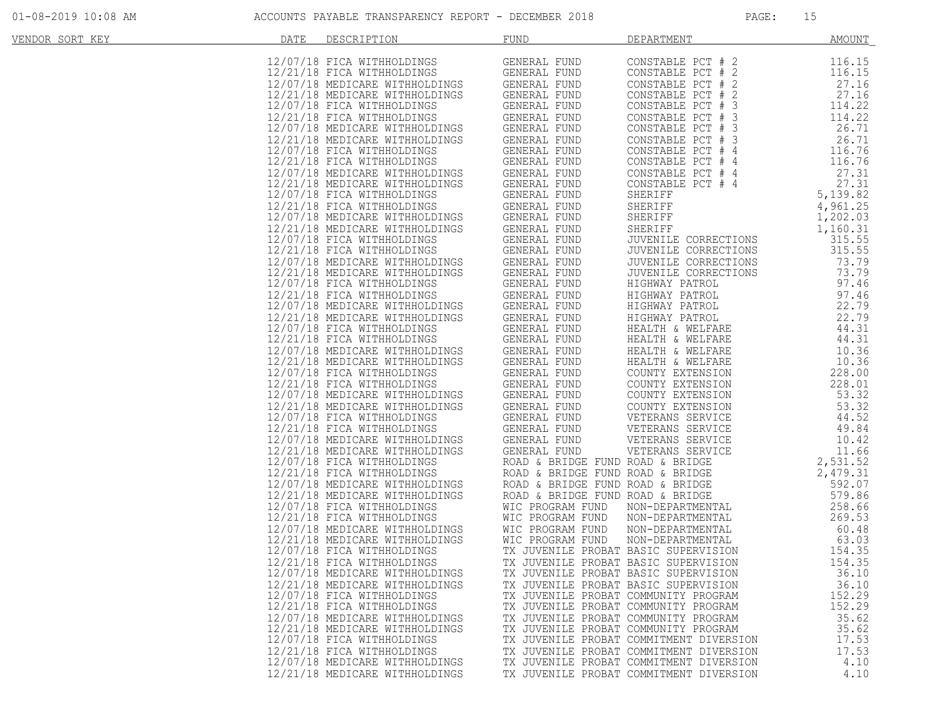| VENDOR SORT KEY | DATE | DESCRIPTION                    | <b>FUND</b>                                                                                                      | DEPARTMENT                                                                                                                                                                                                                                             | <u>AMOUNT</u>     |
|-----------------|------|--------------------------------|------------------------------------------------------------------------------------------------------------------|--------------------------------------------------------------------------------------------------------------------------------------------------------------------------------------------------------------------------------------------------------|-------------------|
|                 |      |                                |                                                                                                                  |                                                                                                                                                                                                                                                        | 116.15            |
|                 |      |                                |                                                                                                                  |                                                                                                                                                                                                                                                        |                   |
|                 |      |                                |                                                                                                                  |                                                                                                                                                                                                                                                        | 116.15            |
|                 |      |                                |                                                                                                                  |                                                                                                                                                                                                                                                        | 27.16             |
|                 |      |                                |                                                                                                                  |                                                                                                                                                                                                                                                        | 27.16             |
|                 |      |                                |                                                                                                                  |                                                                                                                                                                                                                                                        | 114.22            |
|                 |      |                                |                                                                                                                  |                                                                                                                                                                                                                                                        | 114.22            |
|                 |      |                                |                                                                                                                  |                                                                                                                                                                                                                                                        | 26.71             |
|                 |      |                                |                                                                                                                  |                                                                                                                                                                                                                                                        | 26.71             |
|                 |      |                                |                                                                                                                  |                                                                                                                                                                                                                                                        | 116.76            |
|                 |      |                                |                                                                                                                  |                                                                                                                                                                                                                                                        | 116.76            |
|                 |      |                                |                                                                                                                  |                                                                                                                                                                                                                                                        | 27.31             |
|                 |      |                                |                                                                                                                  |                                                                                                                                                                                                                                                        | 27.31             |
|                 |      |                                |                                                                                                                  |                                                                                                                                                                                                                                                        | 5,139.82          |
|                 |      |                                |                                                                                                                  |                                                                                                                                                                                                                                                        | 4,961.25          |
|                 |      |                                |                                                                                                                  |                                                                                                                                                                                                                                                        | 1,202.03          |
|                 |      |                                |                                                                                                                  |                                                                                                                                                                                                                                                        | 1,160.31          |
|                 |      |                                |                                                                                                                  |                                                                                                                                                                                                                                                        | 315.55            |
|                 |      |                                |                                                                                                                  |                                                                                                                                                                                                                                                        | 315.55            |
|                 |      |                                |                                                                                                                  |                                                                                                                                                                                                                                                        | 73.79             |
|                 |      |                                |                                                                                                                  |                                                                                                                                                                                                                                                        | 73.79             |
|                 |      |                                |                                                                                                                  |                                                                                                                                                                                                                                                        | 97.46             |
|                 |      |                                |                                                                                                                  |                                                                                                                                                                                                                                                        | 97.46             |
|                 |      |                                |                                                                                                                  |                                                                                                                                                                                                                                                        | 22.79             |
|                 |      |                                |                                                                                                                  |                                                                                                                                                                                                                                                        | 22.79             |
|                 |      |                                |                                                                                                                  |                                                                                                                                                                                                                                                        | 44.31             |
|                 |      |                                |                                                                                                                  |                                                                                                                                                                                                                                                        | 44.31             |
|                 |      |                                |                                                                                                                  |                                                                                                                                                                                                                                                        | 10.36             |
|                 |      |                                |                                                                                                                  |                                                                                                                                                                                                                                                        | 10.36             |
|                 |      |                                |                                                                                                                  |                                                                                                                                                                                                                                                        | 228.00            |
|                 |      |                                |                                                                                                                  | JUVENILE CORRECTIONS<br>JUVENILE CORRECTIONS<br>JUVENILE CORRECTIONS<br>HIGHWAY PATROL<br>HIGHWAY PATROL<br>HIGHWAY PATROL<br>HIGHWAY PATROL<br>HEALTH & WELFARE<br>HEALTH & WELFARE<br>HEALTH & WELFARE<br>HEALTH & WELFARE<br>COUNTY EXTENSION<br>CO | 228.01            |
|                 |      |                                |                                                                                                                  |                                                                                                                                                                                                                                                        | 53.32             |
|                 |      |                                |                                                                                                                  |                                                                                                                                                                                                                                                        | 53.32             |
|                 |      |                                |                                                                                                                  |                                                                                                                                                                                                                                                        | 44.52             |
|                 |      |                                |                                                                                                                  |                                                                                                                                                                                                                                                        | 49.84             |
|                 |      |                                |                                                                                                                  |                                                                                                                                                                                                                                                        | 10.42             |
|                 |      |                                |                                                                                                                  |                                                                                                                                                                                                                                                        |                   |
|                 |      |                                |                                                                                                                  |                                                                                                                                                                                                                                                        | 11.66<br>2,531.52 |
|                 |      |                                |                                                                                                                  |                                                                                                                                                                                                                                                        |                   |
|                 |      |                                |                                                                                                                  |                                                                                                                                                                                                                                                        | 2,479.31          |
|                 |      |                                |                                                                                                                  |                                                                                                                                                                                                                                                        | 592.07            |
|                 |      |                                |                                                                                                                  |                                                                                                                                                                                                                                                        | 579.86            |
|                 |      |                                | MIC PROGRAM FUND<br>MIC PROGRAM FUND<br>INGS MIC PROGRAM FUND<br>INGS MIC PROGRAM FUND<br>TINGS MIC PROGRAM FUND |                                                                                                                                                                                                                                                        | 258.66            |
|                 |      | 12/21/18 FICA WITHHOLDINGS     |                                                                                                                  | NON-DEPARTMENTAL                                                                                                                                                                                                                                       | 269.53            |
|                 |      | 12/07/18 MEDICARE WITHHOLDINGS |                                                                                                                  | NON-DEPARTMENTAL                                                                                                                                                                                                                                       | 60.48             |
|                 |      | 12/21/18 MEDICARE WITHHOLDINGS |                                                                                                                  | NON-DEPARTMENTAL                                                                                                                                                                                                                                       | 63.03             |
|                 |      | 12/07/18 FICA WITHHOLDINGS     | TX JUVENILE PROBAT BASIC SUPERVISION                                                                             |                                                                                                                                                                                                                                                        | 154.35            |
|                 |      | 12/21/18 FICA WITHHOLDINGS     | TX JUVENILE PROBAT BASIC SUPERVISION                                                                             |                                                                                                                                                                                                                                                        | 154.35            |
|                 |      | 12/07/18 MEDICARE WITHHOLDINGS | TX JUVENILE PROBAT BASIC SUPERVISION                                                                             |                                                                                                                                                                                                                                                        | 36.10             |
|                 |      | 12/21/18 MEDICARE WITHHOLDINGS | TX JUVENILE PROBAT BASIC SUPERVISION                                                                             |                                                                                                                                                                                                                                                        | 36.10             |
|                 |      | 12/07/18 FICA WITHHOLDINGS     | TX JUVENILE PROBAT COMMUNITY PROGRAM                                                                             |                                                                                                                                                                                                                                                        | 152.29            |
|                 |      | 12/21/18 FICA WITHHOLDINGS     | TX JUVENILE PROBAT COMMUNITY PROGRAM                                                                             |                                                                                                                                                                                                                                                        | 152.29            |
|                 |      | 12/07/18 MEDICARE WITHHOLDINGS | TX JUVENILE PROBAT COMMUNITY PROGRAM                                                                             |                                                                                                                                                                                                                                                        | 35.62             |
|                 |      | 12/21/18 MEDICARE WITHHOLDINGS | TX JUVENILE PROBAT COMMUNITY PROGRAM                                                                             |                                                                                                                                                                                                                                                        | 35.62             |
|                 |      | 12/07/18 FICA WITHHOLDINGS     |                                                                                                                  | TX JUVENILE PROBAT COMMITMENT DIVERSION                                                                                                                                                                                                                | 17.53             |
|                 |      | 12/21/18 FICA WITHHOLDINGS     |                                                                                                                  | TX JUVENILE PROBAT COMMITMENT DIVERSION                                                                                                                                                                                                                | 17.53             |
|                 |      | 12/07/18 MEDICARE WITHHOLDINGS |                                                                                                                  | TX JUVENILE PROBAT COMMITMENT DIVERSION                                                                                                                                                                                                                | 4.10              |
|                 |      | 12/21/18 MEDICARE WITHHOLDINGS |                                                                                                                  | TX JUVENILE PROBAT COMMITMENT DIVERSION                                                                                                                                                                                                                | 4.10              |
|                 |      |                                |                                                                                                                  |                                                                                                                                                                                                                                                        |                   |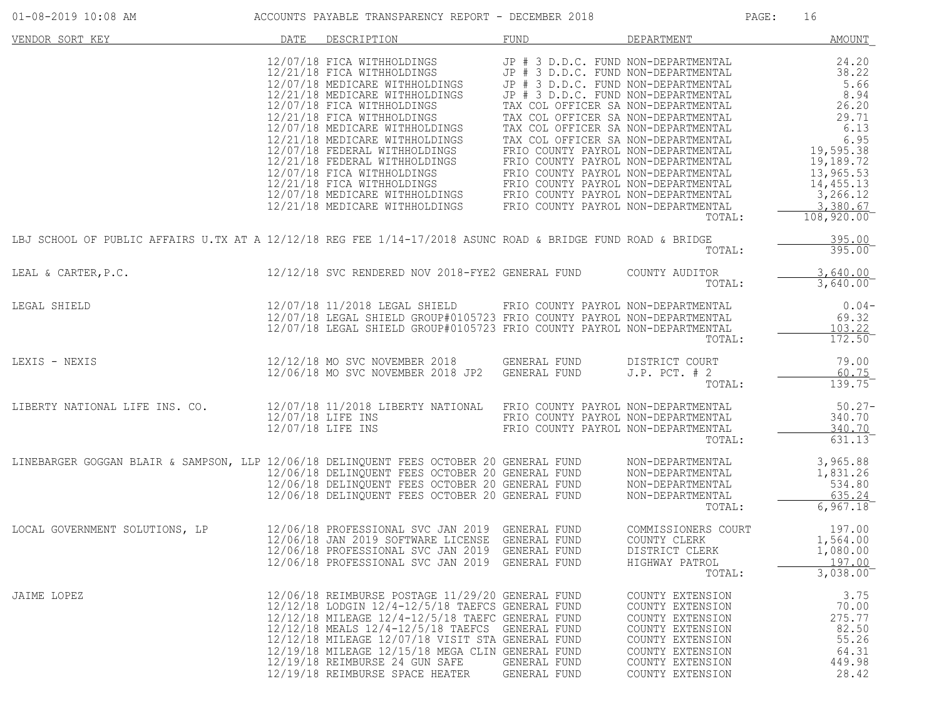| $01 - 08 - 2019$ $10:08$ AM                                                                                                                                                                                                          |      | ACCOUNTS PAYABLE TRANSPARENCY REPORT - DECEMBER 2018                                                                                                                                                                                                                                                                                                                                                                                                                                                                                                                                                                  |                                                                                                                   |                                                                                                                                                              | PAGE: | 16                                                                                            |
|--------------------------------------------------------------------------------------------------------------------------------------------------------------------------------------------------------------------------------------|------|-----------------------------------------------------------------------------------------------------------------------------------------------------------------------------------------------------------------------------------------------------------------------------------------------------------------------------------------------------------------------------------------------------------------------------------------------------------------------------------------------------------------------------------------------------------------------------------------------------------------------|-------------------------------------------------------------------------------------------------------------------|--------------------------------------------------------------------------------------------------------------------------------------------------------------|-------|-----------------------------------------------------------------------------------------------|
| VENDOR SORT KEY                                                                                                                                                                                                                      | DATE | DESCRIPTION                                                                                                                                                                                                                                                                                                                                                                                                                                                                                                                                                                                                           | FUND                                                                                                              | DEPARTMENT                                                                                                                                                   |       | <b>AMOUNT</b>                                                                                 |
|                                                                                                                                                                                                                                      |      | 12/07/18 FICA WITHHOLDINGS<br>12/21/18 FICA WITHHOLDINGS<br>$12/21/18 \begin{tabular}{l c c c c c c c} \hline 12/21/18 & FICA WITHHOLDINGS & JP & \# & J D.D.C. FUND NON-DEEARIMENITAL & 5.66 & 5.66 & 5.66 & 5.66 & 5.66 & 5.66 & 5.66 & 5.66 & 5.66 & 5.66 & 5.66 & 5.66 & 5.66 & 5.66 & 5.66 & 5.66 & 5.66 & 5.66 & 5.66 & 5.66 & 5.66 & 5.66 & 5.66 & 5.66 & 5.6$<br>12/21/18 FEDERAL WITHHOLDINGS<br>12/21/18 FEDERAL WITHHOLDINGS<br>12/07/18 FICA WITHHOLDINGS<br>12/21/18 FICA WITHHOLDINGS<br>12/07/18 MEDICARE WITHHOLDINGS<br>12/21/18 MEDICARE WITHHOLDINGS<br>12/21/18 MEDICARE WITHHOLDINGS<br>12/21/18 | JP # 3 D.D.C. FUND NON-DEPARTMENTAL<br>JP # 3 D.D.C. FUND NON-DEPARTMENTAL<br>JP # 3 D.D.C. FUND NON-DEPARTMENTAL | TOTAL:                                                                                                                                                       |       | 24.20<br>38.22<br>13,965.53<br>14,455.13<br>3,266.12<br>3,380.67<br>$108,920.00$ <sup>-</sup> |
| LBJ SCHOOL OF PUBLIC AFFAIRS U.TX AT A 12/12/18 REG FEE 1/14-17/2018 ASUNC ROAD & BRIDGE FUND ROAD & BRIDGE                                                                                                                          |      |                                                                                                                                                                                                                                                                                                                                                                                                                                                                                                                                                                                                                       |                                                                                                                   | TOTAL:                                                                                                                                                       |       | 395.00<br>395.00                                                                              |
| LEAL & CARTER, P.C.                                                                                                                                                                                                                  |      | 12/12/18 SVC RENDERED NOV 2018-FYE2 GENERAL FUND                                                                                                                                                                                                                                                                                                                                                                                                                                                                                                                                                                      |                                                                                                                   | COUNTY AUDITOR<br>TOTAL:                                                                                                                                     |       | 3,640.00<br>3,640.00                                                                          |
| LEGAL SHIELD                                                                                                                                                                                                                         |      | 12/07/18 11/2018 LEGAL SHIELD FRIO COUNTY PAYROL NON-DEPARTMENTAL<br>12/07/18 LEGAL SHIELD GROUP#0105723 FRIO COUNTY PAYROL NON-DEPARTMENTAL<br>12/07/18 LEGAL SHIELD GROUP#0105723 FRIO COUNTY PAYROL NON-DEPARTMENTAL                                                                                                                                                                                                                                                                                                                                                                                               |                                                                                                                   | TOTAL:                                                                                                                                                       |       | $0.04-$<br>69.32<br>103.22<br>172.50                                                          |
| LEXIS - NEXIS                                                                                                                                                                                                                        |      | 12/12/18 MO SVC NOVEMBER 2018 GENERAL FUND<br>12/06/18 MO SVC NOVEMBER 2018 JP2 GENERAL FUND                                                                                                                                                                                                                                                                                                                                                                                                                                                                                                                          |                                                                                                                   | DISTRICT COURT<br>$J.P.$ PCT. $# 2$<br>TOTAL:                                                                                                                |       | 79.00<br>60.75<br>139.75                                                                      |
| LIBERTY NATIONAL LIFE INS. CO.                                                                                                                                                                                                       |      | 12/07/18 11/2018 LIBERTY NATIONAL FRIO COUNTY PAYROL NON-DEPARTMENTAL<br>12/07/18 LIFE INS<br>12/07/18 LIFE INS                                                                                                                                                                                                                                                                                                                                                                                                                                                                                                       | FRIO COUNTY PAYROL NON-DEPARTMENTAL<br>FRIO COUNTY PAYROL NON-DEPARTMENTAL                                        | TOTAL:                                                                                                                                                       |       | $50.27 -$<br>340.70<br>340.70<br>631.13                                                       |
| LINEBARGER GOGGAN BLAIR & SAMPSON, LLP 12/06/18 DELINQUENT FEES OCTOBER 20 GENERAL FUND MON-DEPARTMENTAL<br>12/06/18 DELINQUENT FEES OCTOBER 20 GENERAL FUND MON-DEPARTMENTAL<br>12/06/18 DELINQUENT FEES OCTOBER 20 GENERAL FUND MO |      |                                                                                                                                                                                                                                                                                                                                                                                                                                                                                                                                                                                                                       |                                                                                                                   | TOTAL:                                                                                                                                                       |       | 3,965.88<br>1,831.26<br>534.80<br>635.24<br>6,967.18                                          |
| LOCAL GOVERNMENT SOLUTIONS, LP                                                                                                                                                                                                       |      | 12/06/18 PROFESSIONAL SVC JAN 2019 GENERAL FUND<br>12/06/18 JAN 2019 SOFTWARE LICENSE GENERAL FUND<br>12/06/18 PROFESSIONAL SVC JAN 2019 GENERAL FUND<br>12/06/18 PROFESSIONAL SVC JAN 2019 GENERAL FUND                                                                                                                                                                                                                                                                                                                                                                                                              |                                                                                                                   | COMMISSIONERS COURT<br>COUNTY CLERK<br>DISTRICT CLERK<br>HIGHWAY PATROL<br>TOTAL:                                                                            |       | 197.00<br>1,564.00<br>1,080.00<br>197.00<br>3,038.00                                          |
| JAIME LOPEZ                                                                                                                                                                                                                          |      | 12/06/18 REIMBURSE POSTAGE 11/29/20 GENERAL FUND<br>12/12/18 LODGIN 12/4-12/5/18 TAEFCS GENERAL FUND<br>12/12/18 MILEAGE 12/4-12/5/18 TAEFC GENERAL FUND<br>12/12/18 MEALS 12/4-12/5/18 TAEFCS GENERAL FUND<br>12/12/18 MILEAGE 12/07/18 VISIT STA GENERAL FUND<br>12/19/18 MILEAGE 12/15/18 MEGA CLIN GENERAL FUND<br>12/19/18 REIMBURSE 24 GUN SAFE<br>12/19/18 REIMBURSE SPACE HEATER                                                                                                                                                                                                                              | GENERAL FUND<br>GENERAL FUND                                                                                      | COUNTY EXTENSION<br>COUNTY EXTENSION<br>COUNTY EXTENSION<br>COUNTY EXTENSION<br>COUNTY EXTENSION<br>COUNTY EXTENSION<br>COUNTY EXTENSION<br>COUNTY EXTENSION |       | 3.75<br>70.00<br>275.77<br>82.50<br>55.26<br>64.31<br>449.98<br>28.42                         |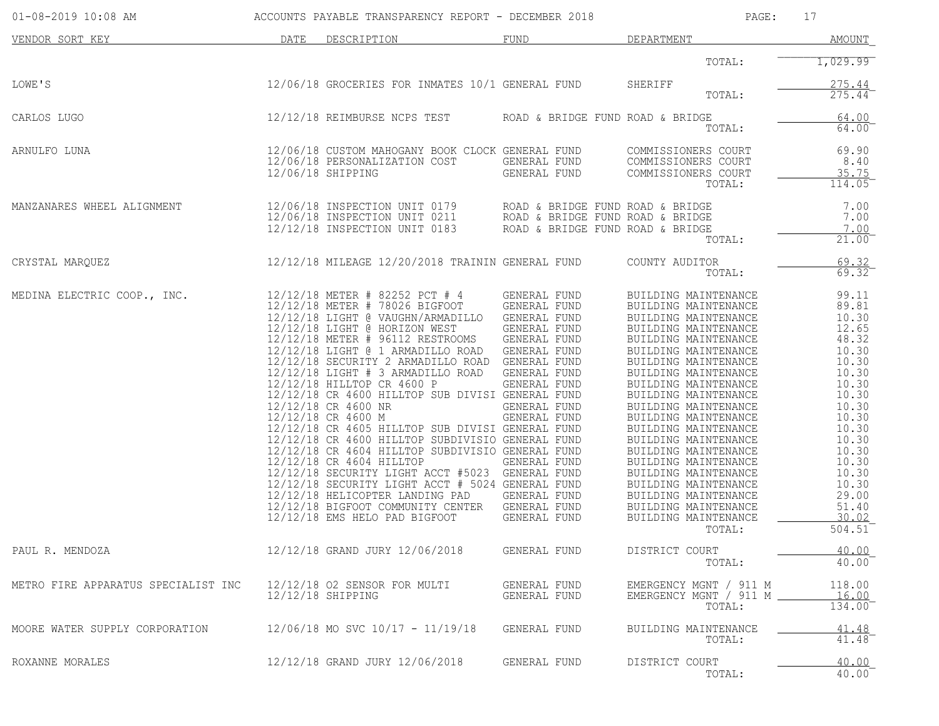| 01-08-2019 10:08 AM                 |      | ACCOUNTS PAYABLE TRANSPARENCY REPORT - DECEMBER 2018                                                                                                                                                                                                                                                                                                                                                                                                                                                                                                                                                                                                                                                                                                                                                                                                                                                            |                                                                                                                                                     | PAGE:                                                                                                                                                                                                                                                                                                                                                                                                                                                                                                                          | 17                                                                                                                                                                                                  |
|-------------------------------------|------|-----------------------------------------------------------------------------------------------------------------------------------------------------------------------------------------------------------------------------------------------------------------------------------------------------------------------------------------------------------------------------------------------------------------------------------------------------------------------------------------------------------------------------------------------------------------------------------------------------------------------------------------------------------------------------------------------------------------------------------------------------------------------------------------------------------------------------------------------------------------------------------------------------------------|-----------------------------------------------------------------------------------------------------------------------------------------------------|--------------------------------------------------------------------------------------------------------------------------------------------------------------------------------------------------------------------------------------------------------------------------------------------------------------------------------------------------------------------------------------------------------------------------------------------------------------------------------------------------------------------------------|-----------------------------------------------------------------------------------------------------------------------------------------------------------------------------------------------------|
| VENDOR SORT KEY                     | DATE | DESCRIPTION                                                                                                                                                                                                                                                                                                                                                                                                                                                                                                                                                                                                                                                                                                                                                                                                                                                                                                     | FUND                                                                                                                                                | DEPARTMENT                                                                                                                                                                                                                                                                                                                                                                                                                                                                                                                     | <b>AMOUNT</b>                                                                                                                                                                                       |
|                                     |      |                                                                                                                                                                                                                                                                                                                                                                                                                                                                                                                                                                                                                                                                                                                                                                                                                                                                                                                 |                                                                                                                                                     | TOTAL:                                                                                                                                                                                                                                                                                                                                                                                                                                                                                                                         | 1,029.99                                                                                                                                                                                            |
| LOWE'S                              |      | 12/06/18 GROCERIES FOR INMATES 10/1 GENERAL FUND                                                                                                                                                                                                                                                                                                                                                                                                                                                                                                                                                                                                                                                                                                                                                                                                                                                                |                                                                                                                                                     | SHERIFF<br>TOTAL:                                                                                                                                                                                                                                                                                                                                                                                                                                                                                                              | $\frac{275.44}{275.44}$                                                                                                                                                                             |
| CARLOS LUGO                         |      | 12/12/18 REIMBURSE NCPS TEST                                                                                                                                                                                                                                                                                                                                                                                                                                                                                                                                                                                                                                                                                                                                                                                                                                                                                    | ROAD & BRIDGE FUND ROAD & BRIDGE                                                                                                                    | TOTAL:                                                                                                                                                                                                                                                                                                                                                                                                                                                                                                                         | 64.00<br>64.00                                                                                                                                                                                      |
| ARNULFO LUNA                        |      | 12/06/18 CUSTOM MAHOGANY BOOK CLOCK GENERAL FUND<br>12/06/18 PERSONALIZATION COST<br>12/06/18 SHIPPING                                                                                                                                                                                                                                                                                                                                                                                                                                                                                                                                                                                                                                                                                                                                                                                                          | GENERAL FUND<br>GENERAL FUND                                                                                                                        | COMMISSIONERS COURT<br>COMMISSIONERS COURT<br>COMMISSIONERS COURT<br>TOTAL:                                                                                                                                                                                                                                                                                                                                                                                                                                                    | 69.90<br>8.40<br>35.75<br>114.05                                                                                                                                                                    |
| MANZANARES WHEEL ALIGNMENT          |      | $12/06/18$ INSPECTION UNIT 0179 ROAD & BRIDGE FUND ROAD & BRIDGE 12/06/18 INSPECTION UNIT 0211 ROAD & BRIDGE FUND ROAD & BRIDGE 12/12/18 INSPECTION UNIT 0183 ROAD & BRIDGE FUND ROAD & BRIDGE                                                                                                                                                                                                                                                                                                                                                                                                                                                                                                                                                                                                                                                                                                                  |                                                                                                                                                     | TOTAL:                                                                                                                                                                                                                                                                                                                                                                                                                                                                                                                         | 7.00<br>7.00<br>7.00<br>21.00                                                                                                                                                                       |
| CRYSTAL MARQUEZ                     |      | 12/12/18 MILEAGE 12/20/2018 TRAININ GENERAL FUND                                                                                                                                                                                                                                                                                                                                                                                                                                                                                                                                                                                                                                                                                                                                                                                                                                                                |                                                                                                                                                     | COUNTY AUDITOR<br>TOTAL:                                                                                                                                                                                                                                                                                                                                                                                                                                                                                                       | $\frac{69.32}{69.32}$                                                                                                                                                                               |
| MEDINA ELECTRIC COOP., INC.         |      | 12/12/18 METER # 82252 PCT # 4<br>12/12/18 METER # 78026 BIGFOOT<br>12/12/18 LIGHT @ VAUGHN/ARMADILLO GENERAL FUND<br>12/12/18 LIGHT @ HORIZON WEST<br>12/12/18 METER # 96112 RESTROOMS GENERAL FUND<br>12/12/18 LIGHT @ 1 ARMADILLO ROAD GENERAL FUND<br>12/12/18 SECURITY 2 ARMADILLO ROAD GENERAL FUND<br>12/12/18 LIGHT # 3 ARMADILLO ROAD GENERAL FUND<br>12/12/18 HILLTOP CR 4600 P<br>12/12/18 CR 4600 HILLTOP SUB DIVISI GENERAL FUND<br>12/12/18 CR 4600 NR<br>12/12/18 CR 4600 M<br>12/12/18 CR 4605 HILLTOP SUB DIVISI GENERAL FUND<br>12/12/18 CR 4600 HILLTOP SUBDIVISIO GENERAL FUND<br>12/12/18 CR 4604 HILLTOP SUBDIVISIO GENERAL FUND<br>12/12/18 CR 4604 HILLTOP<br>12/12/18 SECURITY LIGHT ACCT #5023 GENERAL FUND<br>12/12/18 SECURITY LIGHT ACCT # 5024 GENERAL FUND<br>12/12/18 HELICOPTER LANDING PAD<br>12/12/18 BIGFOOT COMMUNITY CENTER GENERAL FUND<br>12/12/18 EMS HELO PAD BIGFOOT | GENERAL FUND<br>GENERAL FUND<br>GENERAL FUND<br>GENERAL FUND<br>GENERAL FUND<br>GENERAL FUND<br>GENERAL FUND<br>GENERAL FUND<br><b>GENERAL FUND</b> | BUILDING MAINTENANCE<br>BUILDING MAINTENANCE<br>BUILDING MAINTENANCE<br>BUILDING MAINTENANCE<br>BUILDING MAINTENANCE<br>BUILDING MAINTENANCE<br>BUILDING MAINTENANCE<br>BUILDING MAINTENANCE<br>BUILDING MAINTENANCE<br>BUILDING MAINTENANCE<br>BUILDING MAINTENANCE<br>BUILDING MAINTENANCE<br>BUILDING MAINTENANCE<br>BUILDING MAINTENANCE<br>BUILDING MAINTENANCE<br>BUILDING MAINTENANCE<br>BUILDING MAINTENANCE<br>BUILDING MAINTENANCE<br>BUILDING MAINTENANCE<br>BUILDING MAINTENANCE<br>BUILDING MAINTENANCE<br>TOTAL: | 99.11<br>89.81<br>10.30<br>12.65<br>48.32<br>10.30<br>10.30<br>10.30<br>10.30<br>10.30<br>10.30<br>10.30<br>10.30<br>10.30<br>10.30<br>10.30<br>10.30<br>10.30<br>29.00<br>51.40<br>30.02<br>504.51 |
| PAUL R. MENDOZA                     |      | 12/12/18 GRAND JURY 12/06/2018                                                                                                                                                                                                                                                                                                                                                                                                                                                                                                                                                                                                                                                                                                                                                                                                                                                                                  | GENERAL FUND                                                                                                                                        | DISTRICT COURT<br>TOTAL:                                                                                                                                                                                                                                                                                                                                                                                                                                                                                                       | 40.00<br>40.00                                                                                                                                                                                      |
| METRO FIRE APPARATUS SPECIALIST INC |      | 12/12/18 O2 SENSOR FOR MULTI<br>12/12/18 SHIPPING                                                                                                                                                                                                                                                                                                                                                                                                                                                                                                                                                                                                                                                                                                                                                                                                                                                               | GENERAL FUND<br>GENERAL FUND                                                                                                                        | EMERGENCY MGNT / 911 M<br>EMERGENCY MGNT / 911 M _<br>TOTAL:                                                                                                                                                                                                                                                                                                                                                                                                                                                                   | 118.00<br><u>16.00</u><br>134.00                                                                                                                                                                    |
| MOORE WATER SUPPLY CORPORATION      |      | 12/06/18 MO SVC 10/17 - 11/19/18                                                                                                                                                                                                                                                                                                                                                                                                                                                                                                                                                                                                                                                                                                                                                                                                                                                                                | GENERAL FUND                                                                                                                                        | BUILDING MAINTENANCE<br>TOTAL:                                                                                                                                                                                                                                                                                                                                                                                                                                                                                                 | $\frac{41.48}{41.48}$                                                                                                                                                                               |
| ROXANNE MORALES                     |      | 12/12/18 GRAND JURY 12/06/2018                                                                                                                                                                                                                                                                                                                                                                                                                                                                                                                                                                                                                                                                                                                                                                                                                                                                                  | GENERAL FUND                                                                                                                                        | DISTRICT COURT<br>TOTAL:                                                                                                                                                                                                                                                                                                                                                                                                                                                                                                       | 40.00<br>40.00                                                                                                                                                                                      |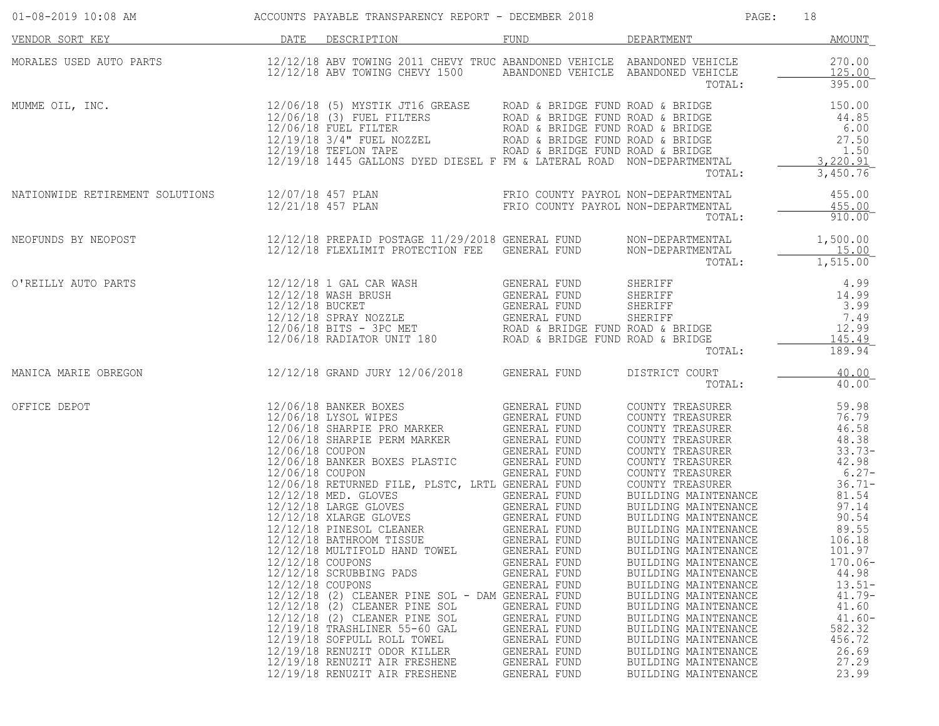| 01-08-2019 10:08 AM                  ACCOUNTS PAYABLE TRANSPARENCY REPORT - DECEMBER 2018                                                                                                                   |                                      |                                                                                                                                                                                                                                                                                                                                                  |                                                                                                                                                                              |                                                                                                                                                                                                                                                                                              | 18                                                                                                                         |
|-------------------------------------------------------------------------------------------------------------------------------------------------------------------------------------------------------------|--------------------------------------|--------------------------------------------------------------------------------------------------------------------------------------------------------------------------------------------------------------------------------------------------------------------------------------------------------------------------------------------------|------------------------------------------------------------------------------------------------------------------------------------------------------------------------------|----------------------------------------------------------------------------------------------------------------------------------------------------------------------------------------------------------------------------------------------------------------------------------------------|----------------------------------------------------------------------------------------------------------------------------|
| DATE DESCRIPTION<br>VENDOR SORT KEY                                                                                                                                                                         |                                      |                                                                                                                                                                                                                                                                                                                                                  | FUND                                                                                                                                                                         | <b>DEPARTMENT</b>                                                                                                                                                                                                                                                                            | AMOUNT                                                                                                                     |
| MORALES USED AUTO PARTS <b>12/12/18 ABV TOWING 2011 CHEVY TRUC ABANDONED VEHICLE</b> ABANDONED VEHICLE 270.00<br>12/12/18 ABV TOWING CHEVY 1500 ABANDONED VEHICLE ABANDONED VEHICLE 125.00<br>TOTAL: 795.00 |                                      |                                                                                                                                                                                                                                                                                                                                                  |                                                                                                                                                                              |                                                                                                                                                                                                                                                                                              |                                                                                                                            |
|                                                                                                                                                                                                             |                                      |                                                                                                                                                                                                                                                                                                                                                  |                                                                                                                                                                              |                                                                                                                                                                                                                                                                                              |                                                                                                                            |
| NATIONWIDE RETIREMENT SOLUTIONS 12/07/18 457 PLAN FRIO COUNTY PAYROL NON-DEPARTMENTAL 455.00                                                                                                                |                                      |                                                                                                                                                                                                                                                                                                                                                  |                                                                                                                                                                              | TOTAL:                                                                                                                                                                                                                                                                                       | $910.00^{-}$                                                                                                               |
| NEOFUNDS BY NEOPOST 1,500.00<br>12/12/18 PREPAID POSTAGE 11/29/2018 GENERAL FUND NON-DEPARTMENTAL 1,500.00<br>15.00_15.00_15.00                                                                             |                                      |                                                                                                                                                                                                                                                                                                                                                  |                                                                                                                                                                              |                                                                                                                                                                                                                                                                                              | $\texttt{TOTAL:} \quad 1,515.00$                                                                                           |
|                                                                                                                                                                                                             |                                      |                                                                                                                                                                                                                                                                                                                                                  |                                                                                                                                                                              |                                                                                                                                                                                                                                                                                              |                                                                                                                            |
| MANICA MARIE OBREGON 12/12/18 GRAND JURY 12/06/2018 GENERAL FUND                                                                                                                                            |                                      |                                                                                                                                                                                                                                                                                                                                                  |                                                                                                                                                                              | DISTRICT COURT                                                                                                                                                                                                                                                                               | 40.00<br>40.00<br>TOTAL:                                                                                                   |
| OFFICE DEPOT                                                                                                                                                                                                | 12/12/18 COUPONS<br>12/12/18 COUPONS | 12/12/18 MULTIFOLD HAND TOWEL<br>12/12/18 SCRUBBING PADS<br>12/12/18 (2) CLEANER PINE SOL - DAM GENERAL FUND<br>12/12/18 (2) CLEANER PINE SOL<br>12/12/18 (2) CLEANER PINE SOL<br>12/19/18 TRASHLINER 55-60 GAL<br>12/19/18 SOFPULL ROLL TOWEL<br>12/19/18 RENUZIT ODOR KILLER<br>12/19/18 RENUZIT AIR FRESHENE<br>12/19/18 RENUZIT AIR FRESHENE | GENERAL FUND<br>GENERAL FUND<br>GENERAL FUND<br>GENERAL FUND<br>GENERAL FUND<br>GENERAL FUND<br>GENERAL FUND<br>GENERAL FUND<br>GENERAL FUND<br>GENERAL FUND<br>GENERAL FUND | BUILDING MAINTENANCE<br>BUILDING MAINTENANCE<br>BUILDING MAINTENANCE<br>BUILDING MAINTENANCE<br>BUILDING MAINTENANCE<br>BUILDING MAINTENANCE<br>BUILDING MAINTENANCE<br>BUILDING MAINTENANCE<br>BUILDING MAINTENANCE<br>BUILDING MAINTENANCE<br>BUILDING MAINTENANCE<br>BUILDING MAINTENANCE | 101.97<br>$170.06 -$<br>44.98<br>$13.51-$<br>$41.79-$<br>41.60<br>$41.60 -$<br>582.32<br>456.72<br>26.69<br>27.29<br>23.99 |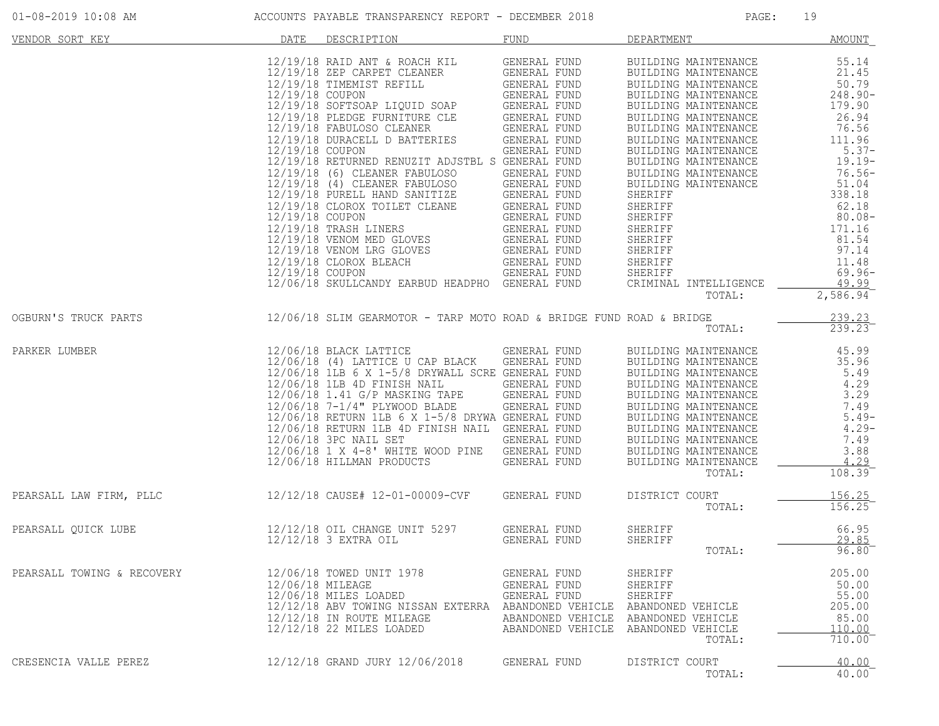| VENDOR SORT KEY            | DATE                                                  | DESCRIPTION                                                                                                                                                                                                                                                                                                                                                                                                                                                                                                                                                                                                                                   | FUND                                                                                                                                                                                                                                                                                                         | DEPARTMENT                                                                                                                                                                                                                                                                                                                                                                                                               | <b>AMOUNT</b>                                                                                                                                                                                                      |
|----------------------------|-------------------------------------------------------|-----------------------------------------------------------------------------------------------------------------------------------------------------------------------------------------------------------------------------------------------------------------------------------------------------------------------------------------------------------------------------------------------------------------------------------------------------------------------------------------------------------------------------------------------------------------------------------------------------------------------------------------------|--------------------------------------------------------------------------------------------------------------------------------------------------------------------------------------------------------------------------------------------------------------------------------------------------------------|--------------------------------------------------------------------------------------------------------------------------------------------------------------------------------------------------------------------------------------------------------------------------------------------------------------------------------------------------------------------------------------------------------------------------|--------------------------------------------------------------------------------------------------------------------------------------------------------------------------------------------------------------------|
|                            | 12/19/18 COUPON<br>12/19/18 COUPON<br>12/19/18 COUPON | $12/19/18$ RAID ANT & ROACH KIL<br>12/19/18 ZEP CARPET CLEANER<br>12/19/18 TIMEMIST REFILL<br>12/19/18 SOFTSOAP LIQUID SOAP<br>${\tt CLE}$<br>12/19/18 PLEDGE FURNITURE CLE<br>12/19/18 FABULOSO CLEANER<br>12/19/18 DURACELL D BATTERIES<br>12/19/18 RETURNED RENUZIT ADJSTBL S GENERAL FUND<br>12/19/18 (6) CLEANER FABULOSO<br>12/19/18 (4) CLEANER FABULOSO<br>12/19/18 PURELL HAND SANITIZE<br>12/19/18 CLOROX TOILET CLEANE<br>12/19/18 COUPON<br>12/19/18 TRASH LINERS<br>12/19/18 TRASH LINERS<br>12/19/18 VENOM MED GLOVES<br>12/19/18 VENOM LRG GLOVES<br>12/19/18 CLOROX BLEACH<br>12/06/18 SKULLCANDY EARBUD HEADPHO GENERAL FUND | GENERAL FUND<br>GENERAL FUND<br>GENERAL FUND<br>GENERAL FUND<br>GENERAL FUND<br>GENERAL FUND<br>GENERAL FUND<br>GENERAL FUND<br>GENERAL FUND<br>GENERAL FUND<br>GENERAL FUND<br>GENERAL FUND<br>GENERAL FUND<br>GENERAL FUND<br>GENERAL FUND<br>GENERAL FUND<br>GENERAL FUND<br>GENERAL FUND<br>GENERAL FUND | BUILDING MAINTENANCE<br>BUILDING MAINTENANCE<br>BUILDING MAINTENANCE<br>BUILDING MAINTENANCE<br>BUILDING MAINTENANCE<br>BUILDING MAINTENANCE<br>BUILDING MAINTENANCE<br>BUILDING MAINTENANCE<br>BUILDING MAINTENANCE<br>BUILDING MAINTENANCE<br>BUILDING MAINTENANCE<br>BUILDING MAINTENANCE<br>SHERIFF<br>SHERIFF<br>SHERIFF<br>SHERIFF<br>SHERIFF<br>SHERIFF<br>SHERIFF<br>SHERIFF<br>SHERIFF<br>CRIMINAL INTELLIGENCE | 55.14<br>21.45<br>50.79<br>$248.90 -$<br>179.90<br>26.94<br>76.56<br>111.96<br>$5.37-$<br>$19.19 -$<br>$76.56-$<br>51.04<br>338.18<br>62.18<br>$80.08 -$<br>171.16<br>81.54<br>97.14<br>11.48<br>$69.96-$<br>49.99 |
| OGBURN'S TRUCK PARTS       |                                                       | 12/06/18 SLIM GEARMOTOR - TARP MOTO ROAD & BRIDGE FUND ROAD & BRIDGE                                                                                                                                                                                                                                                                                                                                                                                                                                                                                                                                                                          |                                                                                                                                                                                                                                                                                                              | TOTAL:                                                                                                                                                                                                                                                                                                                                                                                                                   | $2,586.94$ <sup>-</sup><br>239.23                                                                                                                                                                                  |
|                            |                                                       |                                                                                                                                                                                                                                                                                                                                                                                                                                                                                                                                                                                                                                               |                                                                                                                                                                                                                                                                                                              | TOTAL:                                                                                                                                                                                                                                                                                                                                                                                                                   | 239.23                                                                                                                                                                                                             |
| PARKER LUMBER              |                                                       | 12/06/18 BLACK LATTICE<br>12/06/18 (4) LATTICE U CAP BLACK<br>12/06/18 1LB 6 X 1-5/8 DRYWALL SCRE GENERAL FUND<br>12/06/18 1LB 4D FINISH NAIL<br>12/06/18 1.41 G/P MASKING TAPE<br>12/06/18 7-1/4" PLYWOOD BLADE<br>12/06/18 RETURN 1LB 6 X 1-5/8 DRYWA GENERAL FUND<br>12/06/18 RETURN 1LB 4D FINISH NAIL GENERAL FUND<br>12/06/18 3PC NAIL SET<br>12/06/18 1 X 4-8' WHITE WOOD PINE<br>12/06/18 HILLMAN PRODUCTS                                                                                                                                                                                                                            | GENERAL FUND<br>GENERAL FUND<br>GENERAL FUND<br>GENERAL FUND<br>GENERAL FUND<br>GENERAL FUND<br>GENERAL FUND<br>GENERAL FUND                                                                                                                                                                                 | BUILDING MAINTENANCE<br>BUILDING MAINTENANCE<br>BUILDING MAINTENANCE<br>BUILDING MAINTENANCE<br>BUILDING MAINTENANCE<br>BUILDING MAINTENANCE<br>BUILDING MAINTENANCE<br>BUILDING MAINTENANCE<br>BUILDING MAINTENANCE<br>BUILDING MAINTENANCE<br>BUILDING MAINTENANCE<br>TOTAL:                                                                                                                                           | 45.99<br>35.96<br>5.49<br>4.29<br>3.29<br>7.49<br>$5.49-$<br>$4.29-$<br>7.49<br>3.88<br>4.29<br>108.39                                                                                                             |
| PEARSALL LAW FIRM, PLLC    |                                                       | 12/12/18 CAUSE# 12-01-00009-CVF                                                                                                                                                                                                                                                                                                                                                                                                                                                                                                                                                                                                               | <b>GENERAL FUND</b>                                                                                                                                                                                                                                                                                          | DISTRICT COURT<br>TOTAL:                                                                                                                                                                                                                                                                                                                                                                                                 | $\frac{156.25}{156.25}$                                                                                                                                                                                            |
| PEARSALL QUICK LUBE        |                                                       | 12/12/18 OIL CHANGE UNIT 5297<br>12/12/18 3 EXTRA OIL                                                                                                                                                                                                                                                                                                                                                                                                                                                                                                                                                                                         | GENERAL FUND<br>GENERAL FUND                                                                                                                                                                                                                                                                                 | SHERIFF<br>SHERIFF<br>TOTAL:                                                                                                                                                                                                                                                                                                                                                                                             | 66.95<br>29.85<br>96.80                                                                                                                                                                                            |
| PEARSALL TOWING & RECOVERY | 12/06/18 MILEAGE                                      | 12/06/18 TOWED UNIT 1978<br>12/06/18 MILES LOADED<br>12/12/18 ABV TOWING NISSAN EXTERRA ABANDONED VEHICLE<br>12/12/18 IN ROUTE MILEAGE<br>12/12/18 22 MILES LOADED                                                                                                                                                                                                                                                                                                                                                                                                                                                                            | GENERAL FUND<br>GENERAL FUND<br>GENERAL FUND<br>ABANDONED VEHICLE<br>ABANDONED VEHICLE                                                                                                                                                                                                                       | SHERIFF<br>SHERIFF<br>SHERIFF<br>ABANDONED VEHICLE<br>ABANDONED VEHICLE<br>ABANDONED VEHICLE<br>TOTAL:                                                                                                                                                                                                                                                                                                                   | 205.00<br>50.00<br>55.00<br>205.00<br>85.00<br>110.00<br>710.00                                                                                                                                                    |
| CRESENCIA VALLE PEREZ      |                                                       | 12/12/18 GRAND JURY 12/06/2018                                                                                                                                                                                                                                                                                                                                                                                                                                                                                                                                                                                                                | GENERAL FUND                                                                                                                                                                                                                                                                                                 | DISTRICT COURT<br>TOTAL:                                                                                                                                                                                                                                                                                                                                                                                                 | 40.00<br>40.00                                                                                                                                                                                                     |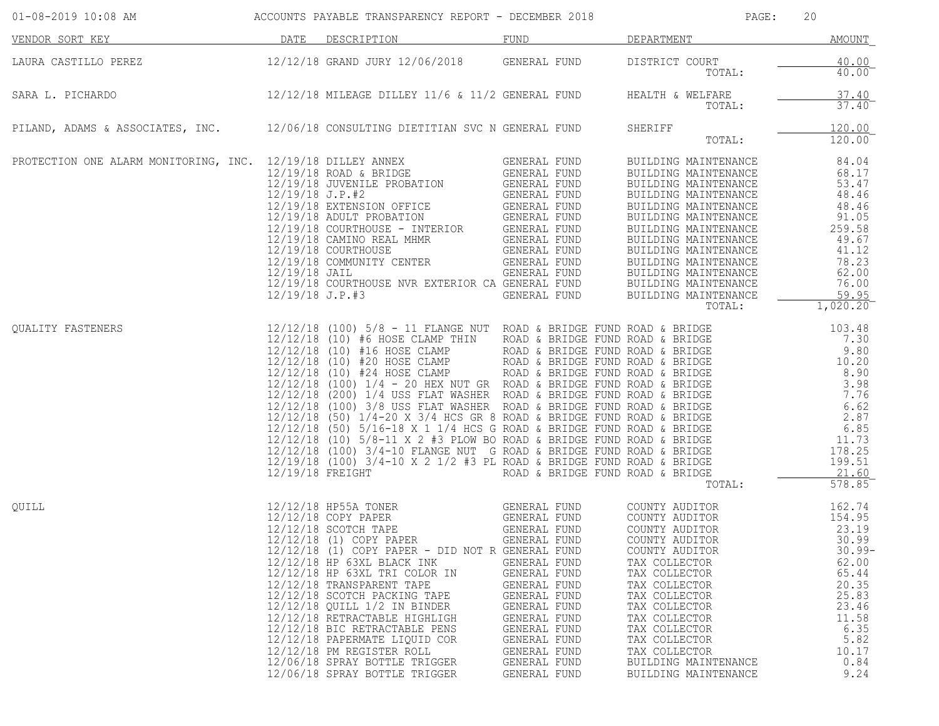| 01-08-2019 10:08 AM                                                                       |      | ACCOUNTS PAYABLE TRANSPARENCY REPORT - DECEMBER 2018                                                                                                                                                                                                                                                                                                                                                                                                                                                                                       |                                                                                                                                                                                              | PAGE:                                                                                                                                                                                                                                                                                           | 20                                                                                                                                             |
|-------------------------------------------------------------------------------------------|------|--------------------------------------------------------------------------------------------------------------------------------------------------------------------------------------------------------------------------------------------------------------------------------------------------------------------------------------------------------------------------------------------------------------------------------------------------------------------------------------------------------------------------------------------|----------------------------------------------------------------------------------------------------------------------------------------------------------------------------------------------|-------------------------------------------------------------------------------------------------------------------------------------------------------------------------------------------------------------------------------------------------------------------------------------------------|------------------------------------------------------------------------------------------------------------------------------------------------|
| VENDOR SORT KEY                                                                           | DATE | DESCRIPTION                                                                                                                                                                                                                                                                                                                                                                                                                                                                                                                                | FUND                                                                                                                                                                                         | DEPARTMENT                                                                                                                                                                                                                                                                                      | <b>AMOUNT</b>                                                                                                                                  |
| LAURA CASTILLO PEREZ                                                                      |      | 12/12/18 GRAND JURY 12/06/2018 GENERAL FUND                                                                                                                                                                                                                                                                                                                                                                                                                                                                                                |                                                                                                                                                                                              | DISTRICT COURT<br>TOTAL:                                                                                                                                                                                                                                                                        | 40.00<br>$40.00^{-}$                                                                                                                           |
| SARA L. PICHARDO                                                                          |      | $12/12/18$ MILEAGE DILLEY $11/6$ & $11/2$ GENERAL FUND                                                                                                                                                                                                                                                                                                                                                                                                                                                                                     |                                                                                                                                                                                              | HEALTH & WELFARE<br>TOTAL:                                                                                                                                                                                                                                                                      | 37.40<br>$37.40^-$                                                                                                                             |
| PILAND, ADAMS & ASSOCIATES, INC. 12/06/18 CONSULTING DIETITIAN SVC N GENERAL FUND SHERIFF |      |                                                                                                                                                                                                                                                                                                                                                                                                                                                                                                                                            |                                                                                                                                                                                              | TOTAL:                                                                                                                                                                                                                                                                                          | 120.00<br>120.00                                                                                                                               |
| PROTECTION ONE ALARM MONITORING, INC. 12/19/18 DILLEY ANNEX                               |      | $12/19/18\n 12/19/18\n 12/19/18\n 12/19/18\n 12/19/18\n 12/19/18\n 12/19/18\n 12/19/18\n 12/19/18\n 12/19/18\n 12/19/18\n 12/19/18\n 12/19/18\n 12/19/18\n 12/19/18\n 12/19/18\n 12/19/18\n 12/19/18\n 12/19/18\n 12/19/18\n 12/19/18\n 12/19/18\n $                                                                                                                                                                                                                                                                                       |                                                                                                                                                                                              | BUILDING MAINTENANCE<br>BUILDING MAINTENANCE<br>BUILDING MAINTENANCE                                                                                                                                                                                                                            | 84.04<br>68.17<br>53.47<br>48.46<br>48.46<br>91.05<br>259.58<br>49.67<br>41.12<br>78.23<br>62.00<br>76.00<br>59.95<br>1,020.20                 |
| <b>OUALITY FASTENERS</b>                                                                  |      | 12/12/18 (100) 5/8 - 11 FLANGE NUT ROAD & BRIDGE FUND ROAD & BRIDGE<br>12/12/18 (10) #6 HOSE CLAMP ROAD & BRIDGE FUND ROAD & BRIDGE<br>12/12/18 (10) #16 HOSE CLAMP ROAD & BRIDGE FUND ROAD & BRIDGE<br>12/12/18 (10) #20 HOSE CLAMP R                                                                                                                                                                                                                                                                                                     |                                                                                                                                                                                              | TOTAL:                                                                                                                                                                                                                                                                                          | 103.48<br>7.30<br>9.80<br>10.20<br>8.90<br>3.98<br>7.76<br>6.62<br>2.87<br>6.85<br>11.73<br>178.25<br>199.51<br>21.60<br>578.85                |
| QUILL                                                                                     |      | 12/12/18 HP55A TONER<br>12/12/18 COPY PAPER GENERAL FUND<br>12/12/18 SCOTCH TAPE GENERAL FUND<br>12/12/18 (1) COPY PAPER<br>12/12/18 (1) COPY PAPER - DID NOT R GENERAL FUND<br>12/12/18 HP 63XL BLACK INK<br>12/12/18 HP 63XL TRI COLOR IN<br>12/12/18 TRANSPARENT TAPE<br>12/12/18 SCOTCH PACKING TAPE<br>12/12/18 QUILL 1/2 IN BINDER<br>12/12/18 RETRACTABLE HIGHLIGH<br>12/12/18 BIC RETRACTABLE PENS<br>12/12/18 PAPERMATE LIQUID COR<br>12/12/18 PM REGISTER ROLL<br>12/06/18 SPRAY BOTTLE TRIGGER<br>12/06/18 SPRAY BOTTLE TRIGGER | GENERAL FUND<br>GENERAL FUND<br>GENERAL FUND<br>GENERAL FUND<br>GENERAL FUND<br>GENERAL FUND<br>GENERAL FUND<br>GENERAL FUND<br>GENERAL FUND<br>GENERAL FUND<br>GENERAL FUND<br>GENERAL FUND | COUNTY AUDITOR<br>COUNTY AUDITOR<br>COUNTY AUDITOR<br>COUNTY AUDITOR<br>COUNTY AUDITOR<br>TAX COLLECTOR<br>TAX COLLECTOR<br>TAX COLLECTOR<br>TAX COLLECTOR<br>TAX COLLECTOR<br>TAX COLLECTOR<br>TAX COLLECTOR<br>TAX COLLECTOR<br>TAX COLLECTOR<br>BUILDING MAINTENANCE<br>BUILDING MAINTENANCE | 162.74<br>154.95<br>23.19<br>30.99<br>$30.99 -$<br>62.00<br>65.44<br>20.35<br>25.83<br>23.46<br>11.58<br>6.35<br>5.82<br>10.17<br>0.84<br>9.24 |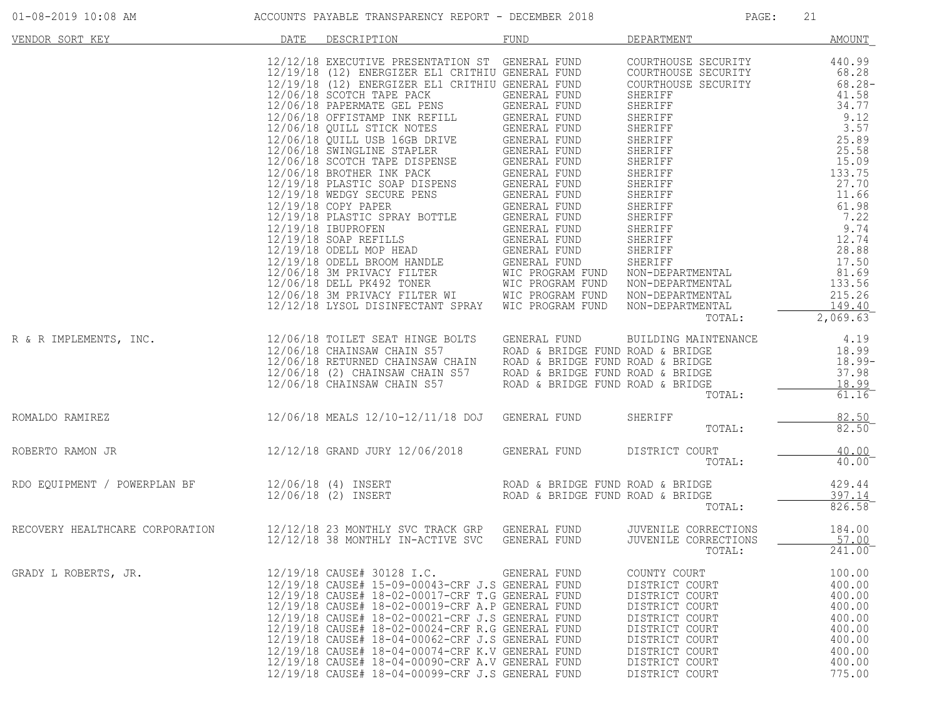|                                                                                                                           |      |                                                                                                                                                                                                                                                                                                                                                                                                                                                                                                                | FUND         |                                                                                                                                                                                |                                                                                                  |
|---------------------------------------------------------------------------------------------------------------------------|------|----------------------------------------------------------------------------------------------------------------------------------------------------------------------------------------------------------------------------------------------------------------------------------------------------------------------------------------------------------------------------------------------------------------------------------------------------------------------------------------------------------------|--------------|--------------------------------------------------------------------------------------------------------------------------------------------------------------------------------|--------------------------------------------------------------------------------------------------|
| VENDOR SORT KEY<br>R & R IMPLEMENTS, INC.<br>12/06/18 COLLET SEAT HINGE BOLTS GENERAL FUND<br>12/06/18 CHAINSAM CHAIN S57 | DATE | DESCRIPTION                                                                                                                                                                                                                                                                                                                                                                                                                                                                                                    |              | DEPARTMENT<br>TOTAL:<br>BUILDING MAINTENANCE                                                                                                                                   | AMOUNT<br>2,069.63<br>4.19                                                                       |
|                                                                                                                           |      | 12/06/18 CHAINSAW CHAIN 557<br>12/06/18 RETURNED CHAINSAW CHAIN ROAD & BRIDGE FUND ROAD & BRIDGE<br>12/06/18 RETURNED CHAINSAW CHAIN ROAD & BRIDGE FUND ROAD & BRIDGE<br>12/06/18 CHAINSAW CHAIN S57 ROAD & BRIDGE FUND ROAD & BRIDGE<br>1<br>12/06/18 MEALS 12/10-12/11/18 DOJ GENERAL FUND                                                                                                                                                                                                                   |              | TOTAL:                                                                                                                                                                         | $18.99$<br>$18.99$ -<br>37.98<br>$\frac{18.99}{61.16}$                                           |
| ROMALDO RAMIREZ                                                                                                           |      |                                                                                                                                                                                                                                                                                                                                                                                                                                                                                                                |              | SHERIFF<br>TOTAL:                                                                                                                                                              | $\frac{82.50}{82.50}$                                                                            |
| ROBERTO RAMON JR                                                                                                          |      | 12/12/18 GRAND JURY 12/06/2018 GENERAL FUND                                                                                                                                                                                                                                                                                                                                                                                                                                                                    |              | DISTRICT COURT<br>TOTAL:                                                                                                                                                       | 40.00<br>40.00                                                                                   |
| RDO EQUIPMENT / POWERPLAN BF                                                                                              |      | 12/06/18 (4) INSERT<br>12/06/18 (2) INSERT                        ROAD & BRIDGE FUND ROAD & BRIDGE                                                                                                                                                                                                                                                                                                                                                                                                             |              | TOTAL:                                                                                                                                                                         | 429.44<br>397.14<br>826.58                                                                       |
| RECOVERY HEALTHCARE CORPORATION                                                                                           |      | 12/12/18  23 MONTHLY SVC TRACK GRP   GENERAL FUND<br>12/12/18  38 MONTHLY IN-ACTIVE SVC   GENERAL FUND<br>12/12/18 38 MONTHLY IN-ACTIVE SVC GENERAL FUND                                                                                                                                                                                                                                                                                                                                                       |              | JUVENILE CORRECTIONS<br>JUVENILE CORRECTIONS<br>TOTAL:                                                                                                                         | 184.00<br>57.00<br>241.00                                                                        |
| GRADY L ROBERTS, JR.                                                                                                      |      | 12/19/18 CAUSE# 30128 I.C.<br>12/19/18 CAUSE# 15-09-00043-CRF J.S GENERAL FUND<br>12/19/18 CAUSE# 18-02-00017-CRF T.G GENERAL FUND<br>12/19/18 CAUSE# 18-02-00019-CRF A.P GENERAL FUND<br>12/19/18 CAUSE# 18-02-00021-CRF J.S GENERAL FUND<br>12/19/18 CAUSE# 18-02-00024-CRF R.G GENERAL FUND<br>12/19/18 CAUSE# 18-04-00062-CRF J.S GENERAL FUND<br>12/19/18 CAUSE# 18-04-00074-CRF K.V GENERAL FUND<br>12/19/18 CAUSE# 18-04-00090-CRF A.V GENERAL FUND<br>12/19/18 CAUSE# 18-04-00099-CRF J.S GENERAL FUND | GENERAL FUND | COUNTY COURT<br>DISTRICT COURT<br>DISTRICT COURT<br>DISTRICT COURT<br>DISTRICT COURT<br>DISTRICT COURT<br>DISTRICT COURT<br>DISTRICT COURT<br>DISTRICT COURT<br>DISTRICT COURT | 100.00<br>400.00<br>400.00<br>400.00<br>400.00<br>400.00<br>400.00<br>400.00<br>400.00<br>775.00 |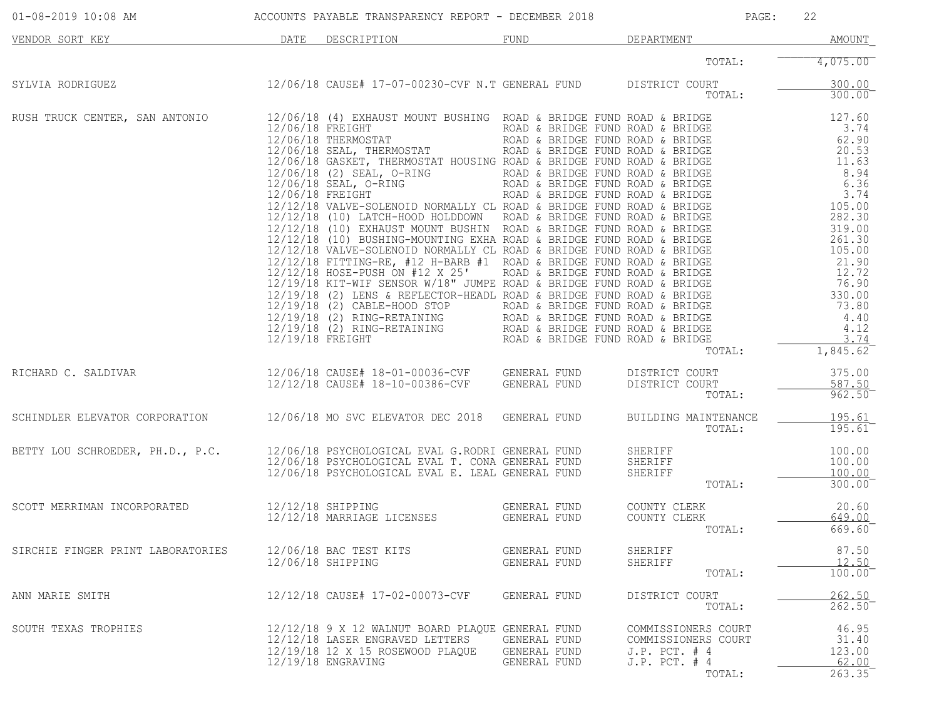| $01 - 08 - 2019$ 10:08 AM                                                     |      | ACCOUNTS PAYABLE TRANSPARENCY REPORT - DECEMBER 2018                                                                                                                                                                                                                                                                                                                                                                                                                                                                                                                                  |                                              | PAGE:                                                                                        | 22                                          |
|-------------------------------------------------------------------------------|------|---------------------------------------------------------------------------------------------------------------------------------------------------------------------------------------------------------------------------------------------------------------------------------------------------------------------------------------------------------------------------------------------------------------------------------------------------------------------------------------------------------------------------------------------------------------------------------------|----------------------------------------------|----------------------------------------------------------------------------------------------|---------------------------------------------|
| VENDOR SORT KEY                                                               | DATE | DESCRIPTION                                                                                                                                                                                                                                                                                                                                                                                                                                                                                                                                                                           | <b>FUND</b>                                  | DEPARTMENT                                                                                   | <b>AMOUNT</b>                               |
|                                                                               |      |                                                                                                                                                                                                                                                                                                                                                                                                                                                                                                                                                                                       |                                              | TOTAL:                                                                                       | 4,075.00                                    |
| SYLVIA RODRIGUEZ                                                              |      | 12/06/18 CAUSE# 17-07-00230-CVF N.T GENERAL FUND                                                                                                                                                                                                                                                                                                                                                                                                                                                                                                                                      |                                              | DISTRICT COURT<br>TOTAL:                                                                     | 300.00<br>300.00                            |
| RUSH TRUCK CENTER, SAN ANTONIO                                                |      | $\begin{tabular}{l c c c c c} \hline 12/06/18 & (4) EXERUST MOINT PUSHING RODA & BRIDGE FUND RODA & BRIDGE FUND RODA & BRIDGE FUND RODA & BRIDGE FUND RODA & BRIDGE FUND RODA & BRIDGE FUND RODA & BRIDGE FUND RODA & BRIDGE FUND RODA & BRIDGE FUND RODA & BRIDGE FUND RODA & BRIDGE FUND RODA & BRIDGE FUND RODA & BRIDGE FUND RODA & BRIDGE FUND RODA & BRIDGE FUND RODA & BRIDGE FUND RODA & BRIDGE FUND RODA & BRIDGE FUND RODA & BRIDGE FUND RODA & BRIDGE FUND RODA & BRIDGE FUND RODA & BRIDGE FUND R$<br>12/06/18 (4) EXHAUST MOUNT BUSHING ROAD & BRIDGE FUND ROAD & BRIDGE |                                              | TOTAL:                                                                                       | 1,845.62                                    |
| RICHARD C. SALDIVAR                                                           |      | 12/06/18 CAUSE# 18-01-00036-CVF GENERAL FUND<br>10/10/10 ORIGE# 19-10-00386-CVF GENERAL FUND                                                                                                                                                                                                                                                                                                                                                                                                                                                                                          |                                              | DISTRICT COURT<br>DISTRICT COURT<br>TOTAL:                                                   | 375.00<br>587.50<br>962.50                  |
| SCHINDLER ELEVATOR CORPORATION 12/06/18 MO SVC ELEVATOR DEC 2018 GENERAL FUND |      |                                                                                                                                                                                                                                                                                                                                                                                                                                                                                                                                                                                       |                                              | BUILDING MAINTENANCE<br>TOTAL:                                                               | 195.61<br>$195.61^{-}$                      |
| BETTY LOU SCHROEDER, PH.D., P.C.                                              |      | 12/06/18 PSYCHOLOGICAL EVAL G.RODRI GENERAL FUND<br>12/06/18 PSYCHOLOGICAL EVAL T. CONA GENERAL FUND<br>12/06/18 PSYCHOLOGICAL EVAL E. LEAL GENERAL FUND                                                                                                                                                                                                                                                                                                                                                                                                                              |                                              | SHERIFF<br>SHERIFF<br>SHERIFF<br>TOTAL:                                                      | 100.00<br>100.00<br>100.00<br>300.00        |
| SCOTT MERRIMAN INCORPORATED                                                   |      | 12/12/18 SHIPPING<br>12/12/18 MARRIAGE LICENSES                                                                                                                                                                                                                                                                                                                                                                                                                                                                                                                                       | GENERAL FUND<br>GENERAL FUND                 | COUNTY CLERK<br>COUNTY CLERK<br>TOTAL:                                                       | 20.60<br>649.00<br>669.60                   |
| SIRCHIE FINGER PRINT LABORATORIES                                             |      | 12/06/18 BAC TEST KITS<br>12/06/18 SHIPPING                                                                                                                                                                                                                                                                                                                                                                                                                                                                                                                                           | GENERAL FUND<br>GENERAL FUND                 | SHERIFF<br>SHERIFF<br>TOTAL:                                                                 | 87.50<br>12.50<br>$100.00^{-}$              |
| ANN MARIE SMITH                                                               |      | 12/12/18 CAUSE# 17-02-00073-CVF                                                                                                                                                                                                                                                                                                                                                                                                                                                                                                                                                       | GENERAL FUND                                 | DISTRICT COURT<br>TOTAL:                                                                     | 262.50<br>262.50                            |
| SOUTH TEXAS TROPHIES                                                          |      | 12/12/18 9 X 12 WALNUT BOARD PLAQUE GENERAL FUND<br>12/12/18 LASER ENGRAVED LETTERS<br>12/19/18 12 X 15 ROSEWOOD PLAQUE<br>12/19/18 ENGRAVING                                                                                                                                                                                                                                                                                                                                                                                                                                         | GENERAL FUND<br>GENERAL FUND<br>GENERAL FUND | COMMISSIONERS COURT<br>COMMISSIONERS COURT<br>$J.P.$ PCT. $#4$<br>$J.P.$ PCT. $#4$<br>TOTAL: | 46.95<br>31.40<br>123.00<br>62.00<br>263.35 |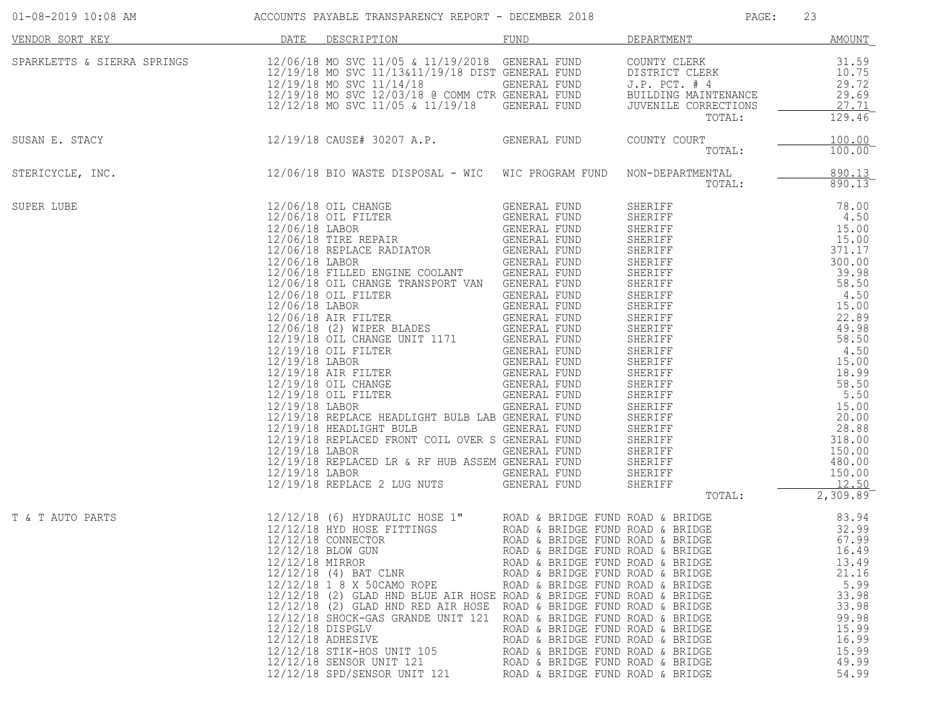|                  |                                                                                                                                                                                                                                                                                                                                                                                                                                                                                                                                                                                                                                        |                                                                                                                                                                                                                                                                                                                                                                      | PAGE:           | 23                                                                                                                  |
|------------------|----------------------------------------------------------------------------------------------------------------------------------------------------------------------------------------------------------------------------------------------------------------------------------------------------------------------------------------------------------------------------------------------------------------------------------------------------------------------------------------------------------------------------------------------------------------------------------------------------------------------------------------|----------------------------------------------------------------------------------------------------------------------------------------------------------------------------------------------------------------------------------------------------------------------------------------------------------------------------------------------------------------------|-----------------|---------------------------------------------------------------------------------------------------------------------|
| VENDOR SORT KEY  | DATE DESCRIPTION                                                                                                                                                                                                                                                                                                                                                                                                                                                                                                                                                                                                                       |                                                                                                                                                                                                                                                                                                                                                                      | FUND DEPARTMENT | <b>AMOUNT</b>                                                                                                       |
|                  | ${\small \begin{tabular}{l c c c c c c c} \multicolumn{3}{c}{SPARKLETTS & SIERRA SPRINGS} & & & & & & & 12/06/18 & \texttt{MO} & \texttt{SVC} & 11/19/2018 & \texttt{GENERAL FUND} & & \texttt{COUNTY CLERK} \\ & & & & & & 12/19/18 & \texttt{MO} & \texttt{SVC} & 11/13&11/19/18 & \texttt{DIST GENERAL FUND} & & \texttt{DISTRICT CLERK} \\ & & & & & 12/19/18 & \texttt{MO} & \texttt{SVC} & 11/14$                                                                                                                                                                                                                                |                                                                                                                                                                                                                                                                                                                                                                      |                 | $31.59$<br>$10.75$<br>29.72<br>29.69<br>27.71<br>129.46                                                             |
|                  | SUSAN E. STACY COURT 12/19/18 CAUSE# 30207 A.P. GENERAL FUND COUNTY COURT                                                                                                                                                                                                                                                                                                                                                                                                                                                                                                                                                              |                                                                                                                                                                                                                                                                                                                                                                      | TOTAL:          | 100.00<br>$100.00^{-}$                                                                                              |
| STERICYCLE, INC. | 12/06/18 BIO WASTE DISPOSAL - WIC WIC PROGRAM FUND NON-DEPARTMENTAL                                                                                                                                                                                                                                                                                                                                                                                                                                                                                                                                                                    |                                                                                                                                                                                                                                                                                                                                                                      | TOTAL:          | 890.13<br>890.13                                                                                                    |
| SUPER LUBE       | $12/06/18 \text{ GHz TLCWACR} \begin{tabular}{@{}c@{}}\hline \textbf{12}/06/18 & \textbf{OTL} \text{ CHAMOR} \end{tabular} \begin{tabular}{@{}c@{}}\hline \textbf{12}/06/18 & \textbf{OTL} \text{ CHAMOR} \end{tabular} \begin{tabular}{@{}c@{}}\hline \textbf{12}/06/18 & \textbf{GEMRRAL} \text{ FUND} \end{tabular} \begin{tabular}{@{}c@{}}\hline \textbf{12}/06/18 & \textbf{GEMRRAL} \text{ FUND} \end{tabular} \begin{tabular}{$                                                                                                                                                                                                |                                                                                                                                                                                                                                                                                                                                                                      |                 |                                                                                                                     |
| T & T AUTO PARTS | 12/12/18 (6) HYDRAULIC HOSE 1" ROAD & BRIDGE FUND ROAD & BRIDGE (83.94)<br>12/12/18 HYD HOSE FITTINGS (ROAD & BRIDGE FUND ROAD & BRIDGE (82.99)<br>12/12/18 CONNECTOR (ROAD & BRIDGE FUND ROAD & BRIDGE (67.99)<br>12/12/18 BLOW GUN<br>12/12/18 MIRROR<br>12/12/18 (4) BAT CLNR<br>12/12/18 1 8 X 50CAMO ROPE<br>12/12/18 (2) GLAD HND BLUE AIR HOSE ROAD & BRIDGE FUND ROAD & BRIDGE<br>12/12/18 (2) GLAD HND RED AIR HOSE ROAD & BRIDGE FUND ROAD & BRIDGE<br>12/12/18 SHOCK-GAS GRANDE UNIT 121<br>12/12/18 DISPGLV<br>12/12/18 ADHESIVE<br>12/12/18 STIK-HOS UNIT 105<br>12/12/18 SENSOR UNIT 121<br>12/12/18 SPD/SENSOR UNIT 121 | ROAD & BRIDGE FUND ROAD & BRIDGE<br>ROAD & BRIDGE FUND ROAD & BRIDGE<br>ROAD & BRIDGE FUND ROAD & BRIDGE<br>ROAD & BRIDGE FUND ROAD & BRIDGE<br>ROAD & BRIDGE FUND ROAD & BRIDGE<br>ROAD & BRIDGE FUND ROAD & BRIDGE<br>ROAD & BRIDGE FUND ROAD & BRIDGE<br>ROAD & BRIDGE FUND ROAD & BRIDGE<br>ROAD & BRIDGE FUND ROAD & BRIDGE<br>ROAD & BRIDGE FUND ROAD & BRIDGE | TOTAL:          | 2,309.89<br>16.49<br>13.49<br>21.16<br>5.99<br>33.98<br>33.98<br>99.98<br>15.99<br>16.99<br>15.99<br>49.99<br>54.99 |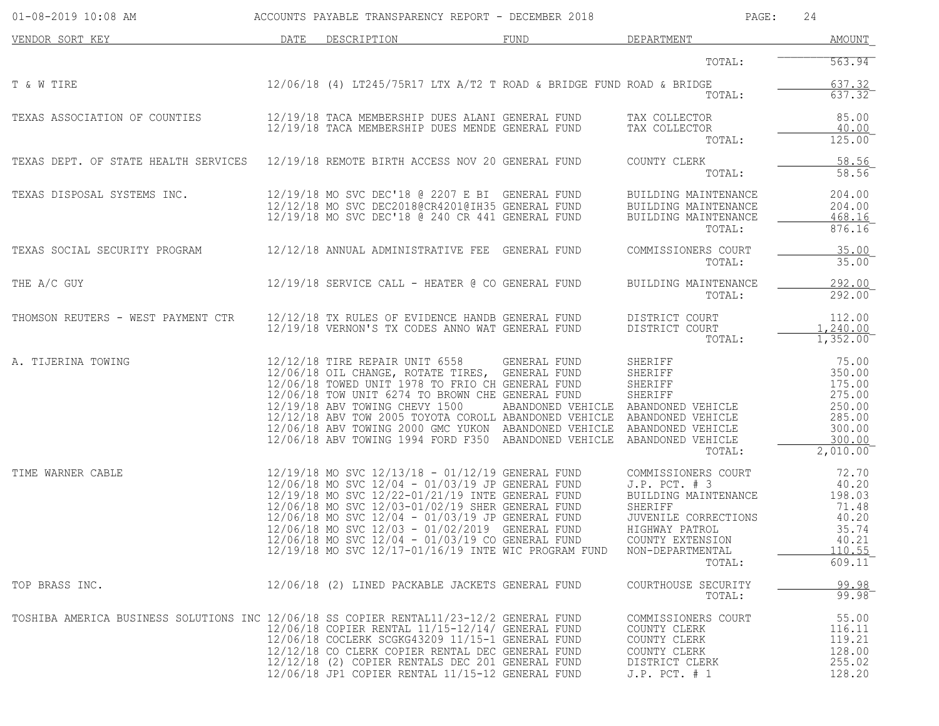| $01-08-2019$ $10:08$ AM                                                                 |      | ACCOUNTS PAYABLE TRANSPARENCY REPORT - DECEMBER 2018                                                                                                                                                                                                                                                                                                                        |                                                                                                                                                                                                                                                                    | PAGE:                                                                                                                                                               | 24                                                                                              |
|-----------------------------------------------------------------------------------------|------|-----------------------------------------------------------------------------------------------------------------------------------------------------------------------------------------------------------------------------------------------------------------------------------------------------------------------------------------------------------------------------|--------------------------------------------------------------------------------------------------------------------------------------------------------------------------------------------------------------------------------------------------------------------|---------------------------------------------------------------------------------------------------------------------------------------------------------------------|-------------------------------------------------------------------------------------------------|
| VENDOR SORT KEY                                                                         | DATE | DESCRIPTION                                                                                                                                                                                                                                                                                                                                                                 | FUND                                                                                                                                                                                                                                                               | DEPARTMENT                                                                                                                                                          | <b>AMOUNT</b>                                                                                   |
|                                                                                         |      |                                                                                                                                                                                                                                                                                                                                                                             |                                                                                                                                                                                                                                                                    | TOTAL:                                                                                                                                                              | 563.94                                                                                          |
| T & W TIRE                                                                              |      |                                                                                                                                                                                                                                                                                                                                                                             | $12/06/18$ (4) LT245/75R17 LTX A/T2 T ROAD & BRIDGE FUND ROAD & BRIDGE                                                                                                                                                                                             | TOTAL:                                                                                                                                                              | 637.32<br>637.32                                                                                |
| TEXAS ASSOCIATION OF COUNTIES                                                           |      | 12/19/18 TACA MEMBERSHIP DUES MENDE GENERAL FUND                                                                                                                                                                                                                                                                                                                            | 12/19/18 TACA MEMBERSHIP DUES ALANI GENERAL FUND                                                                                                                                                                                                                   | TAX COLLECTOR<br>TAX COLLECTOR<br>TOTAL:                                                                                                                            | 85.00<br>40.00<br>$125.00^-$                                                                    |
| TEXAS DEPT. OF STATE HEALTH SERVICES 12/19/18 REMOTE BIRTH ACCESS NOV 20 GENERAL FUND   |      |                                                                                                                                                                                                                                                                                                                                                                             |                                                                                                                                                                                                                                                                    | COUNTY CLERK<br>TOTAL:                                                                                                                                              | 58.56<br>58.56                                                                                  |
| TEXAS DISPOSAL SYSTEMS INC.                                                             |      | 12/19/18 MO SVC DEC'18 @ 2207 E BI GENERAL FUND<br>12/12/18 MO SVC DEC2018@CR4201@IH35 GENERAL FUND<br>12/19/18 MO SVC DEC'18 @ 240 CR 441 GENERAL FUND                                                                                                                                                                                                                     |                                                                                                                                                                                                                                                                    | BUILDING MAINTENANCE<br>BUILDING MAINTENANCE<br>BUILDING MAINTENANCE<br>TOTAL:                                                                                      | 204.00<br>204.00<br>468.16<br>876.16                                                            |
| TEXAS SOCIAL SECURITY PROGRAM                                                           |      | 12/12/18 ANNUAL ADMINISTRATIVE FEE GENERAL FUND                                                                                                                                                                                                                                                                                                                             |                                                                                                                                                                                                                                                                    | COMMISSIONERS COURT<br>TOTAL:                                                                                                                                       | 35.00<br>$35.00$ <sup>-</sup>                                                                   |
| THE A/C GUY                                                                             |      | $12/19/18$ SERVICE CALL - HEATER @ CO GENERAL FUND                                                                                                                                                                                                                                                                                                                          |                                                                                                                                                                                                                                                                    | BUILDING MAINTENANCE<br>TOTAL:                                                                                                                                      | 292.00<br>292.00                                                                                |
| THOMSON REUTERS - WEST PAYMENT CTR                                                      |      | 12/12/18 TX RULES OF EVIDENCE HANDB GENERAL FUND<br>12/19/18 VERNON'S TX CODES ANNO WAT GENERAL FUND                                                                                                                                                                                                                                                                        |                                                                                                                                                                                                                                                                    | DISTRICT COURT<br>DISTRICT COURT<br>TOTAL:                                                                                                                          | 112.00<br>1,240.00<br>1,352.00                                                                  |
| A. TIJERINA TOWING                                                                      |      | 12/12/18 TIRE REPAIR UNIT 6558 GENERAL FUND<br>12/06/18 OIL CHANGE, ROTATE TIRES, GENERAL FUND<br>12/06/18 TOWED UNIT 1978 TO FRIO CH GENERAL FUND<br>12/06/18 TOW UNIT 6274 TO BROWN CHE GENERAL FUND<br>12/19/18 ABV TOWING CHEVY 1500                                                                                                                                    | ABANDONED VEHICLE ABANDONED VEHICLE<br>12/12/18 ABV TOW 2005 TOYOTA COROLL ABANDONED VEHICLE ABANDONED VEHICLE<br>12/06/18 ABV TOWING 2000 GMC YUKON ABANDONED VEHICLE ABANDONED VEHICLE<br>12/06/18 ABV TOWING 1994 FORD F350 ABANDONED VEHICLE ABANDONED VEHICLE | SHERIFF<br>SHERIFF<br>SHERIFF<br>SHERIFF<br>TOTAL:                                                                                                                  | 75.00<br>350.00<br>175.00<br>275.00<br>250.00<br>285.00<br>300.00<br>300.00<br>2,010.00         |
| TIME WARNER CABLE                                                                       |      | 12/19/18 MO SVC 12/13/18 - 01/12/19 GENERAL FUND<br>$12/06/18$ MO SVC $12/04 - 01/03/19$ JP GENERAL FUND<br>12/19/18 MO SVC 12/22-01/21/19 INTE GENERAL FUND<br>12/06/18 MO SVC 12/03-01/02/19 SHER GENERAL FUND<br>12/06/18 MO SVC 12/04 - 01/03/19 JP GENERAL FUND<br>12/06/18 MO SVC 12/03 - 01/02/2019 GENERAL FUND<br>12/06/18 MO SVC 12/04 - 01/03/19 CO GENERAL FUND | 12/19/18 MO SVC 12/17-01/16/19 INTE WIC PROGRAM FUND                                                                                                                                                                                                               | COMMISSIONERS COURT<br>J.P. PCT. # 3<br>BUILDING MAINTENANCE<br>SHERIFF<br>JUVENILE CORRECTIONS<br>HIGHWAY PATROL<br>COUNTY EXTENSION<br>NON-DEPARTMENTAL<br>TOTAL: | 72.70<br>40.20<br>198.03<br>71.48<br>40.20<br>35.74<br>40.21<br>110.55<br>$609.11$ <sup>-</sup> |
| TOP BRASS INC.                                                                          |      | 12/06/18 (2) LINED PACKABLE JACKETS GENERAL FUND                                                                                                                                                                                                                                                                                                                            |                                                                                                                                                                                                                                                                    | COURTHOUSE SECURITY<br>TOTAL:                                                                                                                                       | $\frac{99.98}{99.98}$                                                                           |
| TOSHIBA AMERICA BUSINESS SOLUTIONS INC 12/06/18 SS COPIER RENTAL11/23-12/2 GENERAL FUND |      | 12/06/18 COPIER RENTAL 11/15-12/14/ GENERAL FUND<br>12/06/18 COCLERK SCGKG43209 11/15-1 GENERAL FUND<br>12/12/18 CO CLERK COPIER RENTAL DEC GENERAL FUND<br>12/12/18 (2) COPIER RENTALS DEC 201 GENERAL FUND<br>12/06/18 JP1 COPIER RENTAL 11/15-12 GENERAL FUND                                                                                                            |                                                                                                                                                                                                                                                                    | COMMISSIONERS COURT<br>COUNTY CLERK<br>COUNTY CLERK<br>COUNTY CLERK<br>DISTRICT CLERK<br>$J.P.$ PCT. $# 1$                                                          | 55.00<br>116.11<br>119.21<br>128.00<br>255.02<br>128.20                                         |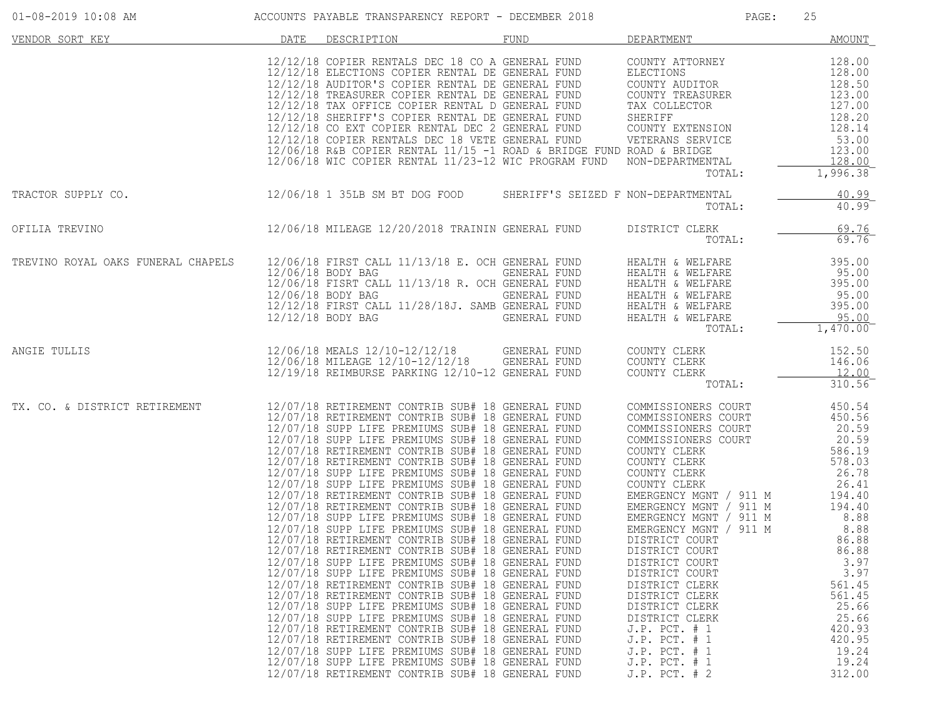| $01 - 08 - 2019$ 10:08 AM          |      | ACCOUNTS PAYABLE TRANSPARENCY REPORT - DECEMBER 2018                                                                                                                                                                                                                                                                                                                                                                                                                                                                                                                                                                                                                                                                                                                                                                                                                                                                                                                                                                                                                                                                                                                                                                                                                                                                                             |                                              | PAGE:                                                                                                                                                                                                                                                                                                                                                                                                                                                                                                                        | 25                                                                                                                                                                                                                         |
|------------------------------------|------|--------------------------------------------------------------------------------------------------------------------------------------------------------------------------------------------------------------------------------------------------------------------------------------------------------------------------------------------------------------------------------------------------------------------------------------------------------------------------------------------------------------------------------------------------------------------------------------------------------------------------------------------------------------------------------------------------------------------------------------------------------------------------------------------------------------------------------------------------------------------------------------------------------------------------------------------------------------------------------------------------------------------------------------------------------------------------------------------------------------------------------------------------------------------------------------------------------------------------------------------------------------------------------------------------------------------------------------------------|----------------------------------------------|------------------------------------------------------------------------------------------------------------------------------------------------------------------------------------------------------------------------------------------------------------------------------------------------------------------------------------------------------------------------------------------------------------------------------------------------------------------------------------------------------------------------------|----------------------------------------------------------------------------------------------------------------------------------------------------------------------------------------------------------------------------|
| VENDOR SORT KEY                    | DATE | DESCRIPTION                                                                                                                                                                                                                                                                                                                                                                                                                                                                                                                                                                                                                                                                                                                                                                                                                                                                                                                                                                                                                                                                                                                                                                                                                                                                                                                                      | FUND                                         | DEPARTMENT                                                                                                                                                                                                                                                                                                                                                                                                                                                                                                                   | <b>AMOUNT</b>                                                                                                                                                                                                              |
|                                    |      | 12/12/18 COPIER RENTALS DEC 18 CO A GENERAL FUND<br>12/12/18 ELECTIONS COPIER RENTAL DE GENERAL FUND<br>12/12/18 AUDITOR'S COPIER RENTAL DE GENERAL FUND<br>12/12/18 TREASURER COPIER RENTAL DE GENERAL FUND<br>12/12/18 TAX OFFICE COPIER RENTAL D GENERAL FUND<br>12/12/18 SHERIFF'S COPIER RENTAL DE GENERAL FUND SHERIFF<br>12/12/18 CO EXT COPIER RENTAL DEC 2 GENERAL FUND COUNTY EXTENSION<br>12/12/18 COPIER RENTALS DEC 18 VETE GENERAL FUND VETERANS SERVICE<br>$12/06/18$ R&B COPIER RENTAL $11/15$ -1 ROAD & BRIDGE FUND ROAD & BRIDGE<br>12/06/18 WIC COPIER RENTAL 11/23-12 WIC PROGRAM FUND NON-DEPARTMENTAL                                                                                                                                                                                                                                                                                                                                                                                                                                                                                                                                                                                                                                                                                                                      |                                              | COUNTY ATTORNEY<br>ELECTIONS<br>COUNTY AUDITOR<br>COUNTY TREASURER<br>TAX COLLECTOR<br>TOTAL:                                                                                                                                                                                                                                                                                                                                                                                                                                | 128.00<br>128.00<br>128.50<br>123.00<br>127.00<br>128.20<br>128.14<br>53.00<br>123.00<br>128.00<br>1,996.38                                                                                                                |
| TRACTOR SUPPLY CO.                 |      | 12/06/18 1 35LB SM BT DOG FOOD SHERIFF'S SEIZED F NON-DEPARTMENTAL                                                                                                                                                                                                                                                                                                                                                                                                                                                                                                                                                                                                                                                                                                                                                                                                                                                                                                                                                                                                                                                                                                                                                                                                                                                                               |                                              | TOTAL:                                                                                                                                                                                                                                                                                                                                                                                                                                                                                                                       | 40.99<br>$40.99$ <sup>-</sup>                                                                                                                                                                                              |
| OFILIA TREVINO                     |      | 12/06/18 MILEAGE 12/20/2018 TRAININ GENERAL FUND                                                                                                                                                                                                                                                                                                                                                                                                                                                                                                                                                                                                                                                                                                                                                                                                                                                                                                                                                                                                                                                                                                                                                                                                                                                                                                 |                                              | DISTRICT CLERK<br>TOTAL:                                                                                                                                                                                                                                                                                                                                                                                                                                                                                                     | 69.76<br>69.76                                                                                                                                                                                                             |
| TREVINO ROYAL OAKS FUNERAL CHAPELS |      | 12/06/18 FIRST CALL 11/13/18 E. OCH GENERAL FUND<br>12/06/18 BODY BAG<br>12/06/18 FISRT CALL 11/13/18 R. OCH GENERAL FUND<br>12/06/18 BODY BAG<br>12/12/18 FIRST CALL 11/28/18J. SAMB GENERAL FUND<br>12/12/18 BODY BAG                                                                                                                                                                                                                                                                                                                                                                                                                                                                                                                                                                                                                                                                                                                                                                                                                                                                                                                                                                                                                                                                                                                          | GENERAL FUND<br>GENERAL FUND<br>GENERAL FUND | HEALTH & WELFARE<br>HEALTH & WELFARE<br>HEALTH & WELFARE<br>HEALTH & WELFARE<br>HEALTH & WELFARE<br>HEALTH & WELFARE<br>TOTAL:                                                                                                                                                                                                                                                                                                                                                                                               | 395.00<br>95.00<br>395.00<br>95.00<br>395.00<br>95.00<br>1,470.00                                                                                                                                                          |
| ANGIE TULLIS                       |      | 12/06/18 MEALS 12/10-12/12/18 GENERAL FUND<br>12/06/18 MILEAGE 12/10-12/12/18 GENERAL FUND<br>12/19/18 REIMBURSE PARKING 12/10-12 GENERAL FUND                                                                                                                                                                                                                                                                                                                                                                                                                                                                                                                                                                                                                                                                                                                                                                                                                                                                                                                                                                                                                                                                                                                                                                                                   |                                              | COUNTY CLERK<br>COUNTY CLERK<br>COUNTY CLERK<br>TOTAL:                                                                                                                                                                                                                                                                                                                                                                                                                                                                       | 152.50<br>146.06<br>12.00<br>310.56                                                                                                                                                                                        |
| TX. CO. & DISTRICT RETIREMENT      |      | 12/07/18 RETIREMENT CONTRIB SUB# 18 GENERAL FUND<br>12/07/18 RETIREMENT CONTRIB SUB# 18 GENERAL FUND<br>12/07/18 SUPP LIFE PREMIUMS SUB# 18 GENERAL FUND<br>12/07/18 SUPP LIFE PREMIUMS SUB# 18 GENERAL FUND<br>12/07/18 RETIREMENT CONTRIB SUB# 18 GENERAL FUND<br>12/07/18 RETIREMENT CONTRIB SUB# 18 GENERAL FUND<br>12/07/18 SUPP LIFE PREMIUMS SUB# 18 GENERAL FUND<br>12/07/18 SUPP LIFE PREMIUMS SUB# 18 GENERAL FUND<br>12/07/18 RETIREMENT CONTRIB SUB# 18 GENERAL FUND<br>12/07/18 RETIREMENT CONTRIB SUB# 18 GENERAL FUND<br>12/07/18 SUPP LIFE PREMIUMS SUB# 18 GENERAL FUND<br>12/07/18 SUPP LIFE PREMIUMS SUB# 18 GENERAL FUND<br>12/07/18 RETIREMENT CONTRIB SUB# 18 GENERAL FUND<br>12/07/18 RETIREMENT CONTRIB SUB# 18 GENERAL FUND<br>12/07/18 SUPP LIFE PREMIUMS SUB# 18 GENERAL FUND<br>12/07/18 SUPP LIFE PREMIUMS SUB# 18 GENERAL FUND<br>12/07/18 RETIREMENT CONTRIB SUB# 18 GENERAL FUND<br>12/07/18 RETIREMENT CONTRIB SUB# 18 GENERAL FUND<br>12/07/18 SUPP LIFE PREMIUMS SUB# 18 GENERAL FUND<br>12/07/18 SUPP LIFE PREMIUMS SUB# 18 GENERAL FUND<br>12/07/18 RETIREMENT CONTRIB SUB# 18 GENERAL FUND<br>12/07/18 RETIREMENT CONTRIB SUB# 18 GENERAL FUND<br>12/07/18 SUPP LIFE PREMIUMS SUB# 18 GENERAL FUND<br>12/07/18 SUPP LIFE PREMIUMS SUB# 18 GENERAL FUND<br>12/07/18 RETIREMENT CONTRIB SUB# 18 GENERAL FUND |                                              | COMMISSIONERS COURT<br>COMMISSIONERS COURT<br>COMMISSIONERS COURT<br>COMMISSIONERS COURT<br>COUNTY CLERK<br>COUNTY CLERK<br>COUNTY CLERK<br>COUNTY CLERK<br>EMERGENCY MGNT / 911 M 194.40<br>EMERGENCY MGNT / 911 M<br>EMERGENCY MGNT / 911 M<br>EMERGENCY MGNT / 911 M<br>DISTRICT COURT<br>DISTRICT COURT<br>DISTRICT COURT<br>DISTRICT COURT<br>DISTRICT CLERK<br>DISTRICT CLERK<br>DISTRICT CLERK<br>DISTRICT CLERK<br>$J.P.$ PCT. $# 1$<br>$J.P.$ PCT. $# 1$<br>$J.P.$ PCT. $# 1$<br>$J.P.$ PCT. $# 1$<br>J.P. PCT. # 2 | 450.54<br>450.56<br>20.59<br>20.59<br>586.19<br>578.03<br>26.78<br>26.41<br>194.40<br>8.88<br>8.88<br>86.88<br>86.88<br>3.97<br>3.97<br>561.45<br>561.45<br>25.66<br>25.66<br>420.93<br>420.95<br>19.24<br>19.24<br>312.00 |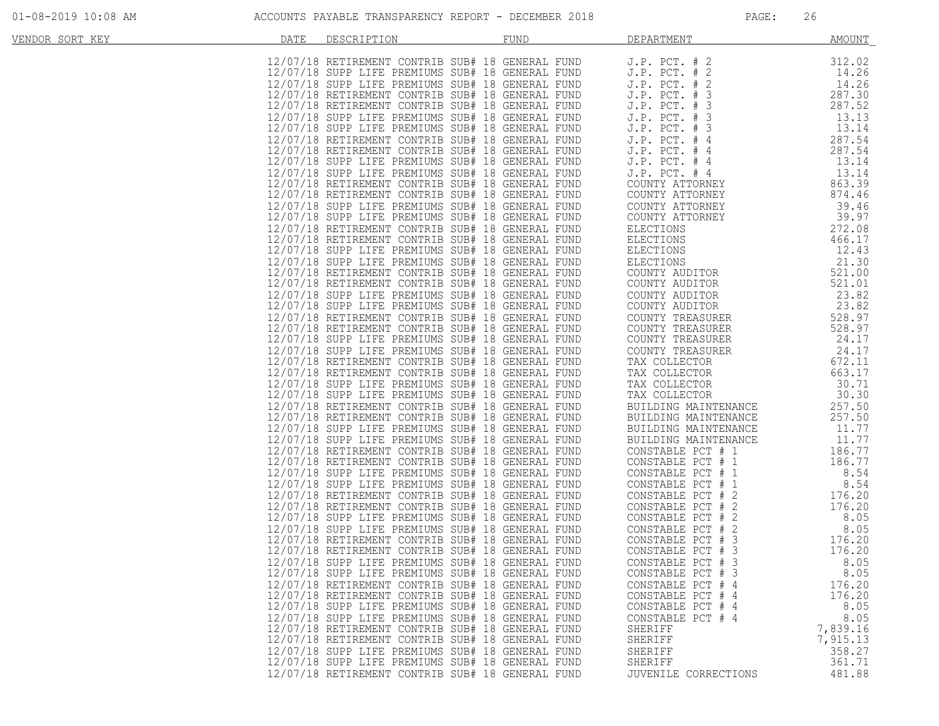| VENDOR SORT KEY | DATE | DESCRIPTION | <b>FUND</b>                                                                                          | DEPARTMENT                                                         | <b>AMOUNT</b>   |
|-----------------|------|-------------|------------------------------------------------------------------------------------------------------|--------------------------------------------------------------------|-----------------|
|                 |      |             | 12/07/18 RETIREMENT CONTRIB SUB# 18 GENERAL FUND                                                     | $J.P.$ PCT. $# 2$                                                  | 312.02          |
|                 |      |             | 12/07/18 SUPP LIFE PREMIUMS SUB# 18 GENERAL FUND                                                     |                                                                    | 14.26           |
|                 |      |             | 12/07/18 SUPP LIFE PREMIUMS SUB# 18 GENERAL FUND                                                     | $J.P.$ PCT. $# 2$<br>J.P. PCT. # 2                                 | 14.26           |
|                 |      |             | 12/07/18 RETIREMENT CONTRIB SUB# 18 GENERAL FUND                                                     | $J.P.$ PCT. $# 3$                                                  | 287.30          |
|                 |      |             | 12/07/18 RETIREMENT CONTRIB SUB# 18 GENERAL FUND                                                     | $J.P.$ PCT. $# 3$                                                  | 287.52          |
|                 |      |             |                                                                                                      |                                                                    |                 |
|                 |      |             | 12/07/18 SUPP LIFE PREMIUMS SUB# 18 GENERAL FUND                                                     | J.P. PCT. # 3                                                      | 13.13           |
|                 |      |             | 12/07/18 SUPP LIFE PREMIUMS SUB# 18 GENERAL FUND                                                     | J.P. PCT. # 3                                                      | 13.14           |
|                 |      |             | 12/07/18 RETIREMENT CONTRIB SUB# 18 GENERAL FUND                                                     | J.P. PCT. # 4                                                      | 287.54          |
|                 |      |             | 12/07/18 RETIREMENT CONTRIB SUB# 18 GENERAL FUND                                                     | J.P. PCT. # 4                                                      | 287.54          |
|                 |      |             | 12/07/18 SUPP LIFE PREMIUMS SUB# 18 GENERAL FUND                                                     | $J.P.$ PCT. $#4$                                                   | 13.14           |
|                 |      |             | 12/07/18 SUPP LIFE PREMIUMS SUB# 18 GENERAL FUND                                                     | $J.P.$ PCT. $#4$<br>COUNTY ATTORNEY                                | 13.14<br>863.39 |
|                 |      |             | 12/07/18 RETIREMENT CONTRIB SUB# 18 GENERAL FUND<br>12/07/18 RETIREMENT CONTRIB SUB# 18 GENERAL FUND | COUNTY ATTORNEY                                                    | 874.46          |
|                 |      |             |                                                                                                      |                                                                    |                 |
|                 |      |             | 12/07/18 SUPP LIFE PREMIUMS SUB# 18 GENERAL FUND                                                     | COUNTY ATTORNEY                                                    | 39.46           |
|                 |      |             | 12/07/18 SUPP LIFE PREMIUMS SUB# 18 GENERAL FUND                                                     | COUNTY ATTORNEY                                                    | 39.97           |
|                 |      |             | 12/07/18 RETIREMENT CONTRIB SUB# 18 GENERAL FUND                                                     |                                                                    | 272.08          |
|                 |      |             | 12/07/18 RETIREMENT CONTRIB SUB# 18 GENERAL FUND                                                     |                                                                    | 466.17          |
|                 |      |             | 12/07/18 SUPP LIFE PREMIUMS SUB# 18 GENERAL FUND                                                     |                                                                    | 12.43           |
|                 |      |             | 12/07/18 SUPP LIFE PREMIUMS SUB# 18 GENERAL FUND                                                     | ELECTIONS<br>ELECTIONS<br>ELECTIONS<br>ELECTIONS<br>COUNTY AUDITOR | 21.30           |
|                 |      |             | 12/07/18 RETIREMENT CONTRIB SUB# 18 GENERAL FUND                                                     |                                                                    | 521.00          |
|                 |      |             | 12/07/18 RETIREMENT CONTRIB SUB# 18 GENERAL FUND                                                     | COUNTY AUDITOR                                                     | 521.01          |
|                 |      |             | 12/07/18 SUPP LIFE PREMIUMS SUB# 18 GENERAL FUND                                                     | COUNTY AUDITOR                                                     | 23.82           |
|                 |      |             | 12/07/18 SUPP LIFE PREMIUMS SUB# 18 GENERAL FUND                                                     | COUNTY AUDITOR                                                     | 23.82           |
|                 |      |             | 12/07/18 RETIREMENT CONTRIB SUB# 18 GENERAL FUND                                                     | COUNTY TREASURER                                                   | 528.97          |
|                 |      |             | 12/07/18 RETIREMENT CONTRIB SUB# 18 GENERAL FUND                                                     | COUNTY TREASURER                                                   | 528.97          |
|                 |      |             | 12/07/18 SUPP LIFE PREMIUMS SUB# 18 GENERAL FUND                                                     | COUNTY TREASURER                                                   | 24.17           |
|                 |      |             | 12/07/18 SUPP LIFE PREMIUMS SUB# 18 GENERAL FUND                                                     | COUNTY TREASURER                                                   | 24.17           |
|                 |      |             | 12/07/18 RETIREMENT CONTRIB SUB# 18 GENERAL FUND                                                     | TAX COLLECTOR                                                      | 672.11          |
|                 |      |             | 12/07/18 RETIREMENT CONTRIB SUB# 18 GENERAL FUND                                                     | TAX COLLECTOR                                                      | 663.17          |
|                 |      |             | 12/07/18 SUPP LIFE PREMIUMS SUB# 18 GENERAL FUND                                                     | TAX COLLECTOR                                                      | 30.71           |
|                 |      |             | 12/07/18 SUPP LIFE PREMIUMS SUB# 18 GENERAL FUND                                                     | TAX COLLECTOR                                                      | 30.30           |
|                 |      |             | 12/07/18 RETIREMENT CONTRIB SUB# 18 GENERAL FUND                                                     | BUILDING MAINTENANCE                                               | 257.50          |
|                 |      |             | 12/07/18 RETIREMENT CONTRIB SUB# 18 GENERAL FUND                                                     | BUILDING MAINTENANCE                                               | 257.50          |
|                 |      |             | 12/07/18 SUPP LIFE PREMIUMS SUB# 18 GENERAL FUND                                                     | BUILDING MAINTENANCE                                               | 11.77           |
|                 |      |             | 12/07/18 SUPP LIFE PREMIUMS SUB# 18 GENERAL FUND                                                     | BUILDING MAINTENANCE                                               | 11.77           |
|                 |      |             | 12/07/18 RETIREMENT CONTRIB SUB# 18 GENERAL FUND                                                     | CONSTABLE PCT # 1                                                  | 186.77          |
|                 |      |             | 12/07/18 RETIREMENT CONTRIB SUB# 18 GENERAL FUND                                                     | CONSTABLE PCT # 1                                                  | 186.77          |
|                 |      |             | 12/07/18 SUPP LIFE PREMIUMS SUB# 18 GENERAL FUND                                                     | CONSTABLE PCT # 1                                                  | 8.54            |
|                 |      |             | 12/07/18 SUPP LIFE PREMIUMS SUB# 18 GENERAL FUND                                                     | CONSTABLE PCT # 1                                                  | 8.54            |
|                 |      |             | 12/07/18 RETIREMENT CONTRIB SUB# 18 GENERAL FUND                                                     | CONSTABLE PCT # 2                                                  | 176.20          |
|                 |      |             | 12/07/18 RETIREMENT CONTRIB SUB# 18 GENERAL FUND                                                     | CONSTABLE PCT # 2                                                  | 176.20          |
|                 |      |             | 12/07/18 SUPP LIFE PREMIUMS SUB# 18 GENERAL FUND                                                     | CONSTABLE PCT # 2                                                  | 8.05            |
|                 |      |             | 12/07/18 SUPP LIFE PREMIUMS SUB# 18 GENERAL FUND                                                     | CONSTABLE PCT # 2                                                  | 8.05            |
|                 |      |             | 12/07/18 RETIREMENT CONTRIB SUB# 18 GENERAL FUND                                                     | CONSTABLE PCT # 3                                                  | 176.20          |
|                 |      |             | 12/07/18 RETIREMENT CONTRIB SUB# 18 GENERAL FUND                                                     | CONSTABLE PCT # 3                                                  | 176.20          |
|                 |      |             | 12/07/18 SUPP LIFE PREMIUMS SUB# 18 GENERAL FUND                                                     | CONSTABLE PCT # 3                                                  | 8.05            |
|                 |      |             | 12/07/18 SUPP LIFE PREMIUMS SUB# 18 GENERAL FUND                                                     | CONSTABLE PCT # 3                                                  | 8.05            |
|                 |      |             | 12/07/18 RETIREMENT CONTRIB SUB# 18 GENERAL FUND                                                     | CONSTABLE PCT # 4                                                  | 176.20          |
|                 |      |             | 12/07/18 RETIREMENT CONTRIB SUB# 18 GENERAL FUND                                                     | CONSTABLE PCT # 4                                                  | 176.20          |
|                 |      |             | 12/07/18 SUPP LIFE PREMIUMS SUB# 18 GENERAL FUND                                                     | CONSTABLE PCT # 4                                                  | 8.05            |
|                 |      |             | 12/07/18 SUPP LIFE PREMIUMS SUB# 18 GENERAL FUND                                                     | CONSTABLE PCT # 4                                                  | 8.05            |
|                 |      |             | 12/07/18 RETIREMENT CONTRIB SUB# 18 GENERAL FUND                                                     | SHERIFF                                                            | 7,839.16        |
|                 |      |             | 12/07/18 RETIREMENT CONTRIB SUB# 18 GENERAL FUND                                                     | SHERIFF                                                            | 7,915.13        |
|                 |      |             | 12/07/18 SUPP LIFE PREMIUMS SUB# 18 GENERAL FUND                                                     | SHERIFF                                                            | 358.27          |
|                 |      |             | 12/07/18 SUPP LIFE PREMIUMS SUB# 18 GENERAL FUND                                                     | SHERIFF                                                            | 361.71          |
|                 |      |             | 12/07/18 RETIREMENT CONTRIB SUB# 18 GENERAL FUND                                                     | JUVENILE CORRECTIONS                                               | 481.88          |
|                 |      |             |                                                                                                      |                                                                    |                 |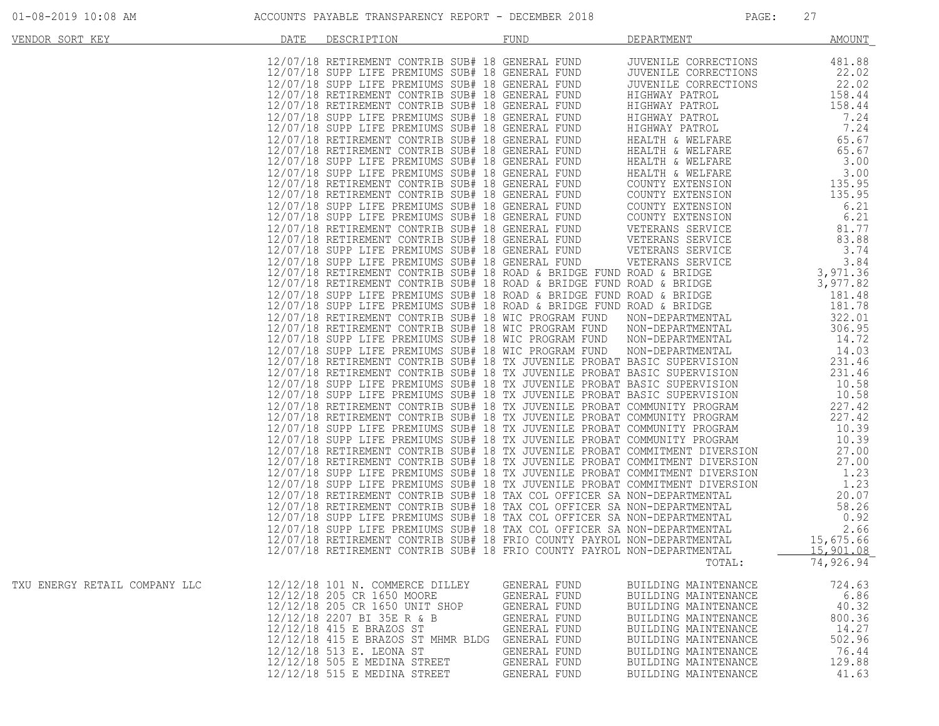| VENDOR SORT KEY               | DATE | DESCRIPTION                                            | FUND                         | DEPARTMENT                                   | <b>AMOUNT</b>   |
|-------------------------------|------|--------------------------------------------------------|------------------------------|----------------------------------------------|-----------------|
|                               |      |                                                        |                              |                                              |                 |
|                               |      |                                                        |                              |                                              |                 |
|                               |      |                                                        |                              |                                              |                 |
|                               |      |                                                        |                              |                                              |                 |
|                               |      |                                                        |                              |                                              |                 |
|                               |      |                                                        |                              |                                              |                 |
|                               |      |                                                        |                              |                                              |                 |
|                               |      |                                                        |                              |                                              |                 |
|                               |      |                                                        |                              |                                              |                 |
|                               |      |                                                        |                              |                                              |                 |
|                               |      |                                                        |                              |                                              |                 |
|                               |      |                                                        |                              |                                              |                 |
|                               |      |                                                        |                              |                                              |                 |
|                               |      |                                                        |                              |                                              |                 |
|                               |      |                                                        |                              |                                              |                 |
|                               |      |                                                        |                              |                                              |                 |
|                               |      |                                                        |                              |                                              |                 |
|                               |      |                                                        |                              |                                              |                 |
|                               |      |                                                        |                              |                                              |                 |
|                               |      |                                                        |                              |                                              |                 |
|                               |      |                                                        |                              |                                              |                 |
|                               |      |                                                        |                              |                                              |                 |
|                               |      |                                                        |                              |                                              |                 |
|                               |      |                                                        |                              |                                              |                 |
|                               |      |                                                        |                              |                                              |                 |
|                               |      |                                                        |                              |                                              |                 |
|                               |      |                                                        |                              |                                              |                 |
|                               |      |                                                        |                              |                                              |                 |
|                               |      |                                                        |                              |                                              |                 |
|                               |      |                                                        |                              |                                              |                 |
|                               |      |                                                        |                              |                                              |                 |
|                               |      |                                                        |                              |                                              |                 |
|                               |      |                                                        |                              |                                              |                 |
|                               |      |                                                        |                              |                                              |                 |
|                               |      |                                                        |                              |                                              |                 |
|                               |      |                                                        |                              |                                              |                 |
|                               |      |                                                        |                              |                                              |                 |
|                               |      |                                                        |                              |                                              |                 |
|                               |      |                                                        |                              |                                              |                 |
|                               |      |                                                        |                              |                                              |                 |
|                               |      |                                                        |                              |                                              |                 |
|                               |      |                                                        |                              |                                              |                 |
|                               |      |                                                        |                              |                                              |                 |
|                               |      |                                                        |                              |                                              |                 |
|                               |      |                                                        |                              |                                              |                 |
|                               |      |                                                        |                              |                                              |                 |
| TXU ENERGY RETAIL COMPANY LLC |      | 12/12/18 101 N. COMMERCE DILLEY                        | GENERAL FUND                 | BUILDING MAINTENANCE                         | 724.63          |
|                               |      | 12/12/18 205 CR 1650 MOORE                             | GENERAL FUND                 | BUILDING MAINTENANCE                         | 6.86            |
|                               |      | 12/12/18 205 CR 1650 UNIT SHOP                         | GENERAL FUND                 | BUILDING MAINTENANCE                         | 40.32           |
|                               |      | 12/12/18 2207 BI 35E R & B<br>12/12/18 415 E BRAZOS ST | GENERAL FUND<br>GENERAL FUND | BUILDING MAINTENANCE<br>BUILDING MAINTENANCE | 800.36<br>14.27 |
|                               |      | 12/12/18 415 E BRAZOS ST MHMR BLDG                     | GENERAL FUND                 | BUILDING MAINTENANCE                         | 502.96          |
|                               |      | 12/12/18 513 E. LEONA ST                               | GENERAL FUND                 | BUILDING MAINTENANCE                         | 76.44           |
|                               |      | 12/12/18 505 E MEDINA STREET                           | GENERAL FUND                 | BUILDING MAINTENANCE                         | 129.88          |
|                               |      | 12/12/18 515 E MEDINA STREET                           | GENERAL FUND                 | BUILDING MAINTENANCE                         | 41.63           |
|                               |      |                                                        |                              |                                              |                 |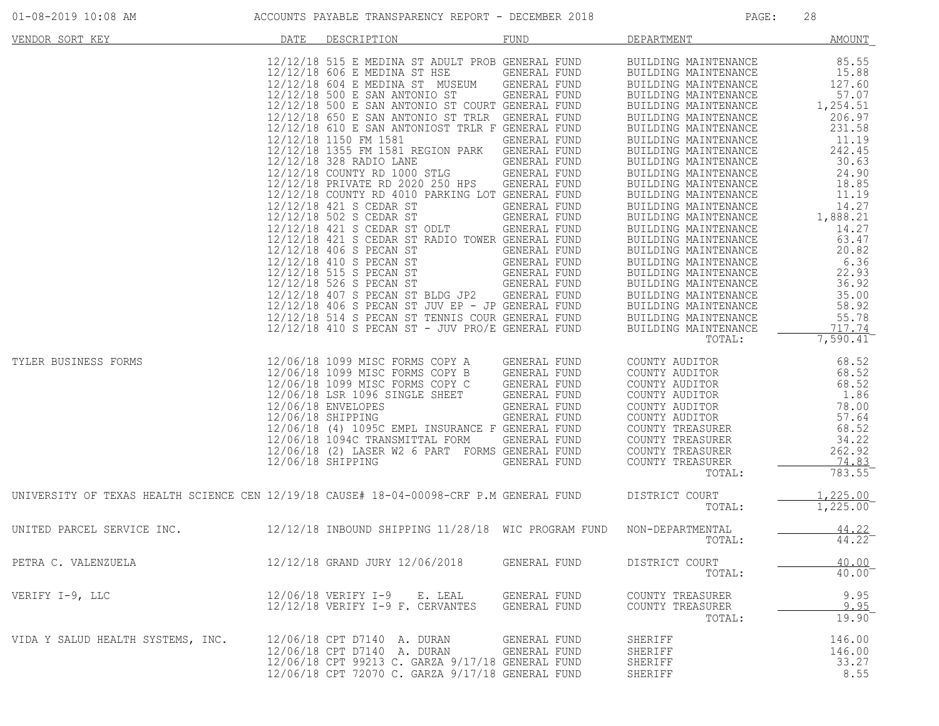| VENDOR SORT KEY                                                                         | DATE | DESCRIPTION                                                                                                                                                                                                                                                                                                                                                                                                                                                                                                                                                                                                                                                                                                                                                                                                                                                                    | <b>FUND</b>                                                                                                                                                                                                                                                         | DEPARTMENT                                                                                                                                                                                                                                                                                                                                                                                                                                                                                                                                                           | <b>AMOUNT</b>                                                                                                                                                                                                        |
|-----------------------------------------------------------------------------------------|------|--------------------------------------------------------------------------------------------------------------------------------------------------------------------------------------------------------------------------------------------------------------------------------------------------------------------------------------------------------------------------------------------------------------------------------------------------------------------------------------------------------------------------------------------------------------------------------------------------------------------------------------------------------------------------------------------------------------------------------------------------------------------------------------------------------------------------------------------------------------------------------|---------------------------------------------------------------------------------------------------------------------------------------------------------------------------------------------------------------------------------------------------------------------|----------------------------------------------------------------------------------------------------------------------------------------------------------------------------------------------------------------------------------------------------------------------------------------------------------------------------------------------------------------------------------------------------------------------------------------------------------------------------------------------------------------------------------------------------------------------|----------------------------------------------------------------------------------------------------------------------------------------------------------------------------------------------------------------------|
|                                                                                         |      | 12/12/18 515 E MEDINA ST ADULT PROB GENERAL FUND<br>12/12/18 606 E MEDINA ST HSE<br>12/12/18 604 E MEDINA ST MUSEUM<br>12/12/18 500 E SAN ANTONIO ST<br>12/12/18 500 E SAN ANTONIO ST COURT GENERAL FUND<br>12/12/18 650 E SAN ANTONIO ST TRLR GENERAL FUND<br>12/12/18 610 E SAN ANTONIOST TRLR F GENERAL FUND<br>12/12/18 1150 FM 1581<br>12/12/18 1355 FM 1581 REGION PARK<br>12/12/18 328 RADIO LANE<br>12/12/18 COUNTY RD 1000 STLG<br>12/12/18 PRIVATE RD 2020 250 HPS<br>12/12/18 COUNTY RD 4010 PARKING LOT GENERAL FUND<br>12/12/18 421 S CEDAR ST<br>12/12/18 502 S CEDAR ST<br>12/12/18 421 S CEDAR ST ODLT<br>12/12/18 421 S CEDAR ST RADIO TOWER GENERAL FUND<br>12/12/18 406 S PECAN ST<br>12/12/18 410 S PECAN ST<br>12/12/18 515 S PECAN ST<br>12/12/18 526 S PECAN ST<br>12/12/18 407 S PECAN ST BLDG JP2<br>12/12/18 406 S PECAN ST JUV EP - JP GENERAL FUND | GENERAL FUND<br>GENERAL FUND<br>GENERAL FUND<br>GENERAL FUND<br>GENERAL FUND<br>GENERAL FUND<br>GENERAL FUND<br>GENERAL FUND<br>GENERAL FUND<br>GENERAL FUND<br><b>GENERAL FUND</b><br>GENERAL FUND<br>GENERAL FUND<br>GENERAL FUND<br>GENERAL FUND<br>GENERAL FUND | BUILDING MAINTENANCE<br>BUILDING MAINTENANCE<br>BUILDING MAINTENANCE<br>BUILDING MAINTENANCE<br>BUILDING MAINTENANCE<br>BUILDING MAINTENANCE<br>BUILDING MAINTENANCE<br>BUILDING MAINTENANCE<br>BUILDING MAINTENANCE<br>BUILDING MAINTENANCE<br>BUILDING MAINTENANCE<br>BUILDING MAINTENANCE<br>BUILDING MAINTENANCE<br>BUILDING MAINTENANCE<br>BUILDING MAINTENANCE<br>BUILDING MAINTENANCE<br>BUILDING MAINTENANCE<br>BUILDING MAINTENANCE<br>BUILDING MAINTENANCE<br>BUILDING MAINTENANCE<br>BUILDING MAINTENANCE<br>BUILDING MAINTENANCE<br>BUILDING MAINTENANCE | 85.55<br>15.88<br>127.60<br>57.07<br>1,254.51<br>206.97<br>231.58<br>11.19<br>242.45<br>30.63<br>24.90<br>18.85<br>11.19<br>14.27<br>1,888.21<br>14.27<br>63.47<br>20.82<br>6.36<br>22.93<br>36.92<br>35.00<br>58.92 |
|                                                                                         |      | 12/12/18 514 S PECAN ST TENNIS COUR GENERAL FUND<br>$12/12/18$ 410 S PECAN ST - JUV PRO/E GENERAL FUND                                                                                                                                                                                                                                                                                                                                                                                                                                                                                                                                                                                                                                                                                                                                                                         |                                                                                                                                                                                                                                                                     | BUILDING MAINTENANCE<br>BUILDING MAINTENANCE                                                                                                                                                                                                                                                                                                                                                                                                                                                                                                                         | 55.78<br>717.74                                                                                                                                                                                                      |
|                                                                                         |      |                                                                                                                                                                                                                                                                                                                                                                                                                                                                                                                                                                                                                                                                                                                                                                                                                                                                                |                                                                                                                                                                                                                                                                     | TOTAL:                                                                                                                                                                                                                                                                                                                                                                                                                                                                                                                                                               | 7,590.41                                                                                                                                                                                                             |
| TYLER BUSINESS FORMS                                                                    |      | 12/06/18 1099 MISC FORMS COPY A<br>12/06/18 1099 MISC FORMS COPY B<br>12/06/18 1099 MISC FORMS COPY C<br>12/06/18 LSR 1096 SINGLE SHEET<br>12/06/18 ENVELOPES<br>12/06/18 SHIPPING<br>12/06/18 (4) 1095C EMPL INSURANCE F GENERAL FUND<br>12/06/18 1094C TRANSMITTAL FORM<br>12/06/18 (2) LASER W2 6 PART FORMS GENERAL FUND<br>12/06/18 SHIPPING                                                                                                                                                                                                                                                                                                                                                                                                                                                                                                                              | <b>GENERAL FUND</b><br>GENERAL FUND<br>GENERAL FUND<br>GENERAL FUND<br>GENERAL FUND<br>GENERAL FUND<br>GENERAL FUND<br>GENERAL FUND                                                                                                                                 | COUNTY AUDITOR<br>COUNTY AUDITOR<br>COUNTY AUDITOR<br>COUNTY AUDITOR<br>COUNTY AUDITOR<br>COUNTY AUDITOR<br>COUNTY TREASURER<br>COUNTY TREASURER<br>COUNTY TREASURER<br>COUNTY TREASURER<br>TOTAL:                                                                                                                                                                                                                                                                                                                                                                   | 68.52<br>68.52<br>68.52<br>1.86<br>78.00<br>57.64<br>68.52<br>34.22<br>262.92<br>74.83<br>783.55                                                                                                                     |
| UNIVERSITY OF TEXAS HEALTH SCIENCE CEN 12/19/18 CAUSE# 18-04-00098-CRF P.M GENERAL FUND |      |                                                                                                                                                                                                                                                                                                                                                                                                                                                                                                                                                                                                                                                                                                                                                                                                                                                                                |                                                                                                                                                                                                                                                                     | DISTRICT COURT<br>TOTAL:                                                                                                                                                                                                                                                                                                                                                                                                                                                                                                                                             | 1,225.00<br>$1,225.\overline{00}$                                                                                                                                                                                    |
| UNITED PARCEL SERVICE INC.                                                              |      | 12/12/18 INBOUND SHIPPING 11/28/18 WIC PROGRAM FUND                                                                                                                                                                                                                                                                                                                                                                                                                                                                                                                                                                                                                                                                                                                                                                                                                            |                                                                                                                                                                                                                                                                     | NON-DEPARTMENTAL<br>TOTAL:                                                                                                                                                                                                                                                                                                                                                                                                                                                                                                                                           | $\frac{44.22}{44.22}$                                                                                                                                                                                                |
| PETRA C. VALENZUELA                                                                     |      | 12/12/18 GRAND JURY 12/06/2018                                                                                                                                                                                                                                                                                                                                                                                                                                                                                                                                                                                                                                                                                                                                                                                                                                                 | GENERAL FUND                                                                                                                                                                                                                                                        | DISTRICT COURT<br>TOTAL:                                                                                                                                                                                                                                                                                                                                                                                                                                                                                                                                             | 40.00<br>40.00                                                                                                                                                                                                       |
| VERIFY I-9, LLC                                                                         |      | 12/06/18 VERIFY I-9 E. LEAL<br>$12/12/18$ VERIFY I-9 F. CERVANTES                                                                                                                                                                                                                                                                                                                                                                                                                                                                                                                                                                                                                                                                                                                                                                                                              | GENERAL FUND<br>GENERAL FUND                                                                                                                                                                                                                                        | COUNTY TREASURER<br>COUNTY TREASURER<br>TOTAL:                                                                                                                                                                                                                                                                                                                                                                                                                                                                                                                       | 9.95<br>9.95<br>$19.90^{-}$                                                                                                                                                                                          |
| VIDA Y SALUD HEALTH SYSTEMS, INC.                                                       |      | 12/06/18 CPT D7140 A. DURAN<br>12/06/18 CPT D7140 A. DURAN<br>12/06/18 CPT 99213 C. GARZA 9/17/18 GENERAL FUND<br>12/06/18 CPT 72070 C. GARZA 9/17/18 GENERAL FUND                                                                                                                                                                                                                                                                                                                                                                                                                                                                                                                                                                                                                                                                                                             | GENERAL FUND<br><b>GENERAL FUND</b>                                                                                                                                                                                                                                 | SHERIFF<br>SHERIFF<br>SHERIFF<br>SHERIFF                                                                                                                                                                                                                                                                                                                                                                                                                                                                                                                             | 146.00<br>146.00<br>33.27<br>8.55                                                                                                                                                                                    |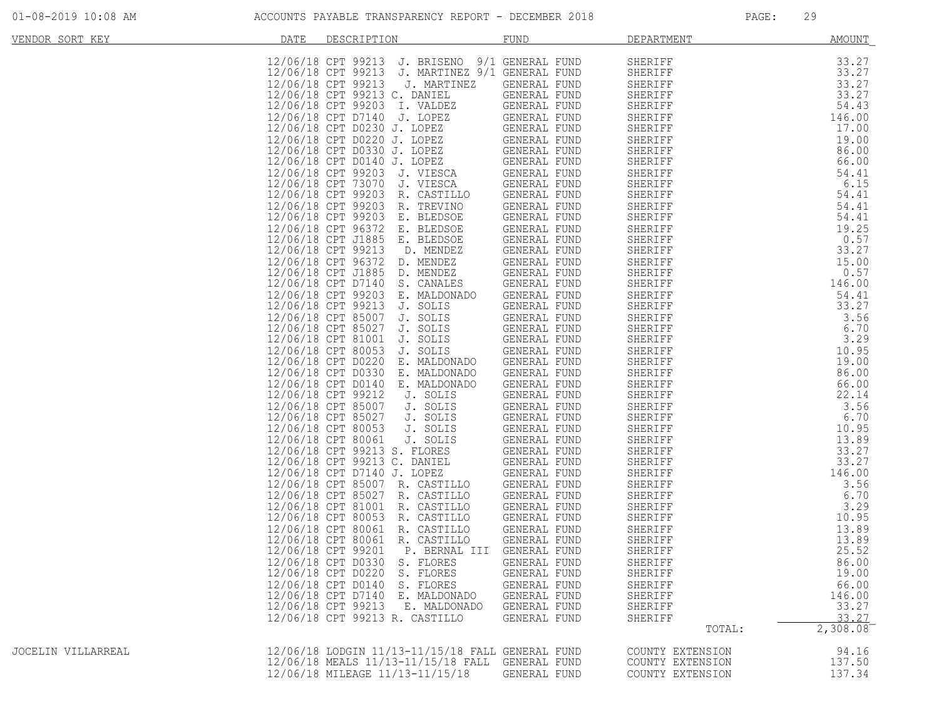| VENDOR SORT KEY    | DATE | DESCRIPTION                                        | FUND             | DEPARTMENT       | <b>AMOUNT</b> |
|--------------------|------|----------------------------------------------------|------------------|------------------|---------------|
|                    |      |                                                    |                  |                  |               |
|                    |      | 12/06/18 CPT 99213<br>J. BRISENO                   | 9/1 GENERAL FUND | SHERIFF          | 33.27         |
|                    |      | J. MARTINEZ 9/1 GENERAL FUND<br>12/06/18 CPT 99213 |                  | SHERIFF          | 33.27         |
|                    |      | 12/06/18 CPT 99213<br>J. MARTINEZ                  | GENERAL FUND     | SHERIFF          | 33.27         |
|                    |      | 12/06/18 CPT 99213 C. DANIEL                       | GENERAL FUND     | SHERIFF          | 33.27         |
|                    |      | 12/06/18 CPT 99203 I. VALDEZ                       | GENERAL FUND     | SHERIFF          | 54.43         |
|                    |      | 12/06/18 CPT D7140 J. LOPEZ                        | GENERAL FUND     | SHERIFF          | 146.00        |
|                    |      | 12/06/18 CPT D0230 J. LOPEZ                        | GENERAL FUND     |                  | 17.00         |
|                    |      |                                                    |                  | SHERIFF          |               |
|                    |      | 12/06/18 CPT D0220 J. LOPEZ                        | GENERAL FUND     | SHERIFF          | 19.00         |
|                    |      | 12/06/18 CPT D0330 J. LOPEZ                        | GENERAL FUND     | SHERIFF          | 86.00         |
|                    |      | 12/06/18 CPT D0140 J. LOPEZ                        | GENERAL FUND     | SHERIFF          | 66.00         |
|                    |      | 12/06/18 CPT 99203 J. VIESCA                       | GENERAL FUND     | SHERIFF          | 54.41         |
|                    |      | 12/06/18 CPT 73070 J. VIESCA                       | GENERAL FUND     | SHERIFF          | 6.15          |
|                    |      | 12/06/18 CPT 99203 R. CASTILLO                     | GENERAL FUND     | SHERIFF          | 54.41         |
|                    |      | 12/06/18 CPT 99203<br>R. TREVINO                   | GENERAL FUND     | SHERIFF          | 54.41         |
|                    |      | 12/06/18 CPT 99203<br>E. BLEDSOE                   | GENERAL FUND     |                  | 54.41         |
|                    |      |                                                    |                  | SHERIFF          |               |
|                    |      | 12/06/18 CPT 96372<br>E. BLEDSOE                   | GENERAL FUND     | SHERIFF          | 19.25         |
|                    |      | 12/06/18 CPT J1885<br>E. BLEDSOE                   | GENERAL FUND     | SHERIFF          | 0.57          |
|                    |      | 12/06/18 CPT 99213<br>D. MENDEZ                    | GENERAL FUND     | SHERIFF          | 33.27         |
|                    |      | 12/06/18 CPT 96372<br>D. MENDEZ                    | GENERAL FUND     | SHERIFF          | 15.00         |
|                    |      | 12/06/18 CPT J1885 D. MENDEZ                       | GENERAL FUND     | SHERIFF          | 0.57          |
|                    |      | 12/06/18 CPT D7140<br>S. CANALES                   | GENERAL FUND     | SHERIFF          | 146.00        |
|                    |      | 12/06/18 CPT 99203<br>E. MALDONADO                 | GENERAL FUND     | SHERIFF          | 54.41         |
|                    |      |                                                    |                  |                  |               |
|                    |      | 12/06/18 CPT 99213 J. SOLIS                        | GENERAL FUND     | SHERIFF          | 33.27         |
|                    |      | 12/06/18 CPT 85007<br>J. SOLIS                     | GENERAL FUND     | SHERIFF          | 3.56          |
|                    |      | 12/06/18 CPT 85027<br>J. SOLIS                     | GENERAL FUND     | SHERIFF          | 6.70          |
|                    |      | 12/06/18 CPT 81001<br>J. SOLIS                     | GENERAL FUND     | SHERIFF          | 3.29          |
|                    |      | 12/06/18 CPT 80053<br>J. SOLIS                     | GENERAL FUND     | SHERIFF          | 10.95         |
|                    |      | 12/06/18 CPT D0220<br>E. MALDONADO                 | GENERAL FUND     | SHERIFF          | 19.00         |
|                    |      | 12/06/18 CPT D0330<br>E. MALDONADO                 | GENERAL FUND     | SHERIFF          | 86.00         |
|                    |      | 12/06/18 CPT D0140                                 |                  |                  |               |
|                    |      | E. MALDONADO                                       | GENERAL FUND     | SHERIFF          | 66.00         |
|                    |      | 12/06/18 CPT 99212<br>J. SOLIS                     | GENERAL FUND     | SHERIFF          | 22.14         |
|                    |      | 12/06/18 CPT 85007<br>J. SOLIS                     | GENERAL FUND     | SHERIFF          | 3.56          |
|                    |      | 12/06/18 CPT 85027<br>J. SOLIS                     | GENERAL FUND     | SHERIFF          | 6.70          |
|                    |      | 12/06/18 CPT 80053<br>J. SOLIS                     | GENERAL FUND     | SHERIFF          | 10.95         |
|                    |      | 12/06/18 CPT 80061<br>J. SOLIS                     | GENERAL FUND     | SHERIFF          | 13.89         |
|                    |      | 12/06/18 CPT 99213 S. FLORES                       | GENERAL FUND     | SHERIFF          | 33.27         |
|                    |      | 12/06/18 CPT 99213 C. DANIEL                       | GENERAL FUND     | SHERIFF          | 33.27         |
|                    |      |                                                    |                  |                  |               |
|                    |      | 12/06/18 CPT D7140 J. LOPEZ                        | GENERAL FUND     | SHERIFF          | 146.00        |
|                    |      | 12/06/18 CPT 85007 R. CASTILLO                     | GENERAL FUND     | SHERIFF          | 3.56          |
|                    |      | 12/06/18 CPT 85027<br>R. CASTILLO                  | GENERAL FUND     | SHERIFF          | 6.70          |
|                    |      | 12/06/18 CPT 81001<br>R. CASTILLO                  | GENERAL FUND     | SHERIFF          | 3.29          |
|                    |      | 12/06/18 CPT 80053<br>R. CASTILLO                  | GENERAL FUND     | SHERIFF          | 10.95         |
|                    |      | 12/06/18 CPT 80061 R. CASTILLO                     | GENERAL FUND     | SHERIFF          | 13.89         |
|                    |      | 12/06/18 CPT 80061<br>R. CASTILLO                  | GENERAL FUND     | SHERIFF          | 13.89         |
|                    |      | 12/06/18 CPT 99201<br>P. BERNAL III                | GENERAL FUND     | SHERIFF          | 25.52         |
|                    |      |                                                    |                  |                  |               |
|                    |      | 12/06/18 CPT D0330 S. FLORES                       | GENERAL FUND     | SHERIFF          | 86.00         |
|                    |      | 12/06/18 CPT D0220 S. FLORES                       | GENERAL FUND     | SHERIFF          | 19.00         |
|                    |      | 12/06/18 CPT D0140 S. FLORES                       | GENERAL FUND     | SHERIFF          | 66.00         |
|                    |      | 12/06/18 CPT D7140 E. MALDONADO                    | GENERAL FUND     | SHERIFF          | 146.00        |
|                    |      | 12/06/18 CPT 99213 E. MALDONADO                    | GENERAL FUND     | SHERIFF          | 33.27         |
|                    |      | 12/06/18 CPT 99213 R. CASTILLO                     | GENERAL FUND     | SHERIFF          | 33.27         |
|                    |      |                                                    |                  | TOTAL:           | 2,308.08      |
|                    |      |                                                    |                  |                  |               |
| JOCELIN VILLARREAL |      | 12/06/18 LODGIN 11/13-11/15/18 FALL GENERAL FUND   |                  | COUNTY EXTENSION | 94.16         |
|                    |      | 12/06/18 MEALS 11/13-11/15/18 FALL                 | GENERAL FUND     | COUNTY EXTENSION | 137.50        |
|                    |      | 12/06/18 MILEAGE 11/13-11/15/18                    | GENERAL FUND     | COUNTY EXTENSION | 137.34        |
|                    |      |                                                    |                  |                  |               |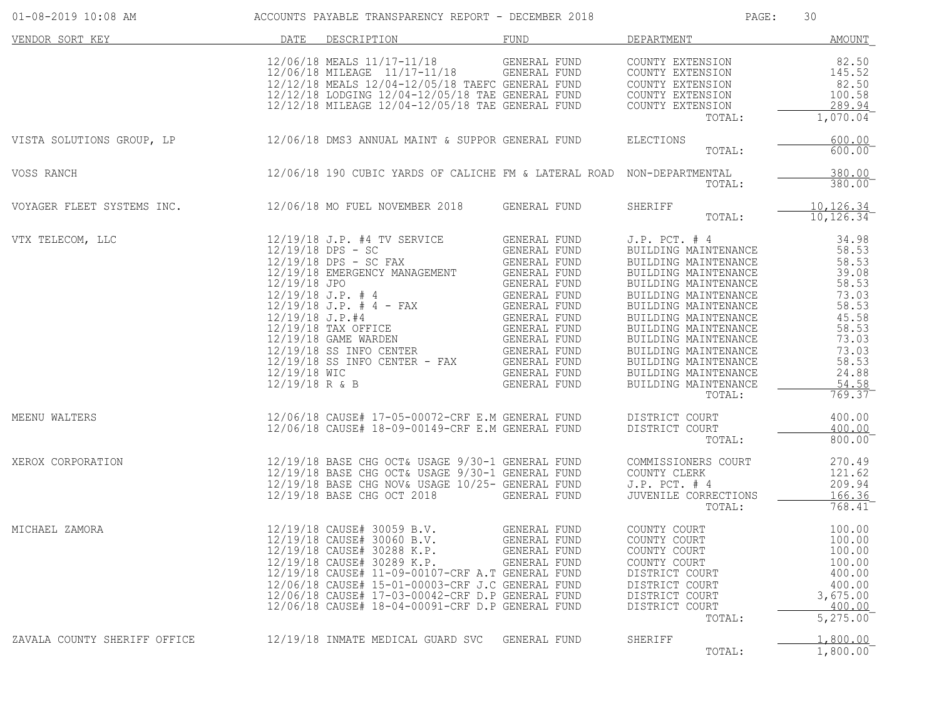| 01-08-2019 10:08 AM                                                                                                                | ACCOUNTS PAYABLE TRANSPARENCY REPORT - DECEMBER 2018                                                                                                                                                                                                                                                                                                           |                                              | PAGE:                                                                                                                                                                                                                                                                                           | 30                                                                                                                                   |
|------------------------------------------------------------------------------------------------------------------------------------|----------------------------------------------------------------------------------------------------------------------------------------------------------------------------------------------------------------------------------------------------------------------------------------------------------------------------------------------------------------|----------------------------------------------|-------------------------------------------------------------------------------------------------------------------------------------------------------------------------------------------------------------------------------------------------------------------------------------------------|--------------------------------------------------------------------------------------------------------------------------------------|
| VENDOR SORT KEY CONTROL OF THE RESORT DESCRIPTION TO THE PUND TO DEPARTMENT CONTROL OF THE PROPERTY OF THE PERSON DATE DESCRIPTION |                                                                                                                                                                                                                                                                                                                                                                |                                              |                                                                                                                                                                                                                                                                                                 | AMOUNT                                                                                                                               |
|                                                                                                                                    |                                                                                                                                                                                                                                                                                                                                                                |                                              | COUNTY EXTENSION<br>COUNTY EXTENSION<br>TOTAL:                                                                                                                                                                                                                                                  | 82.50<br>145.52<br>82.50<br>100.58<br>289.94<br>$1,070.04$ <sup>-</sup>                                                              |
| VISTA SOLUTIONS GROUP, LP                                                                                                          | 12/06/18 DMS3 ANNUAL MAINT & SUPPOR GENERAL FUND ELECTIONS                                                                                                                                                                                                                                                                                                     |                                              | TOTAL:                                                                                                                                                                                                                                                                                          | 600.00<br>$600.00^{-}$                                                                                                               |
| VOSS RANCH                                                                                                                         | 12/06/18 190 CUBIC YARDS OF CALICHE FM & LATERAL ROAD NON-DEPARTMENTAL                                                                                                                                                                                                                                                                                         |                                              | TOTAL:                                                                                                                                                                                                                                                                                          | 380.00<br>$380.00$ <sup>-</sup>                                                                                                      |
| VOYAGER FLEET SYSTEMS INC. 42/06/18 MO FUEL NOVEMBER 2018 GENERAL FUND                                                             |                                                                                                                                                                                                                                                                                                                                                                |                                              | SHERIFF<br>TOTAL:                                                                                                                                                                                                                                                                               | $\frac{10,126.34}{10,126.34}$                                                                                                        |
| VTX TELECOM, LLC                                                                                                                   | $12/19/18 J.P.  #4 = FAX\n12/19/18 DPS - SC FAX\n12/19/18 DPS - SC FAX\n12/19/18 DPS - SC FAX\n12/19/18 DPS - SC FAX\n12/19/18 J.P.  #4 = FAX\n12/19/18 J.P.  #4 = FAX\n12/19/18 J.P.  #4 = FAX\n12/19/18 J.P.  #4 = FAX\n12/19/18 J.P.  #4 = FAX\n12/19/18 J.P.  #4 = FAX\n12/19/18 J.P. $                                                                    |                                              | J.P. PCT. # 4<br>BUILDING MAINTENANCE<br>BUILDING MAINTENANCE<br>BUILDING MAINTENANCE<br>BUILDING MAINTENANCE<br>BUILDING MAINTENANCE<br>BUILDING MAINTENANCE<br>BUILDING MAINTENANCE<br>BUILDING MAINTENANCE<br>BUILDING MAINTENANCE<br>BUILDING MAINTENANCE<br>BUILDING MAINTENANCE<br>TOTAL: | 34.98<br>58.53<br>58.53<br>39.08<br>58.53<br>73.03<br>58.53<br>45.58<br>58.53<br>73.03<br>73.03<br>58.53<br>24.88<br>54.58<br>769.37 |
| MEENU WALTERS                                                                                                                      |                                                                                                                                                                                                                                                                                                                                                                |                                              | DISTRICT COURT<br>TOTAL:                                                                                                                                                                                                                                                                        | 400.00<br>400.00<br>800.00                                                                                                           |
| XEROX CORPORATION                                                                                                                  | 12/19/18 BASE CHG OCT& USAGE 9/30-1 GENERAL FUND COMMISSIONERS COURT<br>12/19/18 BASE CHG OCT& USAGE 9/30-1 GENERAL FUND COUNTY CLERK<br>12/19/18 BASE CHG NOV& USAGE 10/25- GENERAL FUND<br>12/19/18 BASE CHG NOV& USAGE 10/25- GENERAL FUND                                                                                                                  |                                              | $J.P.$ PCT. $#$ 4<br>JUVENILE CORRECTIONS<br>TOTAL:                                                                                                                                                                                                                                             | 270.49<br>121.62<br>209.94<br>166.36<br>$768.41^{-}$                                                                                 |
| MICHAEL ZAMORA                                                                                                                     | 12/19/18 CAUSE# 30059 B.V. GENERAL FUND<br>12/19/18 CAUSE# 30060 B.V. GENERAL FUND<br>12/19/18 CAUSE# 30288 K.P.<br>12/19/18 CAUSE# 30289 K.P.<br>12/19/18 CAUSE# 11-09-00107-CRF A.T GENERAL FUND<br>12/06/18 CAUSE# 15-01-00003-CRF J.C GENERAL FUND<br>12/06/18 CAUSE# 17-03-00042-CRF D.P GENERAL FUND<br>12/06/18 CAUSE# 18-04-00091-CRF D.P GENERAL FUND | GENERAL FUND<br>GENERAL FUND<br>GENERAL FUND | COUNTY COURT<br>COUNTY COURT<br>COUNTY COURT<br>COUNTY COURT<br>COUNTY COURT<br>DISTRICT COURT<br>DISTRICT COURT<br>DISTRICT COURT<br>DISTRICT COURT<br>TOTAL:                                                                                                                                  | 100.00<br>100.00<br>100.00<br>100.00<br>400.00<br>400.00<br>3,675.00<br>400.00<br>5, 275.00                                          |
| ZAVALA COUNTY SHERIFF OFFICE                                                                                                       | 12/19/18 INMATE MEDICAL GUARD SVC                                                                                                                                                                                                                                                                                                                              | GENERAL FUND                                 | SHERIFF<br>TOTAL:                                                                                                                                                                                                                                                                               | 1,800.00<br>1,800.00                                                                                                                 |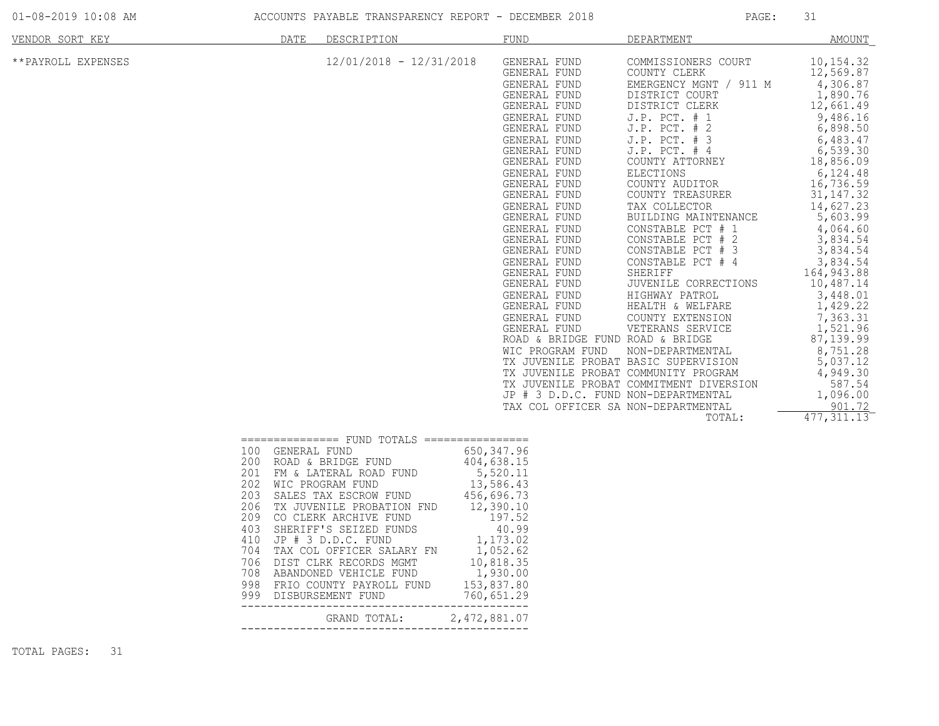| 01-08-2019 10:08 AM |  |  |
|---------------------|--|--|
|---------------------|--|--|

ACCOUNTS PAYABLE TRANSPARENCY REPORT - DECEMBER 2018 PAGE: 31

| VENDOR SORT KEY    |                                                                    | DATE<br>DESCRIPTION                                                                                                                                                                                                                                                                                                                                                                                                |                           | <b>FUND</b>                                                                                                                                                                                                                                                                                                                                                                                                                                                                                                                                        | DEPARTMENT                                                                                                                                                                                                                                                                                                                                                                                                                                                                                                                                                                                                                                                                     | <b>AMOUNT</b>                                                                                                                                                                                                                                                                                                                                                                                                            |
|--------------------|--------------------------------------------------------------------|--------------------------------------------------------------------------------------------------------------------------------------------------------------------------------------------------------------------------------------------------------------------------------------------------------------------------------------------------------------------------------------------------------------------|---------------------------|----------------------------------------------------------------------------------------------------------------------------------------------------------------------------------------------------------------------------------------------------------------------------------------------------------------------------------------------------------------------------------------------------------------------------------------------------------------------------------------------------------------------------------------------------|--------------------------------------------------------------------------------------------------------------------------------------------------------------------------------------------------------------------------------------------------------------------------------------------------------------------------------------------------------------------------------------------------------------------------------------------------------------------------------------------------------------------------------------------------------------------------------------------------------------------------------------------------------------------------------|--------------------------------------------------------------------------------------------------------------------------------------------------------------------------------------------------------------------------------------------------------------------------------------------------------------------------------------------------------------------------------------------------------------------------|
| **PAYROLL EXPENSES |                                                                    |                                                                                                                                                                                                                                                                                                                                                                                                                    | $12/01/2018 - 12/31/2018$ | GENERAL FUND<br>GENERAL FUND<br>GENERAL FUND<br>GENERAL FUND<br>GENERAL FUND<br>GENERAL FUND<br>GENERAL FUND<br>GENERAL FUND<br>GENERAL FUND<br>GENERAL FUND<br>GENERAL FUND<br>GENERAL FUND<br>GENERAL FUND<br>GENERAL FUND<br>GENERAL FUND<br>GENERAL FUND<br>GENERAL FUND<br>GENERAL FUND<br>GENERAL FUND<br>GENERAL FUND<br>GENERAL FUND<br>GENERAL FUND<br>GENERAL FUND<br>GENERAL FUND<br>GENERAL FUND<br>ROAD & BRIDGE FUND ROAD & BRIDGE<br>WIC PROGRAM FUND<br>JP # 3 D.D.C. FUND NON-DEPARTMENTAL<br>TAX COL OFFICER SA NON-DEPARTMENTAL | COMMISSIONERS COURT<br>COUNTY CLERK<br>EMERGENCY MGNT / 911 M<br>DISTRICT COURT<br>DISTRICT CLERK<br>J.P. PCT. # 1<br>J.P. PCT. # 2<br>$J.P.$ PCT. $#$<br>-3<br>$J.P.$ PCT. $#4$<br>COUNTY ATTORNEY<br><b>ELECTIONS</b><br>COUNTY AUDITOR<br>COUNTY TREASURER<br>TAX COLLECTOR<br>BUILDING MAINTENANCE<br>CONSTABLE PCT # 1<br>#2<br>CONSTABLE PCT<br>CONSTABLE PCT<br>#<br>- 3<br>CONSTABLE PCT # 4<br>SHERIFF<br>JUVENILE CORRECTIONS<br>HIGHWAY PATROL<br>HEALTH & WELFARE<br>COUNTY EXTENSION<br>VETERANS SERVICE<br>NON-DEPARTMENTAL<br>TX JUVENILE PROBAT BASIC SUPERVISION<br>TX JUVENILE PROBAT COMMUNITY PROGRAM<br>TX JUVENILE PROBAT COMMITMENT DIVERSION<br>TOTAL: | 10, 154.32<br>12,569.87<br>4,306.87<br>1,890.76<br>12,661.49<br>9,486.16<br>6,898.50<br>6,483.47<br>6, 539.30<br>18,856.09<br>6,124.48<br>16,736.59<br>31, 147. 32<br>14,627.23<br>5,603.99<br>4,064.60<br>3,834.54<br>3,834.54<br>3,834.54<br>164, 943.88<br>10,487.14<br>3,448.01<br>1,429.22<br>7,363.31<br>1,521.96<br>87, 139.99<br>8,751.28<br>5,037.12<br>4,949.30<br>587.54<br>1,096.00<br>901.72<br>477, 311.13 |
|                    | 100<br>200<br>201<br>202<br>203<br>206<br>209<br>403<br>410<br>704 | ================ FUND TOTALS ================<br>GENERAL FUND<br>ROAD & BRIDGE FUND<br>FM & LATERAL ROAD FUND<br>WIC PROGRAM FUND<br>SALES TAX ESCROW FUND<br>TX JUVENILE PROBATION FND<br>CO CLERK ARCHIVE FUND<br>SHERIFF'S SEIZED FUNDS<br>JP # 3 D.D.C. FUND<br>TAX COL OFFICER SALARY FN<br>706 DIST CLRK RECORDS MGMT<br>708 ABANDONED VEHICLE FUND<br>998 FRIO COUNTY PAYROLL FUND<br>999 DISBURSEMENT FUND | 10,818.35<br>760, 651.29  | 650, 347.96<br>404,638.15<br>5,520.11<br>13,586.43<br>456,696.73<br>12,390.10<br>197.52<br>40.99<br>1,173.02<br>1,052.62<br>1,930.00<br>153,837.80                                                                                                                                                                                                                                                                                                                                                                                                 |                                                                                                                                                                                                                                                                                                                                                                                                                                                                                                                                                                                                                                                                                |                                                                                                                                                                                                                                                                                                                                                                                                                          |
|                    |                                                                    | GRAND TOTAL:                                                                                                                                                                                                                                                                                                                                                                                                       | 2,472,881.07              |                                                                                                                                                                                                                                                                                                                                                                                                                                                                                                                                                    |                                                                                                                                                                                                                                                                                                                                                                                                                                                                                                                                                                                                                                                                                |                                                                                                                                                                                                                                                                                                                                                                                                                          |

TOTAL PAGES: 31